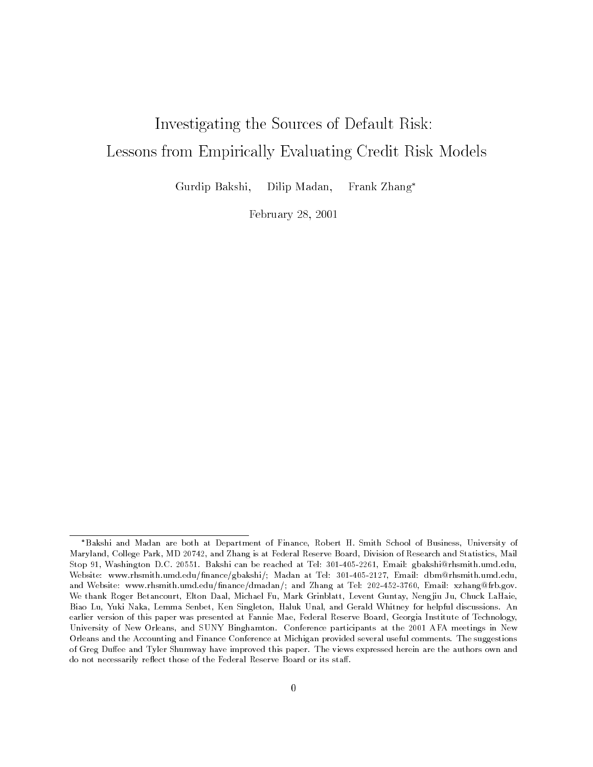# Investigating the Sources of Default Risk:Lessons from Empirically Evaluating Credit Risk Models

Gurdip Bakshi,Dilip Madan, Frank Zhang

February 28, 2001

Bakshi and Madan are both at Department of Finance, Robert H. Smith School of Business, University of Maryland, College Park, MD 20742, and Zhang is at Federal Reserve Board, Division of Research and Statistics, Mail Stop 91, Washington D.C. 20551. Bakshi can be reached at Tel: 301-405-2261, Email: gbakshi@rhsmith.umd.edu, Website: www.rhsmith.umd.edu/finance/gbakshi/; Madan at Tel: 301-405-2127, Email: dbm@rhsmith.umd.edu, and Website: www.rhsmith.umd.edu/finance/dmadan/; and Zhang at Tel: 202-452-3760, Email: xzhang@frb.gov. We thank Roger Betancourt, Elton Daal, Michael Fu, Mark Grinblatt, Levent Guntay, Nengjiu Ju, Chuck LaHaie, Biao Lu, Yuki Naka, Lemma Senbet, Ken Singleton, Haluk Unal, and Gerald Whitney for helpful discussions. An earlier version of this paper was presented at Fannie Mae, Federal Reserve Board, Georgia Institute of Technology, University of New Orleans, and SUNY Binghamton. Conference participants at the 2001 AFA meetings in New Orleans and the Accounting and Finance Conference at Michigan provided several useful comments. The suggestions of Greg Duffee and Tyler Shumway have improved this paper. The views expressed herein are the authors own and do not necessarily reflect those of the Federal Reserve Board or its staff.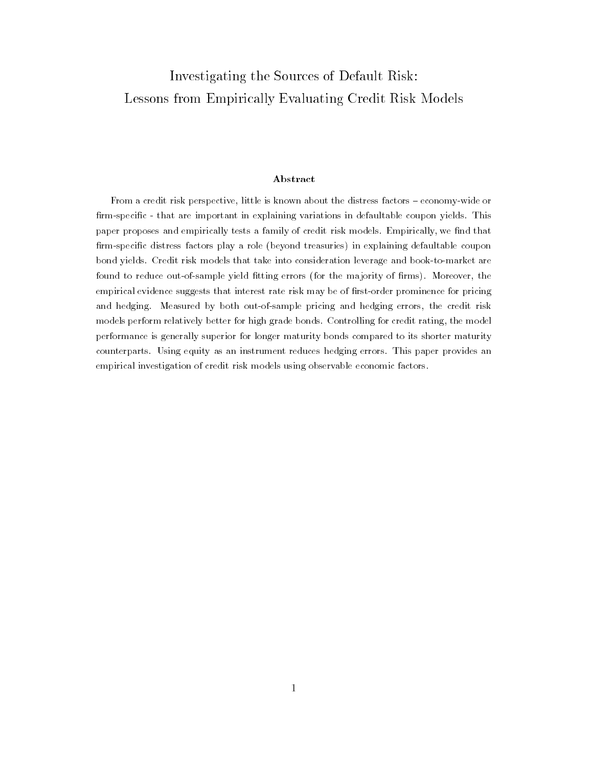# Investigating the Sources of Default Risk:Lessons from Empirically Evaluating Credit Risk Models

#### Abstract

From a credit risk perspective, little is known about the distress factors - economy-wide or firm-specific - that are important in explaining variations in defaultable coupon yields. This paper proposes and empirically tests a family of credit risk models. Empirically, we find that firm-specific distress factors play a role (beyond treasuries) in explaining defaultable coupon bond yields. Credit risk models that take into consideration leverage and book-to-market arefound to reduce out-of-sample yield fitting errors (for the majority of firms). Moreover, the empirical evidence suggests that interest rate risk may be of first-order prominence for pricing and hedging. Measured by both out-of-sample pricing and hedging errors, the credit risk models perform relatively better for high grade bonds. Controlling for credit rating, the modelperformance is generally superior for longer maturity bonds compared to its shorter maturitycounterparts. Using equity as an instrument reduces hedging errors. This paper provides anempirical investigation of credit risk models using observable economic factors.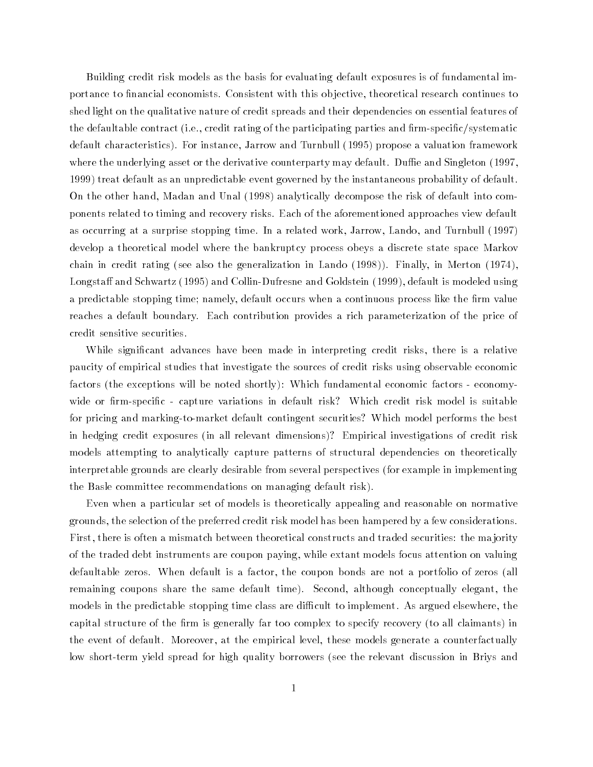Building credit risk models as the basis for evaluating default exposures is of fundamental importance to financial economists. Consistent with this objective, theoretical research continues to shed light on the qualitative nature of credit spreads and their dependencies on essential features of the defaultable contract (i.e., credit rating of the participating parties and firm-specific/systematic default characteristics). For instance, Jarrow and Turnbull (1995) propose a valuation framework where the underlying asset or the derivative counterparty may default. Duffie and Singleton (1997, 1999) treat default as an unpredictable event governed by the instantaneous probability of default. On the other hand, Madan and Unal (1998) analytically decompose the risk of default into components related to timing and recovery risks. Each of the aforementioned approaches view default as occurring at a surprise stopping time. In a related work, Jarrow, Lando, and Turnbull (1997) develop a theoretical model where the bankruptcy process obeys a discrete state space Markov chain in credit rating (see also the generalization in Lando (1998)). Finally, in Merton (1974), Longstaff and Schwartz (1995) and Collin-Dufresne and Goldstein (1999), default is modeled using a predictable stopping time; namely, default occurs when a continuous process like the firm value reaches a default boundary. Each contribution provides a rich parameterization of the price of credit sensitive securities.

While signicant advances have been made in interpreting credit risks, there is a relative paucity of empirical studies that investigate the sources of credit risks using observable economic factors (the exceptions will be noted shortly): Which fundamental economic factors - economywide or firm-specific - capture variations in default risk? Which credit risk model is suitable for pricing and marking-to-market default contingent securities? Which model performs the best in hedging credit exposures (in all relevant dimensions)? Empirical investigations of credit risk models attempting to analytically capture patterns of structural dependencies on theoretically interpretable grounds are clearly desirable from several perspectives (for example in implementing the Basle committee recommendations on managing default risk).

Even when a particular set of models is theoretically appealing and reasonable on normative grounds, the selection of the preferred credit risk model has been hampered by a few considerations. First, there is often a mismatch between theoretical constructs and traded securities: the ma jority of the traded debt instruments are coupon paying, while extant models focus attention on valuing defaultable zeros. When default is a factor, the coupon bonds are not a portfolio of zeros (all remaining coupons share the same default time). Second, although conceptually elegant, the models in the predictable stopping time class are difficult to implement. As argued elsewhere, the capital structure of the firm is generally far too complex to specify recovery (to all claimants) in the event of default. Moreover, at the empirical level, these models generate a counterfactually low short-term yield spread for high quality borrowers (see the relevant discussion in Briys and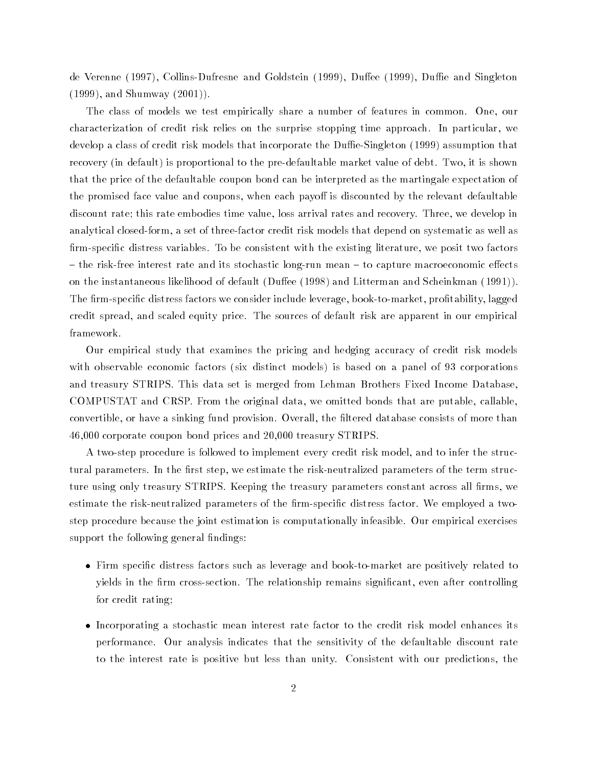de Verenne (1997), Collins-Dufresne and Goldstein (1999), Duffee (1999), Duffie and Singleton (1999), and Shumway (2001)).

The class of models we test empirically share a number of features in common. One, our characterization of credit risk relies on the surprise stopping time approach. In particular, we develop a class of credit risk models that incorporate the Duffie-Singleton  $(1999)$  assumption that recovery (in default) is proportional to the pre-defaultable market value of debt. Two, it is shown that the price of the defaultable coupon bond can be interpreted as the martingale expectation of the promised face value and coupons, when each payoff is discounted by the relevant defaultable discount rate; this rate embodies time value, loss arrival rates and recovery. Three, we develop in analytical closed-form, a set of three-factor credit risk models that depend on systematic as well as firm-specific distress variables. To be consistent with the existing literature, we posit two factors  ${}$  - the risk-free interest rate and its stochastic long-run mean  ${}$  to capture macroeconomic effects on the instantaneous likelihood of default (Duffee (1998) and Litterman and Scheinkman (1991)). The firm-specific distress factors we consider include leverage, book-to-market, profitability, lagged credit spread, and scaled equity price. The sources of default risk are apparent in our empirical framework.

Our empirical study that examines the pricing and hedging accuracy of credit risk models with observable economic factors (six distinct models) is based on a panel of 93 corporations and treasury STRIPS. This data set is merged from Lehman Brothers Fixed Income Database, COMPUSTAT and CRSP. From the original data, we omitted bonds that are putable, callable, convertible, or have a sinking fund provision. Overall, the ltered database consists of more than 46,000 corporate coupon bond prices and 20,000 treasury STRIPS.

A two-step procedure is followed to implement every credit risk model, and to infer the structural parameters. In the first step, we estimate the risk-neutralized parameters of the term structure using only treasury STRIPS. Keeping the treasury parameters constant across all firms, we estimate the risk-neutralized parameters of the firm-specific distress factor. We employed a twostep procedure because the joint estimation is computationally infeasible. Our empirical exercises support the following general findings:

- Firm specic distress factors such as leverage and book-to-market are positively related to yields in the firm cross-section. The relationship remains significant, even after controlling for credit rating;
- Incorporating a stochastic mean interest rate factor to the credit risk model enhances its performance. Our analysis indicates that the sensitivity of the defaultable discount rate to the interest rate is positive but less than unity. Consistent with our predictions, the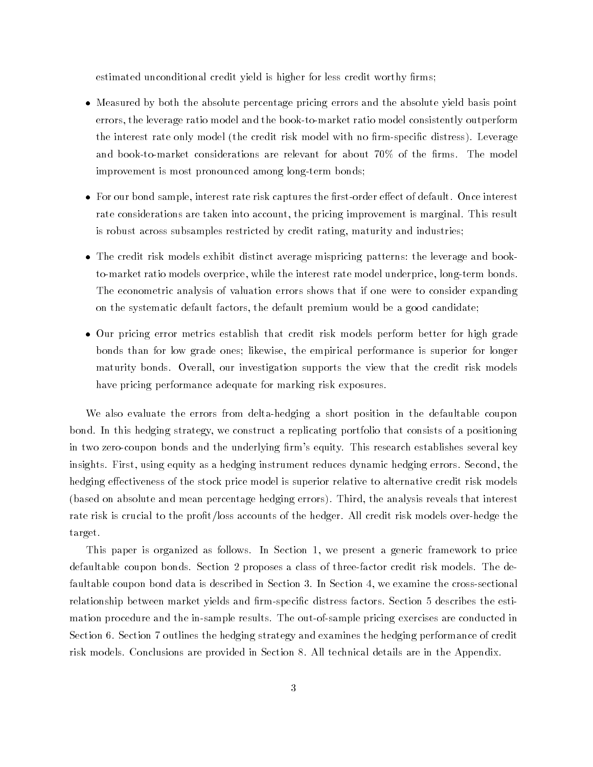estimated unconditional credit yield is higher for less credit worthy firms;

- Measured by both the absolute percentage pricing errors and the absolute yield basis point errors, the leverage ratio model and the book-to-market ratio model consistently outperform the interest rate only model (the credit risk model with no firm-specific distress). Leverage and book-to-market considerations are relevant for about  $70\%$  of the firms. The model improvement is most pronounced among long-term bonds;
- For our bond sample, interest rate risk captures the first-order effect of default. Once interest rate considerations are taken into account, the pricing improvement is marginal. This result is robust across subsamples restricted by credit rating, maturity and industries;
- The credit risk models exhibit distinct average mispricing patterns: the leverage and bookto-market ratio models overprice, while the interest rate model underprice, long-term bonds. The econometric analysis of valuation errors shows that if one were to consider expanding on the systematic default factors, the default premium would be a good candidate;
- Our pricing error metrics establish that credit risk models perform better for high grade bonds than for low grade ones; likewise, the empirical performance is superior for longer maturity bonds. Overall, our investigation supports the view that the credit risk models have pricing performance adequate for marking risk exposures.

We also evaluate the errors from delta-hedging a short position in the defaultable coupon bond. In this hedging strategy, we construct a replicating portfolio that consists of a positioning in two zero-coupon bonds and the underlying firm's equity. This research establishes several key insights. First, using equity as a hedging instrument reduces dynamic hedging errors. Second, the hedging effectiveness of the stock price model is superior relative to alternative credit risk models (based on absolute and mean percentage hedging errors). Third, the analysis reveals that interest rate risk is crucial to the profit/loss accounts of the hedger. All credit risk models over-hedge the target.

This paper is organized as follows. In Section 1, we present a generic framework to price defaultable coupon bonds. Section 2 proposes a class of three-factor credit risk models. The defaultable coupon bond data is described in Section 3. In Section 4, we examine the cross-sectional relationship between market yields and firm-specific distress factors. Section 5 describes the estimation procedure and the in-sample results. The out-of-sample pricing exercises are conducted in Section 6. Section 7 outlines the hedging strategy and examines the hedging performance of credit risk models. Conclusions are provided in Section 8. All technical details are in the Appendix.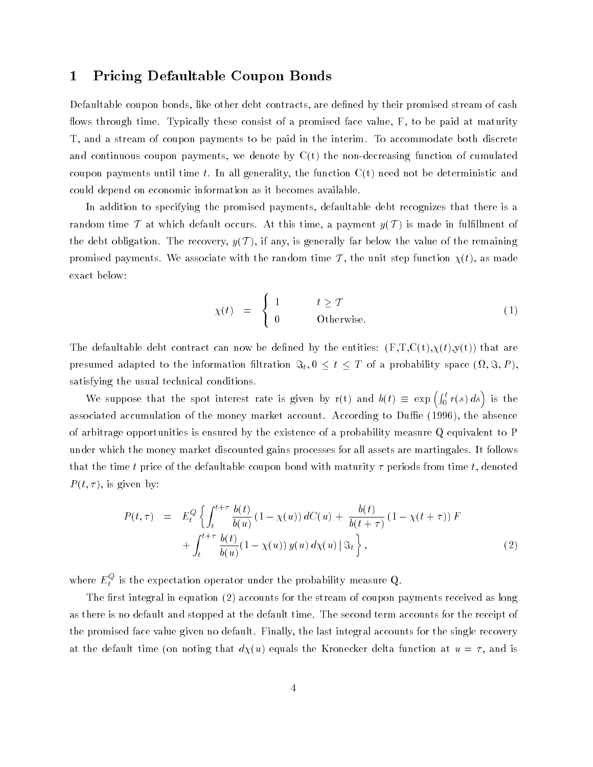# 1 Pricing Defaultable Coupon Bonds

Defaultable coupon bonds, like other debt contracts, are defined by their promised stream of cash flows through time. Typically these consist of a promised face value,  $F$ , to be paid at maturity T, and a stream of coupon payments to be paid in the interim. To accommodate both discrete and continuous coupon payments, we denote by  $C(t)$  the non-decreasing function of cumulated coupon payments until time t. In all generality, the function  $C(t)$  need not be deterministic and could depend on economic information as it becomes available.

In addition to specifying the promised payments, defaultable debt recognizes that there is a random time T at which default occurs. At this time, a payment  $y(\mathcal{T})$  is made in fulfillment of the debt obligation. The recovery,  $y(\mathcal{T})$ , if any, is generally far below the value of the remaining promised payments. We associate with the random time T, the unit step function  $\chi(t)$ , as made exact below:

$$
\chi(t) = \begin{cases} 1 & t \ge T \\ 0 & \text{Otherwise.} \end{cases}
$$
 (1)

The defaultable debt contract can now be defined by the entities:  $(F,T,C(t),\chi(t),y(t))$  that are  $p$  is a different adapted to the information intrations  $\mathcal{L}_{\mathcal{U}}[0, \ldots, T, \mathcal{L}_{\mathcal{U}}]$  is probability space (i.e.  $\mathcal{U}$ satisfying the usual technical conditions.

We suppose that the spot interest rate is given by r(t) and  $b(t) \equiv \exp \left( \int_0^t r(s) ds \right)$  is the associated accumulation of the money market account. According to Duffie (1996), the absence of arbitrage opportunities is ensured by the existence of a probability measure Q equivalent to P under which the money market discounted gains processes for all assets are martingales. It follows that the time t price of the defaultable coupon bond with maturity  $\tau$  periods from time t, denoted  $P(t, \tau)$ , is given by:

$$
P(t,\tau) = E_t^Q \left\{ \int_t^{t+\tau} \frac{b(t)}{b(u)} (1 - \chi(u)) dC(u) + \frac{b(t)}{b(t+\tau)} (1 - \chi(t+\tau)) F + \int_t^{t+\tau} \frac{b(t)}{b(u)} (1 - \chi(u)) y(u) d\chi(u) |\mathfrak{F}_t \right\},
$$
\n(2)

where  $E_t^*$  is the expectation operator under the probability measure  ${\bf Q}.$ 

The first integral in equation (2) accounts for the stream of coupon payments received as long as there is no default and stopped at the default time. The second term accounts for the receipt of the promised face value given no default. Finally, the last integral accounts for the single recovery at the default time (on noting that  $d\chi(u)$  equals the Kronecker delta function at  $u = \tau$ , and is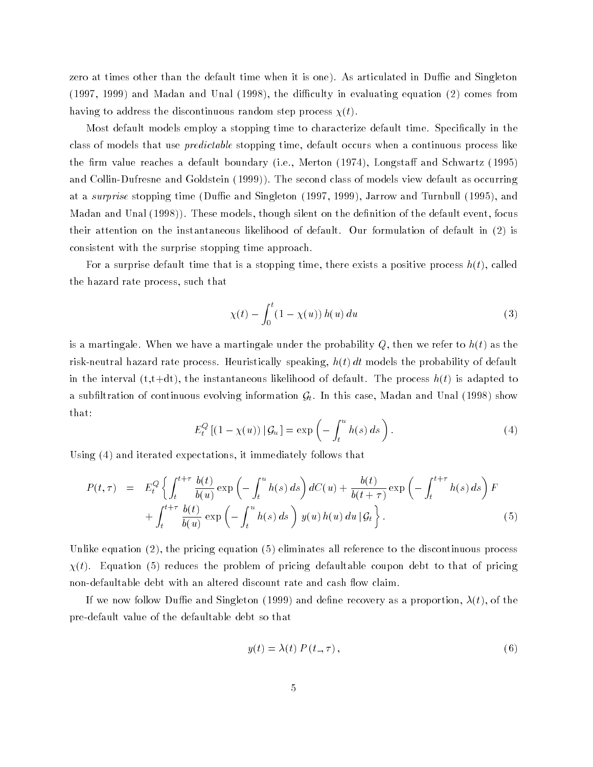zero at times other than the default time when it is one). As articulated in Duffie and Singleton  $(1997, 1999)$  and Madan and Unal  $(1998)$ , the difficulty in evaluating equation  $(2)$  comes from having to address the discontinuous random step process  $\chi(t)$ .

Most default models employ a stopping time to characterize default time. Specically in the class of models that use predictable stopping time, default occurs when a continuous process like the firm value reaches a default boundary (i.e., Merton  $(1974)$ , Longstaff and Schwartz  $(1995)$ and Collin-Dufresne and Goldstein (1999)). The second class of models view default as occurring at a *surprise* stopping time (Duffie and Singleton (1997, 1999), Jarrow and Turnbull (1995), and Madan and Unal (1998)). These models, though silent on the definition of the default event, focus their attention on the instantaneous likelihood of default. Our formulation of default in (2) is consistent with the surprise stopping time approach.

For a surprise default time that is a stopping time, there exists a positive process  $h(t)$ , called the hazard rate process, such that

$$
\chi(t) - \int_0^t (1 - \chi(u)) h(u) du \tag{3}
$$

is a martingale. When we have a martingale under the probability  $Q$ , then we refer to  $h(t)$  as the risk-neutral hazard rate process. Heuristically speaking,  $h(t) dt$  models the probability of default in the interval (t,t+dt), the instantaneous likelihood of default. The process  $h(t)$  is adapted to a subfiltration of continuous evolving information  $\mathcal{G}_t$ . In this case, Madan and Unal (1998) show that:

$$
E_t^Q [(1 - \chi(u)) | \mathcal{G}_u] = \exp\left(-\int_t^u h(s) \, ds\right). \tag{4}
$$

Using (4) and iterated expectations, it immediately follows that

$$
P(t,\tau) = E_t^Q \left\{ \int_t^{t+\tau} \frac{b(t)}{b(u)} \exp\left(-\int_t^u h(s) \, ds\right) dC(u) + \frac{b(t)}{b(t+\tau)} \exp\left(-\int_t^{t+\tau} h(s) \, ds\right) F + \int_t^{t+\tau} \frac{b(t)}{b(u)} \exp\left(-\int_t^u h(s) \, ds\right) y(u) h(u) \, du \, |\mathcal{G}_t \right\}.
$$
 (5)

Unlike equation (2), the pricing equation (5) eliminates all reference to the discontinuous process  $\chi(t)$ . Equation (5) reduces the problem of pricing defaultable coupon debt to that of pricing non-defaultable debt with an altered discount rate and cash flow claim.

If we now follow Duffie and Singleton (1999) and define recovery as a proportion,  $\lambda(t)$ , of the pre-default value of the defaultable debt so that

$$
y(t) = \lambda(t) P(t_-, \tau), \tag{6}
$$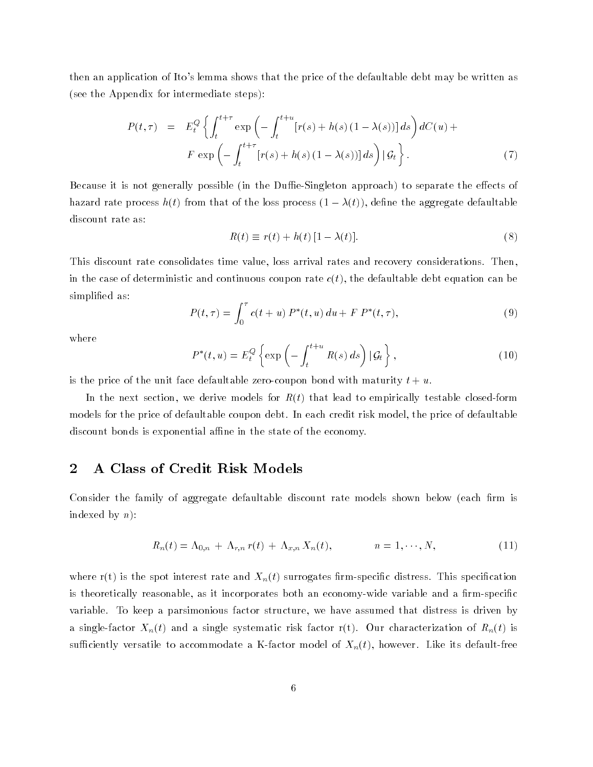then an application of Ito's lemma shows that the price of the defaultable debt may be written as (see the Appendix for intermediate steps):

$$
P(t,\tau) = E_t^Q \left\{ \int_t^{t+\tau} \exp\left(-\int_t^{t+u} [r(s) + h(s) (1 - \lambda(s))] ds \right) dC(u) +
$$
  

$$
F \exp\left(-\int_t^{t+\tau} [r(s) + h(s) (1 - \lambda(s))] ds \right) | \mathcal{G}_t \right\}.
$$
 (7)

Because it is not generally possible (in the Duffie-Singleton approach) to separate the effects of hazard rate process  $h(t)$  from that of the loss process  $(1 - \lambda(t))$ , define the aggregate defaultable discount rate as:

$$
R(t) \equiv r(t) + h(t) [1 - \lambda(t)].
$$
\n(8)

This discount rate consolidates time value, loss arrival rates and recovery considerations. Then, in the case of deterministic and continuous coupon rate  $c(t)$ , the defaultable debt equation can be simplied as:

$$
P(t,\tau) = \int_0^{\tau} c(t+u) P^*(t,u) du + F P^*(t,\tau), \qquad (9)
$$

where

$$
P^*(t, u) = E_t^Q \left\{ \exp \left( - \int_t^{t+u} R(s) \, ds \right) \left| \mathcal{G}_t \right. \right\},\tag{10}
$$

is the price of the unit face defaultable zero-coupon bond with maturity  $t + u$ .

In the next section, we derive models for  $R(t)$  that lead to empirically testable closed-form models for the price of defaultable coupon debt. In each credit risk model, the price of defaultable discount bonds is exponential affine in the state of the economy.

# 2 A Class of Credit Risk Models

Consider the family of aggregate defaultable discount rate models shown below (each firm is indexed by  $n$ ):

$$
R_n(t) = \Lambda_{0,n} + \Lambda_{r,n} r(t) + \Lambda_{x,n} X_n(t), \qquad n = 1, \cdots, N,
$$
\n(11)

where  $r(t)$  is the spot interest rate and  $X_n(t)$  surrogates firm-specific distress. This specification is theoretically reasonable, as it incorporates both an economy-wide variable and a firm-specific variable. To keep a parsimonious factor structure, we have assumed that distress is driven by a single-factor  $X_n(t)$  and a single systematic risk factor r(t). Our characterization of  $R_n(t)$  is sufficiently versatile to accommodate a K-factor model of  $X_n(t)$ , however. Like its default-free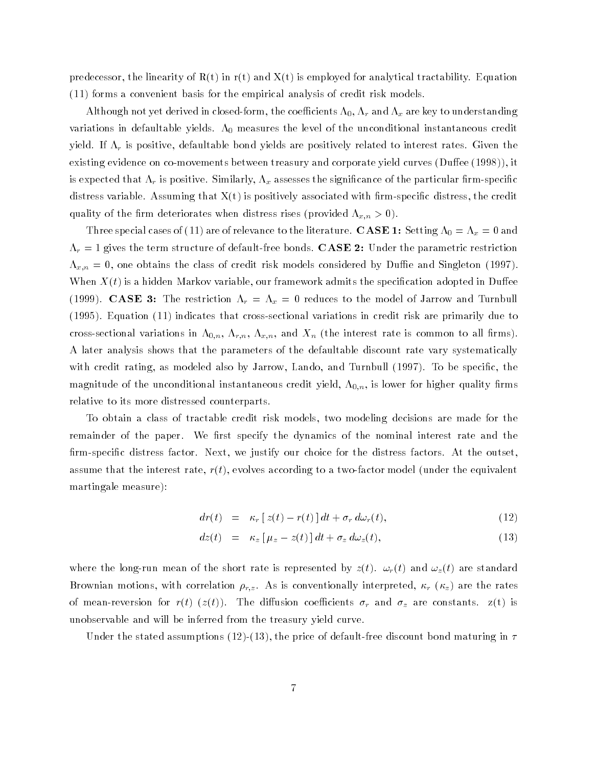predecessor, the linearity of  $R(t)$  in r(t) and  $X(t)$  is employed for analytical tractability. Equation (11) forms a convenient basis for the empirical analysis of credit risk models.

Although not yet derived in closed-form, the coefficients  $\Lambda_0,$   $\Lambda_r$  and  $\Lambda_x$  are key to understanding variations in defaultable yields.  $\Lambda_0$  measures the level of the unconditional instantaneous credit yield. If r is positive, defaultable bond yields are positively related to interest rates. Given the existing evidence on co-movements between treasury and corporate yield curves  $(D$ uffee  $(1998)$ ), it is expected that  $\alpha$  is positive. Similarly,  $\alpha$  as section the significance of the particular measure  $\beta$  , which distress variable. Assuming that  $X(t)$  is positively associated with firm-specific distress, the credit quality is the means deteriorates when distributed xin of (provided xin  $\mathcal{L}_{\mu}$  , 0).

Three special cases of (11) are of relevance to the literature.  $\textbf{CASE 1:}$  Setting  $\Lambda_0 = \Lambda_x = 0$  and r = 1 gives the term structure of default-free bonds. CASE 2: Under the parametric restriction x;n = 0, one obtains the class of credit risk models considered by Due and Singleton (1997). When  $X(t)$  is a hidden Markov variable, our framework admits the specification adopted in Duffee (1999). Case 3: The restriction ray  $\alpha$  of  $\alpha$  denotes the model of Jarrow and Turnbull and Turnbull (1995). Equation (11) indicates that cross-sectional variations in credit risk are primarily due to cross-sectional variations in  $\Lambda_{0,n}$ ,  $\Lambda_{r,n}$ ,  $\Lambda_{x,n}$ , and  $X_n$  (the interest rate is common to all firms). A later analysis shows that the parameters of the defaultable discount rate vary systematically with credit rating, as modeled also by Jarrow, Lando, and Turnbull (1997). To be specific, the magnitude of the unconditional instantaneous credit yield,  $\Lambda_{0,n}$ , is lower for higher quality firms relative to its more distressed counterparts.

To obtain a class of tractable credit risk models, two modeling decisions are made for the remainder of the paper. We first specify the dynamics of the nominal interest rate and the firm-specific distress factor. Next, we justify our choice for the distress factors. At the outset, assume that the interest rate,  $r(t)$ , evolves according to a two-factor model (under the equivalent martingale measure):

$$
dr(t) = \kappa_r \left[ z(t) - r(t) \right] dt + \sigma_r d\omega_r(t), \qquad (12)
$$

$$
dz(t) = \kappa_z \left[ \mu_z - z(t) \right] dt + \sigma_z d\omega_z(t), \tag{13}
$$

where the run means means of the short rate is represented by  $\alpha_1$  ,  $\alpha_2$  ,  $\alpha_3$  and  $\alpha_4$  are standard  $\alpha$ Brownian motions, with correlations  $r_{1,2}$  . As is conventionally interpreted,  $r_{2,1}$  and  $r_{2,1}$  are the rates of measure for extension for r(t) (z(t)). The dimensional coefficients r  $\rho$  and  $\sigma$  and  $\rho$  are constants.  $\sigma$ (t) is unobservable and will be inferred from the treasury yield curve.

Under the stated assumptions (12)-(13), the price of default-free discount bond maturing in  $\tau$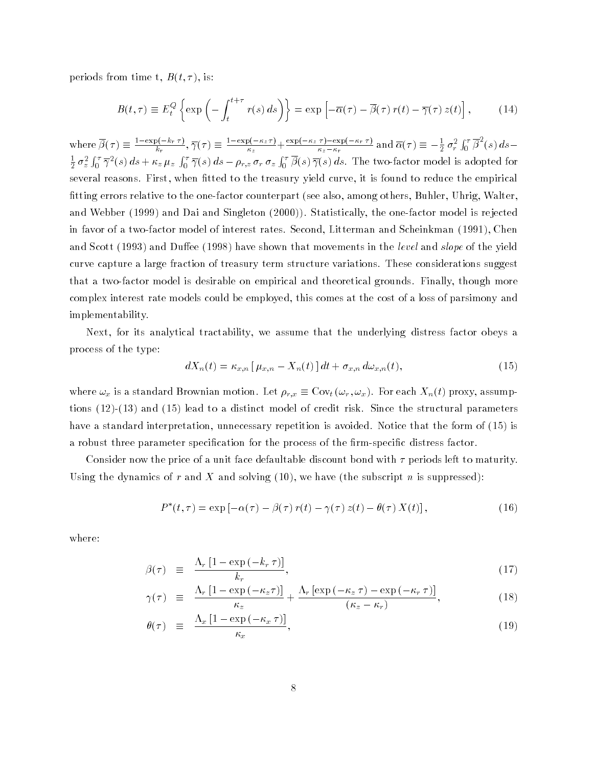periods from time t,  $B(t, \tau)$ , is:

$$
B(t,\tau) \equiv E_t^Q \left\{ \exp \left( - \int_t^{t+\tau} r(s) \, ds \right) \right\} = \exp \left[ -\overline{\alpha}(\tau) - \overline{\beta}(\tau) \, r(t) - \overline{\gamma}(\tau) \, z(t) \right],\tag{14}
$$

where  $\beta(\tau) \equiv \frac{-\frac{\epsilon}{\epsilon} \mathbf{r} + \frac{\epsilon}{\epsilon}}{L}$ ,  $\overline{\gamma}$  $\frac{\partial \overline{X}_r(\tau)}{\partial x_k}$ ,  $\overline{\gamma}(\tau) \equiv \frac{1-\exp(-\kappa_z \tau)}{\kappa_z} + \frac{\exp(-\kappa_z \tau) - \exp(-\kappa_r \tau)}{\kappa_z - \kappa_r}$  and  $\overline{\alpha}(\tau) \equiv -\frac{1}{2} \sigma_r^2 \int_0^{\tau} \beta^2(s) ds$  $\frac{1}{2}\sigma_z^2\int_0^\tau\overline{\gamma}^2(s)\,ds+\kappa_z\,\mu_z\,\int_0^\tau\overline{\gamma}(s)\,ds-\rho_{r,z}\,\sigma_r\,\sigma_z\int_0^\tau\beta(s)\,\overline{\gamma}(s)\,ds.$  The two-factor model is adopted for several reasons. First, when fitted to the treasury yield curve, it is found to reduce the empirical tting errors relative to the one-factor counterpart (see also, among others, Buhler, Uhrig, Walter, and Webber (1999) and Dai and Singleton (2000)). Statistically, the one-factor model is rejected in favor of a two-factor model of interest rates. Second, Litterman and Scheinkman (1991), Chen and Scott (1993) and Duffee (1998) have shown that movements in the *level* and *slope* of the yield curve capture a large fraction of treasury term structure variations. These considerations suggest that a two-factor model is desirable on empirical and theoretical grounds. Finally, though more complex interest rate models could be employed, this comes at the cost of a loss of parsimony and implementability.

Next, for its analytical tractability, we assume that the underlying distress factor obeys a process of the type:

$$
dX_n(t) = \kappa_{x,n} \left[ \mu_{x,n} - X_n(t) \right] dt + \sigma_{x,n} d\omega_{x,n}(t), \tag{15}
$$

where  $\mathbf{w}_x$  is a standard Brownian motion. Let  $\mathbf{r}_{T,x} = \mathbf{v} \cdot \mathbf{r}_t \cdot \mathbf{w}_T$ ,  $\mathbf{r} \cdot \mathbf{r}_T$ ,  $\mathbf{r}_T$ , assumptions (12)-(13) and (15) lead to a distinct model of credit risk. Since the structural parameters have a standard interpretation, unnecessary repetition is avoided. Notice that the form of (15) is a robust three parameter specification for the process of the firm-specific distress factor.

Consider now the price of a unit face defaultable discount bond with  $\tau$  periods left to maturity. Using the dynamics of r and X and solving  $(10)$ , we have (the subscript n is suppressed):

$$
P^*(t,\tau) = \exp\left[-\alpha(\tau) - \beta(\tau)r(t) - \gamma(\tau)z(t) - \theta(\tau)X(t)\right],\tag{16}
$$

where:

$$
\beta(\tau) \equiv \frac{\Lambda_r \left[1 - \exp\left(-k_r \tau\right)\right]}{k_r},\tag{17}
$$

$$
\gamma(\tau) \equiv \frac{\Lambda_r \left[1 - \exp\left(-\kappa_z \tau\right)\right]}{\kappa_z} + \frac{\Lambda_r \left[\exp\left(-\kappa_z \tau\right) - \exp\left(-\kappa_r \tau\right)\right]}{(\kappa_z - \kappa_r)},\tag{18}
$$

$$
\theta(\tau) \equiv \frac{\Lambda_x \left[1 - \exp\left(-\kappa_x \tau\right)\right]}{\kappa_x},\tag{19}
$$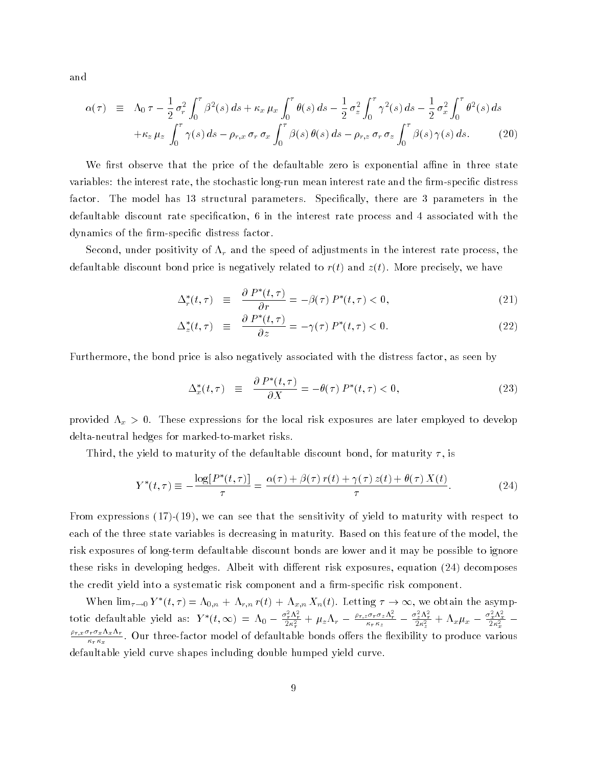and

$$
\alpha(\tau) \equiv \Lambda_0 \tau - \frac{1}{2} \sigma_r^2 \int_0^{\tau} \beta^2(s) \, ds + \kappa_x \, \mu_x \int_0^{\tau} \theta(s) \, ds - \frac{1}{2} \sigma_z^2 \int_0^{\tau} \gamma^2(s) \, ds - \frac{1}{2} \sigma_x^2 \int_0^{\tau} \theta^2(s) \, ds + \kappa_z \, \mu_z \int_0^{\tau} \gamma(s) \, ds - \rho_{r,x} \, \sigma_r \, \sigma_x \int_0^{\tau} \beta(s) \, \theta(s) \, ds - \rho_{r,z} \, \sigma_r \, \sigma_z \int_0^{\tau} \beta(s) \, \gamma(s) \, ds. \tag{20}
$$

We first observe that the price of the defaultable zero is exponential affine in three state variables: the interest rate, the stochastic long-run mean interest rate and the firm-specific distress factor. The model has 13 structural parameters. Specically, there are 3 parameters in the defaultable discount rate specication, 6 in the interest rate process and 4 associated with the dynamics of the firm-specific distress factor.

Second, under positivity of r and the speed of adjustments in the interest rate process, the defaultable discount bond price is negatively related to  $r(t)$  and  $z(t)$ . More precisely, we have

$$
\Delta_r^*(t,\tau) \quad \equiv \quad \frac{\partial \, P^*(t,\tau)}{\partial r} = -\beta(\tau) \, P^*(t,\tau) < 0,\tag{21}
$$

$$
\Delta_z^*(t,\tau) \quad \equiv \quad \frac{\partial \, P^*(t,\tau)}{\partial z} = -\gamma(\tau) \, P^*(t,\tau) < 0. \tag{22}
$$

Furthermore, the bond price is also negatively associated with the distress factor, as seen by

$$
\Delta_x^*(t,\tau) \quad \equiv \quad \frac{\partial \, P^*(t,\tau)}{\partial X} = -\theta(\tau) \, P^*(t,\tau) < 0,\tag{23}
$$

provided x <sup>&</sup>gt; 0. These expressions for the local risk exposures are later employed to develop delta-neutral hedges for marked-to-market risks.

Third, the yield to maturity of the defaultable discount bond, for maturity  $\tau$ , is

$$
Y^*(t,\tau) \equiv -\frac{\log[P^*(t,\tau)]}{\tau} = \frac{\alpha(\tau) + \beta(\tau)r(t) + \gamma(\tau)z(t) + \theta(\tau)X(t)}{\tau}.
$$
 (24)

From expressions (17)-(19), we can see that the sensitivity of yield to maturity with respect to each of the three state variables is decreasing in maturity. Based on this feature of the model, the risk exposures of long-term defaultable discount bonds are lower and it may be possible to ignore these risks in developing hedges. Albeit with different risk exposures, equation (24) decomposes the credit yield into a systematic risk component and a firm-specific risk component.

When  $\lim_{\tau\to 0} I_{-}(t, \tau) = \Lambda_{0,n} + \Lambda_{r,n} \tau(t) + \Lambda_{x,n} \Lambda_n(t)$ . Letting  $\tau \to \infty$ , we obtain the asymptotic defaultable yield as:  $Y^*(t,\infty) = \Lambda_0 - \frac{\sigma_r^2 \Lambda_r^2}{2\kappa_r^2} + \mu_z \Lambda_r - \frac{\rho_{r,z} \sigma_r \sigma_z \Lambda_r^2}{\kappa_r \kappa_z} - \frac{\sigma_z^2 \Lambda_r^2}{2\kappa_z^2} + \Lambda_x \mu_x - \frac{\sigma_x^2 \Lambda_x^2}{2\kappa_x^2}$ ri $x \cdot y \cdot x \cdot x \cdot y$  $\kappa_r \kappa_x$  and the defaultable bonds of defaultable bonds of defaultable bonds of defaultable bonds of defaultable bonds of defaultable bonds of defaultable bonds of defaultable bonds of defaultable bonds of defaultable b defaultable yield curve shapes including double humped yield curve.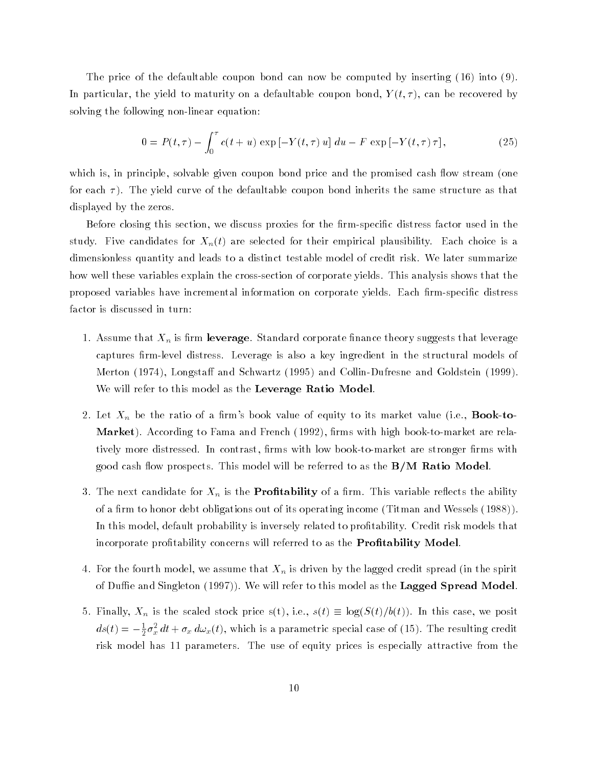The price of the defaultable coupon bond can now be computed by inserting (16) into (9). In particular, the yield to maturity on a defaultable coupon bond,  $Y(t, \tau)$ , can be recovered by solving the following non-linear equation:

$$
0 = P(t,\tau) - \int_0^{\tau} c(t+u) \exp[-Y(t,\tau)u] du - F \exp[-Y(t,\tau)\tau],
$$
\n(25)

which is, in principle, solvable given coupon bond price and the promised cash flow stream (one for each  $\tau$ ). The yield curve of the defaultable coupon bond inherits the same structure as that displayed by the zeros.

Before closing this section, we discuss proxies for the firm-specific distress factor used in the study. Five candidates for  $X_n(t)$  are selected for their empirical plausibility. Each choice is a dimensionless quantity and leads to a distinct testable model of credit risk. We later summarize how well these variables explain the cross-section of corporate yields. This analysis shows that the proposed variables have incremental information on corporate yields. Each firm-specific distress factor is discussed in turn:

- $\cdots$  . The metric that  $\cdots$  is the standard corporate theory suggests that leveral such that leverage. captures firm-level distress. Leverage is also a key ingredient in the structural models of Merton (1974), Longstaff and Schwartz (1995) and Collin-Dufresne and Goldstein (1999). We will refer to this model as the Leverage Ratio Model.
- 2. Let  $X_n$  be the ratio of a firm's book value of equity to its market value (i.e., **Book-to-**Market). According to Fama and French (1992), firms with high book-to-market are relatively more distressed. In contrast, firms with low book-to-market are stronger firms with good cash flow prospects. This model will be referred to as the  $B/M$  Ratio Model.
- $\mathcal{S}$  . The next candidate for  $\mathcal{S}$  is the Proposition of a result of ability  $\mathcal{S}$ of a firm to honor debt obligations out of its operating income (Titman and Wessels (1988)). In this model, default probability is inversely related to protability. Credit risk models that incorporate profitability concerns will referred to as the **Profitability Model**.
- $\sim$  for the fourth model, we assume that  $\sim$  is driven by the spirit spirit spirit spirit spirit spirit of Duffie and Singleton  $(1997)$ ). We will refer to this model as the Lagged Spread Model.
- $S$ . Finally, I.e., is the scale stock price s(t), i.e., s(t)  $\sim$  s(c)(S(t)). In this case, we posit  $as(t) = -\frac{1}{2}\sigma_x^2\,at + \sigma_x\,a\omega_x(t),$  which is a parametric special case of (15). The resulting credit risk model has 11 parameters. The use of equity prices is especially attractive from the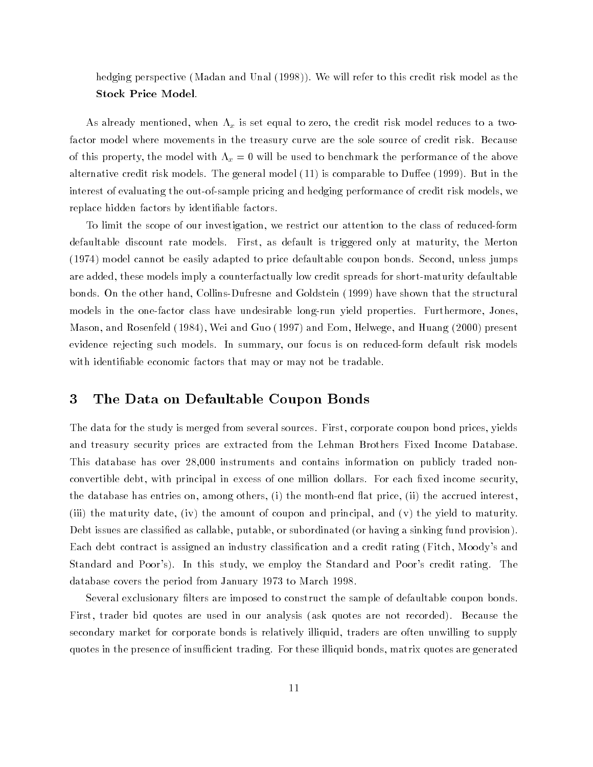hedging perspective (Madan and Unal (1998)). We will refer to this credit risk model as the Stock Price Model.

As already mentioned, when x is set equal to zero, the credit risk model reduces to a twofactor model where movements in the treasury curve are the sole source of credit risk. Because of this property, the model with x = 0 will be used to benchmark the performance of the above alternative credit risk models. The general model  $(11)$  is comparable to Duffee  $(1999)$ . But in the interest of evaluating the out-of-sample pricing and hedging performance of credit risk models, we replace hidden factors by identiable factors.

To limit the scope of our investigation, we restrict our attention to the class of reduced-form defaultable discount rate models. First, as default is triggered only at maturity, the Merton (1974) model cannot be easily adapted to price defaultable coupon bonds. Second, unless jumps are added, these models imply a counterfactually low credit spreads for short-maturity defaultable bonds. On the other hand, Collins-Dufresne and Goldstein (1999) have shown that the structural models in the one-factor class have undesirable long-run yield properties. Furthermore, Jones, Mason, and Rosenfeld (1984), Wei and Guo (1997) and Eom, Helwege, and Huang (2000) present evidence rejecting such models. In summary, our focus is on reduced-form default risk models with identiable economic factors that may or may not be tradable.

## 3 The Data on Defaultable Coupon Bonds

The data for the study is merged from several sources. First, corporate coupon bond prices, yields and treasury security prices are extracted from the Lehman Brothers Fixed Income Database. This database has over 28,000 instruments and contains information on publicly traded nonconvertible debt, with principal in excess of one million dollars. For each fixed income security, the database has entries on, among others, (i) the month-end flat price, (ii) the accrued interest, (iii) the maturity date, (iv) the amount of coupon and principal, and (v) the yield to maturity. Debt issues are classied as callable, putable, or subordinated (or having a sinking fund provision). Each debt contract is assigned an industry classification and a credit rating (Fitch, Moody's and Standard and Poor's). In this study, we employ the Standard and Poor's credit rating. The database covers the period from January 1973 to March 1998.

Several exclusionary lters are imposed to construct the sample of defaultable coupon bonds. First, trader bid quotes are used in our analysis (ask quotes are not recorded). Because the secondary market for corporate bonds is relatively illiquid, traders are often unwilling to supply quotes in the presence of insufficient trading. For these illiquid bonds, matrix quotes are generated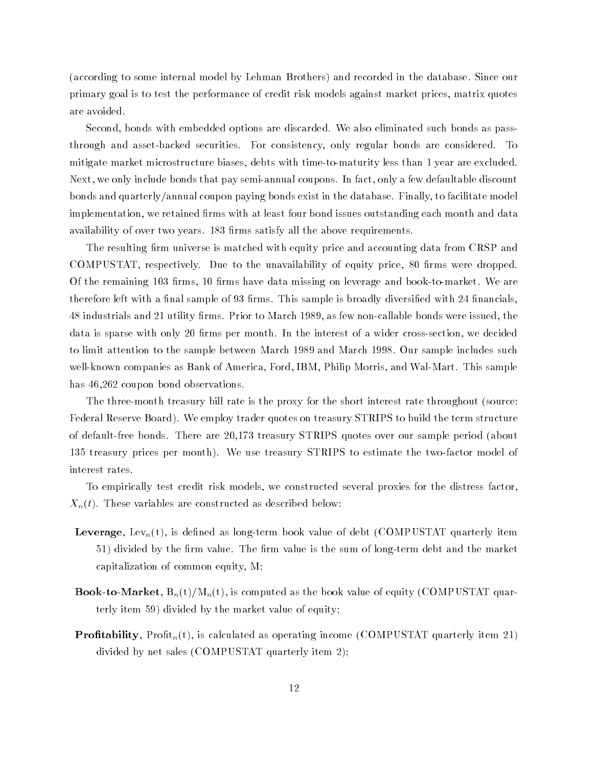(according to some internal model by Lehman Brothers) and recorded in the database. Since our primary goal is to test the performance of credit risk models against market prices, matrix quotes are avoided.

Second, bonds with embedded options are discarded. We also eliminated such bonds as passthrough and asset-backed securities. For consistency, only regular bonds are considered. To mitigate market microstructure biases, debts with time-to-maturity less than 1 year are excluded. Next, we only include bonds that pay semi-annual coupons. In fact, only a few defaultable discount bonds and quarterly/annual coupon paying bonds exist in the database. Finally, to facilitate model implementation, we retained firms with at least four bond issues outstanding each month and data availability of over two years. 183 firms satisfy all the above requirements.

The resulting firm universe is matched with equity price and accounting data from CRSP and COMPUSTAT, respectively. Due to the unavailability of equity price, 80 firms were dropped. Of the remaining 103 firms, 10 firms have data missing on leverage and book-to-market. We are therefore left with a final sample of 93 firms. This sample is broadly diversified with 24 financials, 48 industrials and 21 utility firms. Prior to March 1989, as few non-callable bonds were issued, the data is sparse with only 20 firms per month. In the interest of a wider cross-section, we decided to limit attention to the sample between March 1989 and March 1998. Our sample includes such well-known companies as Bank of America, Ford, IBM, Philip Morris, and Wal-Mart. This sample has 46,262 coupon bond observations.

The three-month treasury bill rate is the proxy for the short interest rate throughout (source: Federal Reserve Board). We employ trader quotes on treasury STRIPS to build the term structure of default-free bonds. There are 20,173 treasury STRIPS quotes over our sample period (about 135 treasury prices per month). We use treasury STRIPS to estimate the two-factor model of interest rates.

To empirically test credit risk models, we constructed several proxies for the distress factor,  $X_n(t)$ . These variables are constructed as described below:

- **Leverage**, Lev<sub>n</sub>(t), is defined as long-term book value of debt (COMPUSTAT quarterly item 51) divided by the firm value. The firm value is the sum of long-term debt and the market capitalization of common equity, M;
- **Book-to-Market,**  $B_n(t)/M_n(t)$ , is computed as the book value of equity (COMPUSTAT quarterly item 59) divided by the market value of equity;
- **Profitability**, Profit<sub>n</sub>(t), is calculated as operating income (COMPUSTAT quarterly item 21) divided by net sales (COMPUSTAT quarterly item 2);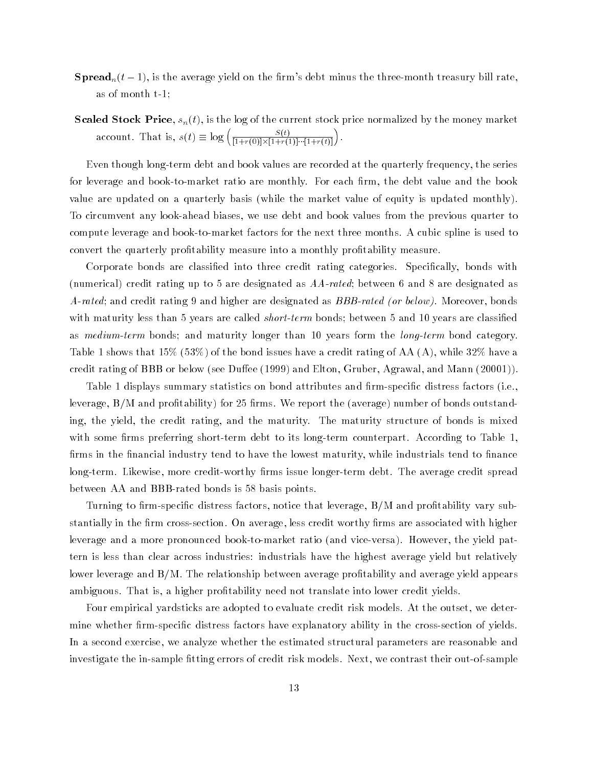- **Spread**<sub>n</sub> $(t-1)$ , is the average yield on the firm's debt minus the three-month treasury bill rate, as of month t-1;
- **Scaled Stock Price**,  $s_n(t)$ , is the log of the current stock price normalized by the money market account. That is,  $s(t) \equiv \log \left( \frac{S(t)}{[1 + s(0)] \times [1 + s(1)]} \right)$  $\frac{S(t)}{[1+r(0)]\times[1+r(1)]\cdots[1+r(t)]}$ .

Even though long-term debt and book values are recorded at the quarterly frequency, the series for leverage and book-to-market ratio are monthly. For each firm, the debt value and the book value are updated on a quarterly basis (while the market value of equity is updated monthly). To circumvent any look-ahead biases, we use debt and book values from the previous quarter to compute leverage and book-to-market factors for the next three months. A cubic spline is used to convert the quarterly protability measure into a monthly protability measure.

Corporate bonds are classified into three credit rating categories. Specifically, bonds with (numerical) credit rating up to 5 are designated as AA-rated; between 6 and 8 are designated as A-rated; and credit rating 9 and higher are designated as BBB-rated (or below). Moreover, bonds with maturity less than 5 years are called *short-term* bonds; between 5 and 10 years are classified as medium-term bonds; and maturity longer than 10 years form the long-term bond category. Table 1 shows that 15% (53%) of the bond issues have a credit rating of AA (A), while 32% have a credit rating of BBB or below (see Duffee  $(1999)$  and Elton, Gruber, Agrawal, and Mann  $(20001)$ ).

Table 1 displays summary statistics on bond attributes and firm-specific distress factors (i.e., leverage, B/M and profitability) for 25 firms. We report the (average) number of bonds outstanding, the yield, the credit rating, and the maturity. The maturity structure of bonds is mixed with some firms preferring short-term debt to its long-term counterpart. According to Table 1, firms in the financial industry tend to have the lowest maturity, while industrials tend to finance long-term. Likewise, more credit-worthy firms issue longer-term debt. The average credit spread between AA and BBB-rated bonds is 58 basis points.

Turning to firm-specific distress factors, notice that leverage,  $B/M$  and profitability vary substantially in the firm cross-section. On average, less credit worthy firms are associated with higher leverage and a more pronounced book-to-market ratio (and vice-versa). However, the yield pattern is less than clear across industries: industrials have the highest average yield but relatively lower leverage and  $B/M$ . The relationship between average profitability and average yield appears ambiguous. That is, a higher profitability need not translate into lower credit yields.

Four empirical yardsticks are adopted to evaluate credit risk models. At the outset, we determine whether firm-specific distress factors have explanatory ability in the cross-section of yields. In a second exercise, we analyze whether the estimated structural parameters are reasonable and investigate the in-sample fitting errors of credit risk models. Next, we contrast their out-of-sample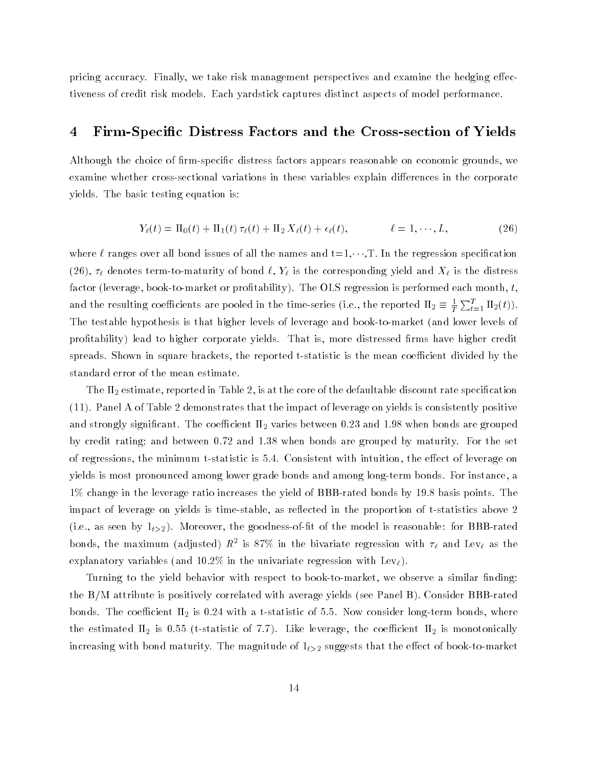pricing accuracy. Finally, we take risk management perspectives and examine the hedging effectiveness of credit risk models. Each yardstick captures distinct aspects of model performance.

## 4 Firm-Specic Distress Factors and the Cross-section of Yields

Although the choice of firm-specific distress factors appears reasonable on economic grounds, we examine whether cross-sectional variations in these variables explain differences in the corporate yields. The basic testing equation is:

$$
Y_{\ell}(t) = \Pi_0(t) + \Pi_1(t)\,\tau_{\ell}(t) + \Pi_2\,X_{\ell}(t) + \epsilon_{\ell}(t), \qquad \ell = 1, \cdots, L, \qquad (26)
$$

where  $\ell$  ranges over all bond issues of all the names and  $t=1,\dots,T$ . In the regression specification (26),  $\ell$  denotes the corresponding  $\ell$  is the corresponding  $\ell$  is the distribution and  $\ell$  is the distressed of  $\ell$ factor (leverage, book-to-market or profitability). The OLS regression is performed each month,  $t$ , and the resulting coefficients are pooled in the time-series (i.e., the reported  $\Pi_2\equiv\frac{1}{T}\sum_{t=1}^T\Pi_2(t)).$ The testable hypothesis is that higher levels of leverage and book-to-market (and lower levels of profitability) lead to higher corporate yields. That is, more distressed firms have higher credit spreads. Shown in square brackets, the reported t-statistic is the mean coefficient divided by the standard error of the mean estimate.

The  $\Pi_2$  estimate, reported in Table 2, is at the core of the defaultable discount rate specification (11). Panel A of Table 2 demonstrates that the impact of leverage on yields is consistently positive and strongly significant. The coefficient  $\Pi_2$  varies between 0.23 and 1.98 when bonds are grouped by credit rating; and between 0.72 and 1.38 when bonds are grouped by maturity. For the set of regressions, the minimum t-statistic is 5.4. Consistent with intuition, the effect of leverage on yields is most pronounced among lower grade bonds and among long-term bonds. For instance, a 1% change in the leverage ratio increases the yield of BBB-rated bonds by 19.8 basis points. The impact of leverage on yields is time-stable, as reflected in the proportion of t-statistics above 2 (i.e., as seen by  $1_{t>2}$ ). Moreover, the goodness-of-fit of the model is reasonable: for BBB-rated bonds, the maximum (adjusted)  $K^-$  is 87% in the bivariate regression with  $\tau_\ell$  and Lev $_\ell$  as the explanatory variables (and 10.2% in the univariate regression with  $\text{Lev}_\ell$ ).

Turning to the yield behavior with respect to book-to-market, we observe a similar finding: the B/M attribute is positively correlated with average yields (see Panel B). Consider BBB-rated bonds. The coefficient  $\Pi_2$  is 0.24 with a t-statistic of 5.5. Now consider long-term bonds, where the estimated  $\Pi_2$  is 0.55 (t-statistic of 7.7). Like leverage, the coefficient  $\Pi_2$  is monotonically increasing with bond maturity. The magnitude of  $1_{t>2}$  suggests that the effect of book-to-market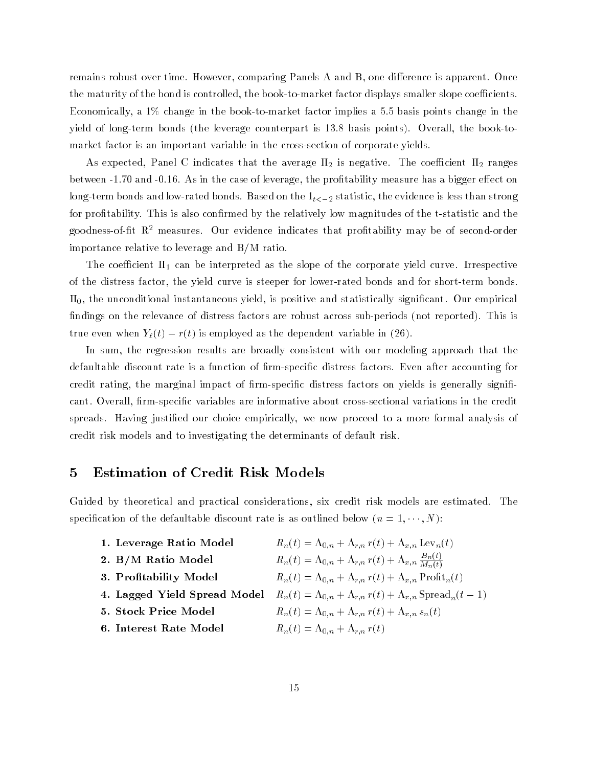remains robust over time. However, comparing Panels A and B, one difference is apparent. Once the maturity of the bond is controlled, the book-to-market factor displays smaller slope coefficients. Economically, a 1% change in the book-to-market factor implies a 5.5 basis points change in the yield of long-term bonds (the leverage counterpart is 13.8 basis points). Overall, the book-tomarket factor is an important variable in the cross-section of corporate yields.

As expected, Panel C indicates that the average  $\Pi_2$  is negative. The coefficient  $\Pi_2$  ranges between -1.70 and -0.16. As in the case of leverage, the profitability measure has a bigger effect on long-term bonds and low-rated bonds. Based on the  $1_{t<-2}$  statistic, the evidence is less than strong for profitability. This is also confirmed by the relatively low magnitudes of the t-statistic and the goodness-of-fit  $\mathbb{R}^2$  measures. Our evidence indicates that profitability may be of second-order importance relative to leverage and B/M ratio.

The coefficient  $\Pi_1$  can be interpreted as the slope of the corporate yield curve. Irrespective of the distress factor, the yield curve is steeper for lower-rated bonds and for short-term bonds.  $\Pi_0$ , the unconditional instantaneous yield, is positive and statistically significant. Our empirical findings on the relevance of distress factors are robust across sub-periods (not reported). This is true even when  $Y_{\ell}(t) - r(t)$  is employed as the dependent variable in (26).

In sum, the regression results are broadly consistent with our modeling approach that the defaultable discount rate is a function of firm-specific distress factors. Even after accounting for credit rating, the marginal impact of firm-specific distress factors on yields is generally significant. Overall, firm-specific variables are informative about cross-sectional variations in the credit spreads. Having justied our choice empirically, we now proceed to a more formal analysis of credit risk models and to investigating the determinants of default risk.

### 5 Estimation of Credit Risk Models

Guided by theoretical and practical considerations, six credit risk models are estimated. The specification of the defaultable discount rate is as outlined below  $(n = 1, \dots, N)$ :

| 1. Leverage Ratio Model      | $R_n(t) = \Lambda_{0,n} + \Lambda_{r,n} r(t) + \Lambda_{x,n} \operatorname{Lev}_n(t)$     |
|------------------------------|-------------------------------------------------------------------------------------------|
| 2. B/M Ratio Model           | $R_n(t) = \Lambda_{0,n} + \Lambda_{r,n} r(t) + \Lambda_{x,n} \frac{B_n(t)}{M_n(t)}$       |
| 3. Profitability Model       | $R_n(t) = \Lambda_{0,n} + \Lambda_{r,n} r(t) + \Lambda_{x,n} \text{Profit}_n(t)$          |
| 4. Lagged Yield Spread Model | $R_n(t) = \Lambda_{0,n} + \Lambda_{r,n} r(t) + \Lambda_{x,n}$ Spread <sub>n</sub> $(t-1)$ |
| 5. Stock Price Model         | $R_n(t) = \Lambda_{0,n} + \Lambda_{r,n} r(t) + \Lambda_{x,n} s_n(t)$                      |
| 6. Interest Rate Model       | $R_n(t) = \Lambda_{0,n} + \Lambda_{r,n} r(t)$                                             |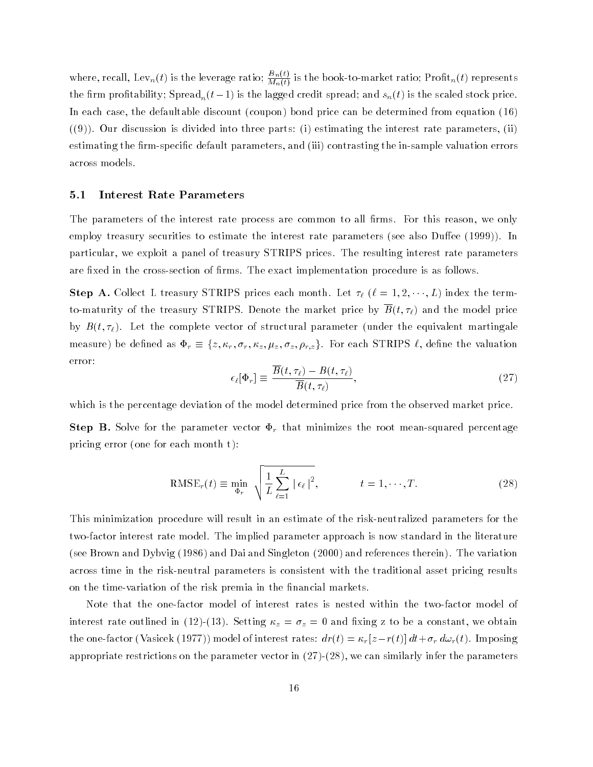where, recall, Lev<sub>n</sub>(t) is the leverage ratio;  $\frac{m(v)}{M_n(t)}$  is the book-to-market ratio;  $\mathrm{Proht}_n(t)$  represents the firm profitability; Spread<sub>n</sub> $(t-1)$  is the lagged credit spread; and  $s_n(t)$  is the scaled stock price. In each case, the defaultable discount (coupon) bond price can be determined from equation (16)  $((9))$ . Our discussion is divided into three parts: (i) estimating the interest rate parameters, (ii) estimating the firm-specific default parameters, and (iii) contrasting the in-sample valuation errors across models.

#### 5.1 Interest Rate Parameters

The parameters of the interest rate process are common to all firms. For this reason, we only employ treasury securities to estimate the interest rate parameters (see also Duffee (1999)). In particular, we exploit a panel of treasury STRIPS prices. The resulting interest rate parameters are fixed in the cross-section of firms. The exact implementation procedure is as follows.

 $S_{\text{S}}$  are collect L treasury STRIPS prices each month. Let  $\mathcal{U}$  ( $\mathcal{V}$  = 1; 2;  $\mathcal{U}$  index the term to-maturity of the treasury STRIPS. Denote the market price by  $\overline{B}(t, \tau_{\ell})$  and the model price by  $B(t, \tau_{\ell})$ . Let the complete vector of structural parameter (under the equivalent martingale  $m$ eas are  $j$  be defined as  $\pm \gamma = (r, r \gamma, r \gamma, r \gamma, r \gamma, r \gamma)$   $r \gamma$ ,  $r \gamma$ ,  $r \gamma$ ,  $r \gamma$ ,  $r \gamma$ ,  $r \gamma$ ,  $r \gamma$ ,  $r \gamma$ ,  $r \gamma$ ,  $r \gamma$ ,  $r \gamma$ ,  $r \gamma$ ,  $r \gamma$ ,  $r \gamma$ ,  $r \gamma$ ,  $r \gamma$ ,  $r \gamma$ ,  $r \gamma$ ,  $r \gamma$ ,  $r \gamma$ ,  $r \gamma$ ,  $r \gamma$ ,  $r \gamma$ , error:

$$
\epsilon_{\ell}[\Phi_r] \equiv \frac{\overline{B}(t,\tau_{\ell}) - B(t,\tau_{\ell})}{\overline{B}(t,\tau_{\ell})},\tag{27}
$$

which is the percentage deviation of the model determined price from the observed market price.

 $S$  . So step for the parameter vector  $\mathcal{L}_f$  , that minimizes the root measured percentage percentage pricing error (one for each month t):

$$
RMSE_r(t) \equiv \min_{\Phi_r} \sqrt{\frac{1}{L} \sum_{\ell=1}^L |\epsilon_\ell|^2}, \qquad t = 1, \cdots, T. \tag{28}
$$

This minimization procedure will result in an estimate of the risk-neutralized parameters for the two-factor interest rate model. The implied parameter approach is now standard in the literature (see Brown and Dybvig (1986) and Dai and Singleton (2000) and references therein). The variation across time in the risk-neutral parameters is consistent with the traditional asset pricing results on the time-variation of the risk premia in the financial markets.

Note that the one-factor model of interest rates is nested within the two-factor model of interest rate outlined in (12)-(13). Setting  $\alpha$   $\beta$   $\beta$   $\beta$  and  $\alpha$  and  $\alpha$  and  $\alpha$  constants of  $\alpha$  and  $\alpha$ the one-factor (Vasicek (1977)) model of interest rates: dr(t) = r [zr(t)] dt+r d!r(t). Imposing appropriate restrictions on the parameter vector in  $(27)-(28)$ , we can similarly infer the parameters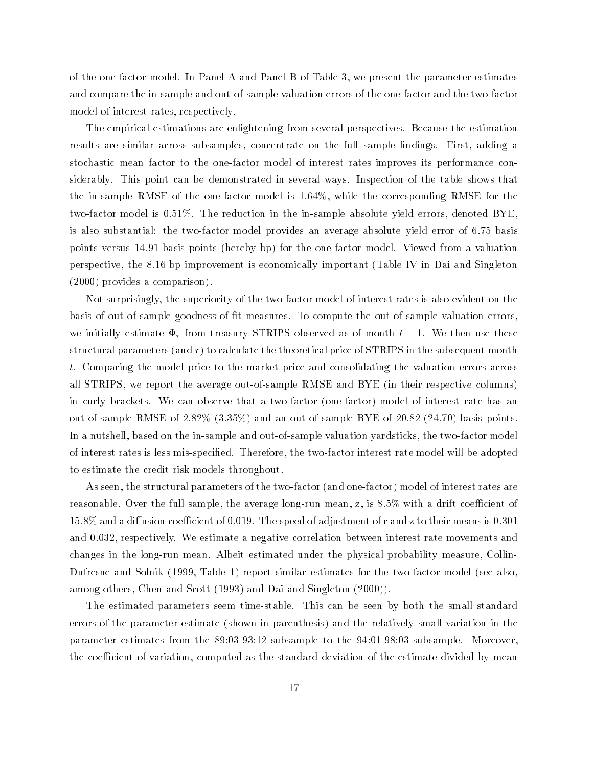of the one-factor model. In Panel A and Panel B of Table 3, we present the parameter estimates and compare the in-sample and out-of-sample valuation errors of the one-factor and the two-factor model of interest rates, respectively.

The empirical estimations are enlightening from several perspectives. Because the estimation results are similar across subsamples, concentrate on the full sample findings. First, adding a stochastic mean factor to the one-factor model of interest rates improves its performance considerably. This point can be demonstrated in several ways. Inspection of the table shows that the in-sample RMSE of the one-factor model is 1.64%, while the corresponding RMSE for the two-factor model is 0.51%. The reduction in the in-sample absolute yield errors, denoted BYE, is also substantial: the two-factor model provides an average absolute yield error of 6.75 basis points versus 14.91 basis points (hereby bp) for the one-factor model. Viewed from a valuation perspective, the 8.16 bp improvement is economically important (Table IV in Dai and Singleton (2000) provides a comparison).

Not surprisingly, the superiority of the two-factor model of interest rates is also evident on the basis of out-of-sample goodness-of-t measures. To compute the out-of-sample valuation errors, we <del>interest from the reasury STRIPS of the strips of the strips of month to the use the strips of the use the strip</del> structural parameters (and  $r$ ) to calculate the theoretical price of STRIPS in the subsequent month t. Comparing the model price to the market price and consolidating the valuation errors across all STRIPS, we report the average out-of-sample RMSE and BYE (in their respective columns) in curly brackets. We can observe that a two-factor (one-factor) model of interest rate has an out-of-sample RMSE of 2.82% (3.35%) and an out-of-sample BYE of 20.82 (24.70) basis points. In a nutshell, based on the in-sample and out-of-sample valuation yardsticks, the two-factor model of interest rates is less mis-specied. Therefore, the two-factor interest rate model will be adopted to estimate the credit risk models throughout.

As seen, the structural parameters of the two-factor (and one-factor) model of interest rates are reasonable. Over the full sample, the average long-run mean, z, is  $8.5\%$  with a drift coefficient of  $15.8\%$  and a diffusion coefficient of 0.019. The speed of adjustment of r and z to their means is 0.301 and 0.032, respectively. We estimate a negative correlation between interest rate movements and changes in the long-run mean. Albeit estimated under the physical probability measure, Collin-Dufresne and Solnik (1999, Table 1) report similar estimates for the two-factor model (see also, among others, Chen and Scott (1993) and Dai and Singleton (2000)).

The estimated parameters seem time-stable. This can be seen by both the small standard errors of the parameter estimate (shown in parenthesis) and the relatively small variation in the parameter estimates from the 89:03-93:12 subsample to the 94:01-98:03 subsample. Moreover, the coefficient of variation, computed as the standard deviation of the estimate divided by mean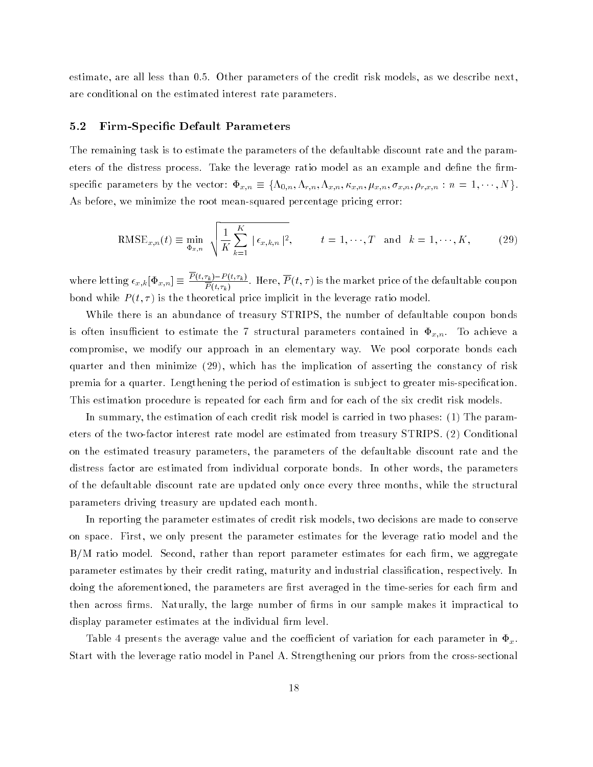estimate, are all less than 0.5. Other parameters of the credit risk models, as we describe next, are conditional on the estimated interest rate parameters.

#### 5.2 Firm-Specic Default Parameters

The remaining task is to estimate the parameters of the defaultable discount rate and the parameters of the distress process. Take the leverage ratio model as an example and define the firm $s_{\mathcal{P}}$  parameters by the vector:  $x_{x,n} = (x_{0,n}, x_{r,n}, x_{x,n}, x_{x,n}, x_{x,n}, x_{x,n}, x_{r,n}, \ldots, x_{n}$ As before, we minimize the root mean-squared percentage pricing error:

$$
\text{RMSE}_{x,n}(t) \equiv \min_{\Phi_{x,n}} \sqrt{\frac{1}{K} \sum_{k=1}^{K} |\epsilon_{x,k,n}|^2}, \qquad t = 1, \cdots, T \text{ and } k = 1, \cdots, K,
$$
 (29)

where letting  $\epsilon_{x,k} |\Phi_{x,n}| \equiv \frac{P(x,k)-P(x,k)}{P(x)}$ .  $P(t,\tau_k)$  . Here, P (c, c) is the market price of the defaultable coupon bond while  $P(t, \tau)$  is the theoretical price implicit in the leverage ratio model.

While there is an abundance of treasury STRIPS, the number of defaultable coupon bonds is often insufficient to estimate the 7 structural parameters contained in  $\Phi_{x,n}$ . To achieve a compromise, we modify our approach in an elementary way. We pool corporate bonds each quarter and then minimize (29), which has the implication of asserting the constancy of risk premia for a quarter. Lengthening the period of estimation is sub ject to greater mis-specication. This estimation procedure is repeated for each firm and for each of the six credit risk models.

In summary, the estimation of each credit risk model is carried in two phases: (1) The parameters of the two-factor interest rate model are estimated from treasury STRIPS. (2) Conditional on the estimated treasury parameters, the parameters of the defaultable discount rate and the distress factor are estimated from individual corporate bonds. In other words, the parameters of the defaultable discount rate are updated only once every three months, while the structural parameters driving treasury are updated each month.

In reporting the parameter estimates of credit risk models, two decisions are made to conserve on space. First, we only present the parameter estimates for the leverage ratio model and the  $B/M$  ratio model. Second, rather than report parameter estimates for each firm, we aggregate parameter estimates by their credit rating, maturity and industrial classication, respectively. In doing the aforementioned, the parameters are first averaged in the time-series for each firm and then across firms. Naturally, the large number of firms in our sample makes it impractical to display parameter estimates at the individual firm level.

Table 4 presents the average value and the coefficient of variation for each parameter in  $\Phi_x$ . Start with the leverage ratio model in Panel A. Strengthening our priors from the cross-sectional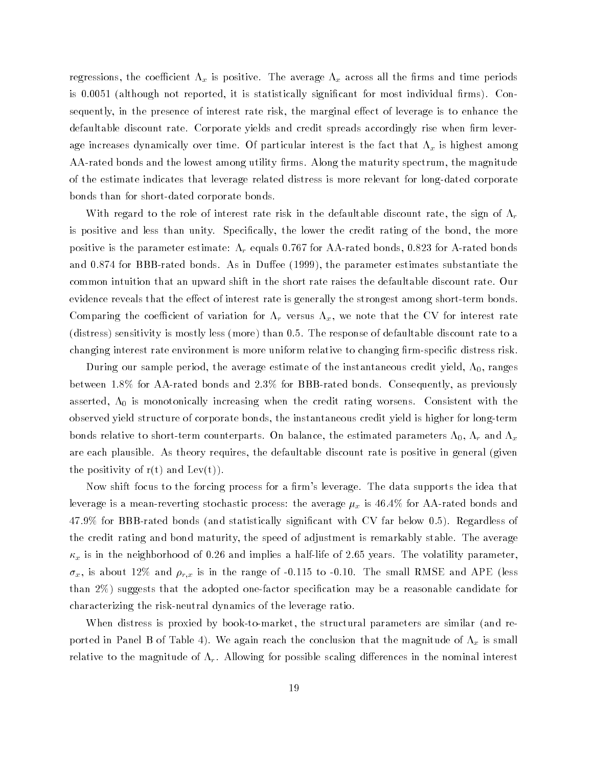regressions, the coefficient  $\mu$  is positive. The average  $\mu$  and time periods are regress all the average  $\mu$ is 0.0051 (although not reported, it is statistically significant for most individual firms). Consequently, in the presence of interest rate risk, the marginal effect of leverage is to enhance the defaultable discount rate. Corporate yields and credit spreads accordingly rise when firm leverage increases dynamically over time. Of particular interest is the fact that  $\tau_{\phi}$  is induced another  $\omega$ AA-rated bonds and the lowest among utility firms. Along the maturity spectrum, the magnitude of the estimate indicates that leverage related distress is more relevant for long-dated corporate bonds than for short-dated corporate bonds.

With regard to the role of interest rate risk in the defaultable discount rate, the sign of  $\Lambda_r$ is positive and less than unity. Specifically, the lower the credit rating of the bond, the more positive is the parameter estimate: r equals 0.767 for AA-rated bonds, 0.823 for A-rated bonds and  $0.874$  for BBB-rated bonds. As in Duffee (1999), the parameter estimates substantiate the common intuition that an upward shift in the short rate raises the defaultable discount rate. Our evidence reveals that the effect of interest rate is generally the strongest among short-term bonds.  $\mathcal{C} = \mathcal{C} = \{ \mathbf{1}, \ldots, \mathbf{1}, \ldots, \mathbf{1}, \ldots, \mathbf{1}, \ldots, \mathbf{1}, \ldots, \mathbf{1}, \ldots, \mathbf{1}, \ldots, \mathbf{1}, \ldots, \mathbf{1}, \ldots, \mathbf{1}, \ldots, \mathbf{1}, \ldots, \mathbf{1}, \ldots, \mathbf{1}, \ldots, \mathbf{1}, \ldots, \mathbf{1}, \ldots, \mathbf{1}, \ldots, \mathbf{1}, \ldots, \mathbf{1}, \ldots, \mathbf{1}, \ldots, \mathbf{1}, \ldots, \mathbf{$ (distress) sensitivity is mostly less (more) than 0.5. The response of defaultable discount rate to a changing interest rate environment is more uniform relative to changing firm-specific distress risk.

During our sample period, the average estimate of the instantaneous credit yield,  $\Lambda_{0},$  ranges between 1.8% for AA-rated bonds and 2.3% for BBB-rated bonds. Consequently, as previously asserted,  $\Lambda_0$  is monotonically increasing when the credit rating worsens. Consistent with the observed yield structure of corporate bonds, the instantaneous credit yield is higher for long-term bonds relative to short-term counterparts. On balance, the estimated parameters  $\Lambda_0$ ,  $\Lambda_r$  and  $\Lambda_x$ are each plausible. As theory requires, the defaultable discount rate is positive in general (given the positivity of  $r(t)$  and  $Lev(t)$ .

Now shift focus to the forcing process for a firm's leverage. The data supports the idea that leverage is a mean-reverting stochastic process: the average x is 46.4% for AA-rated bonds and 47.9% for BBB-rated bonds (and statistically signicant with CV far below 0.5). Regardless of the credit rating and bond maturity, the speed of adjustment is remarkably stable. The average x is in the neighborhood of 0.26 and implies a half-life of 2.65 years. The volatility parameter, x, is about 12% and rix is in the range of -0.115 to -0.115 to -0.115 to -0.10. The small RMSE and APE (less i than  $2\%$ ) suggests that the adopted one-factor specification may be a reasonable candidate for characterizing the risk-neutral dynamics of the leverage ratio.

When distress is proxied by book-to-market, the structural parameters are similar (and reported in Panel B of Table 4). We again reach the conclusion that the magnitude of x is small relative to the magnitude of r . Allowing for possible scaling dierences in the nominal interest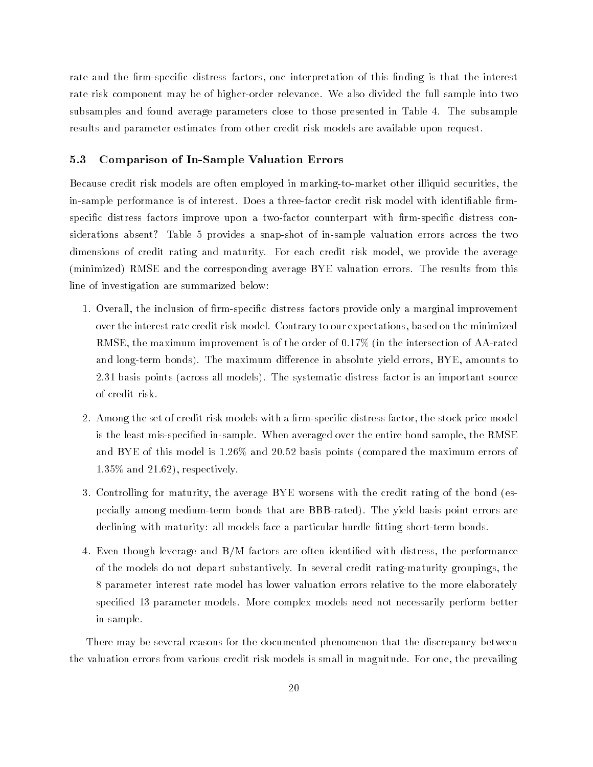rate and the firm-specific distress factors, one interpretation of this finding is that the interest rate risk component may be of higher-order relevance. We also divided the full sample into two subsamples and found average parameters close to those presented in Table 4. The subsample results and parameter estimates from other credit risk models are available upon request.

#### 5.3 Comparison of In-Sample Valuation Errors

Because credit risk models are often employed in marking-to-market other illiquid securities, the in-sample performance is of interest. Does a three-factor credit risk model with identifiable firmspecific distress factors improve upon a two-factor counterpart with firm-specific distress considerations absent? Table 5 provides a snap-shot of in-sample valuation errors across the two dimensions of credit rating and maturity. For each credit risk model, we provide the average (minimized) RMSE and the corresponding average BYE valuation errors. The results from this line of investigation are summarized below:

- 1. Overall, the inclusion of firm-specific distress factors provide only a marginal improvement over the interest rate credit risk model. Contrary to our expectations, based on the minimized RMSE, the maximum improvement is of the order of 0.17% (in the intersection of AA-rated and long-term bonds). The maximum difference in absolute yield errors, BYE, amounts to 2.31 basis points (across all models). The systematic distress factor is an important source of credit risk.
- 2. Among the set of credit risk models with a firm-specific distress factor, the stock price model is the least mis-specied in-sample. When averaged over the entire bond sample, the RMSE and BYE of this model is 1.26% and 20.52 basis points (compared the maximum errors of 1.35% and 21.62), respectively.
- 3. Controlling for maturity, the average BYE worsens with the credit rating of the bond (especially among medium-term bonds that are BBB-rated). The yield basis point errors are declining with maturity: all models face a particular hurdle fitting short-term bonds.
- 4. Even though leverage and B/M factors are often identied with distress, the performance of the models do not depart substantively. In several credit rating-maturity groupings, the 8 parameter interest rate model has lower valuation errors relative to the more elaborately specied 13 parameter models. More complex models need not necessarily perform better in-sample.

There may be several reasons for the documented phenomenon that the discrepancy between the valuation errors from various credit risk models is small in magnitude. For one, the prevailing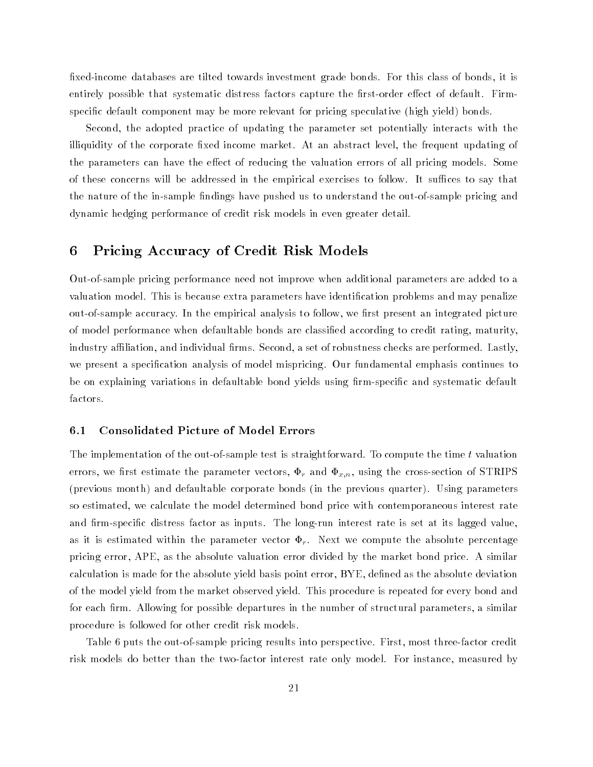fixed-income databases are tilted towards investment grade bonds. For this class of bonds, it is entirely possible that systematic distress factors capture the first-order effect of default. Firmspecic default component may be more relevant for pricing speculative (high yield) bonds.

Second, the adopted practice of updating the parameter set potentially interacts with the illiquidity of the corporate fixed income market. At an abstract level, the frequent updating of the parameters can have the effect of reducing the valuation errors of all pricing models. Some of these concerns will be addressed in the empirical exercises to follow. It suffices to say that the nature of the in-sample findings have pushed us to understand the out-of-sample pricing and dynamic hedging performance of credit risk models in even greater detail.

# 6 Pricing Accuracy of Credit Risk Models

Out-of-sample pricing performance need not improve when additional parameters are added to a valuation model. This is because extra parameters have identification problems and may penalize out-of-sample accuracy. In the empirical analysis to follow, we first present an integrated picture of model performance when defaultable bonds are classied according to credit rating, maturity, industry affiliation, and individual firms. Second, a set of robustness checks are performed. Lastly, we present a specication analysis of model mispricing. Our fundamental emphasis continues to be on explaining variations in defaultable bond yields using firm-specific and systematic default factors.

#### 6.1 Consolidated Picture of Model Errors

The implementation of the out-of-sample test is straightforward. To compute the time t valuation errors, we can assume that we can assume the parameter vectors, restriction of  $\alpha$ ; using the cross-section of STRIPSS  $\alpha$ (previous month) and defaultable corporate bonds (in the previous quarter). Using parameters so estimated, we calculate the model determined bond price with contemporaneous interest rate and firm-specific distress factor as inputs. The long-run interest rate is set at its lagged value, as it is estimated within the parameter vector r . Next we compute the absolute percentage pricing error, APE, as the absolute valuation error divided by the market bond price. A similar calculation is made for the absolute yield basis point error, BYE, dened as the absolute deviation of the model yield from the market observed yield. This procedure is repeated for every bond and for each firm. Allowing for possible departures in the number of structural parameters, a similar procedure is followed for other credit risk models.

Table 6 puts the out-of-sample pricing results into perspective. First, most three-factor credit risk models do better than the two-factor interest rate only model. For instance, measured by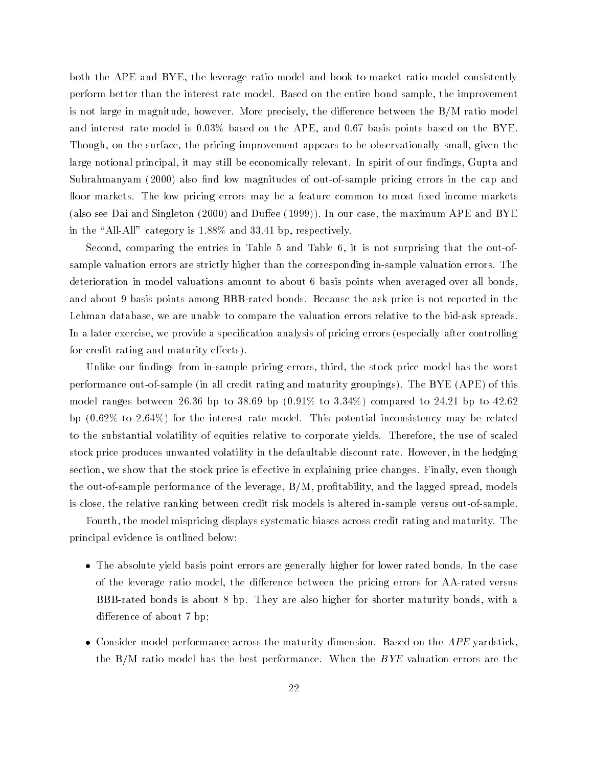both the APE and BYE, the leverage ratio model and book-to-market ratio model consistently perform better than the interest rate model. Based on the entire bond sample, the improvement is not large in magnitude, however. More precisely, the difference between the  $B/M$  ratio model and interest rate model is 0.03% based on the APE, and 0.67 basis points based on the BYE. Though, on the surface, the pricing improvement appears to be observationally small, given the large notional principal, it may still be economically relevant. In spirit of our findings, Gupta and Subrahmanyam (2000) also find low magnitudes of out-of-sample pricing errors in the cap and floor markets. The low pricing errors may be a feature common to most fixed income markets (also see Dai and Singleton (2000) and Duffee (1999)). In our case, the maximum APE and BYE in the "All-All" category is  $1.88\%$  and 33.41 bp, respectively.

Second, comparing the entries in Table 5 and Table 6, it is not surprising that the out-ofsample valuation errors are strictly higher than the corresponding in-sample valuation errors. The deterioration in model valuations amount to about 6 basis points when averaged over all bonds, and about 9 basis points among BBB-rated bonds. Because the ask price is not reported in the Lehman database, we are unable to compare the valuation errors relative to the bid-ask spreads. In a later exercise, we provide a specication analysis of pricing errors (especially after controlling for credit rating and maturity effects).

Unlike our findings from in-sample pricing errors, third, the stock price model has the worst performance out-of-sample (in all credit rating and maturity groupings). The BYE (APE) of this model ranges between 26.36 bp to 38.69 bp  $(0.91\%$  to 3.34%) compared to 24.21 bp to 42.62 bp (0.62% to 2.64%) for the interest rate model. This potential inconsistency may be related to the substantial volatility of equities relative to corporate yields. Therefore, the use of scaled stock price produces unwanted volatility in the defaultable discount rate. However, in the hedging section, we show that the stock price is effective in explaining price changes. Finally, even though the out-of-sample performance of the leverage,  $B/M$ , profitability, and the lagged spread, models is close, the relative ranking between credit risk models is altered in-sample versus out-of-sample.

Fourth, the model mispricing displays systematic biases across credit rating and maturity. The principal evidence is outlined below:

- The absolute yield basis point errors are generally higher for lower rated bonds. In the case of the leverage ratio model, the difference between the pricing errors for AA-rated versus BBB-rated bonds is about 8 bp. They are also higher for shorter maturity bonds, with a difference of about 7 bp;
- Consider model performance across the maturity dimension. Based on the  $APE$  yardstick, the  $B/M$  ratio model has the best performance. When the  $BYE$  valuation errors are the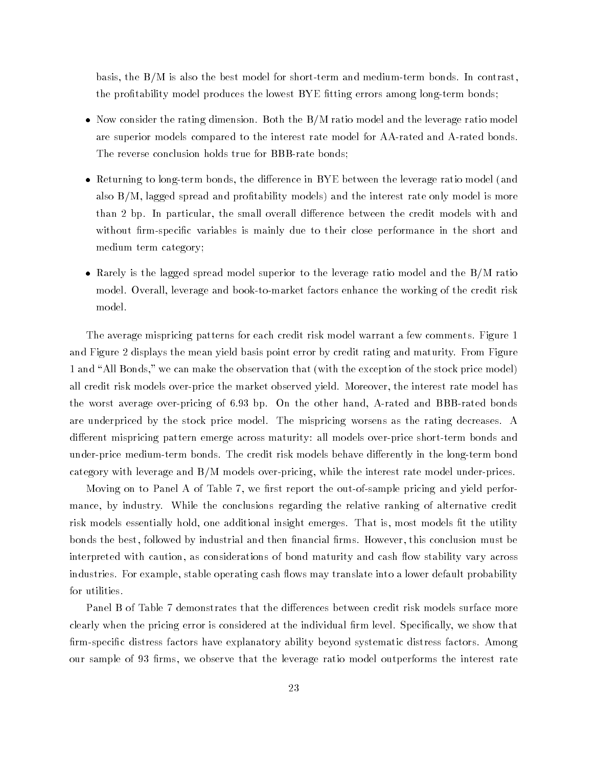basis, the B/M is also the best model for short-term and medium-term bonds. In contrast, the profitability model produces the lowest BYE fitting errors among long-term bonds;

- $\bullet$  Now consider the rating dimension. Both the B/M ratio model and the leverage ratio model are superior models compared to the interest rate model for AA-rated and A-rated bonds. The reverse conclusion holds true for BBB-rate bonds;
- Returning to long-term bonds, the difference in BYE between the leverage ratio model (and also  $B/M$ , lagged spread and profitability models) and the interest rate only model is more than 2 bp. In particular, the small overall difference between the credit models with and without firm-specific variables is mainly due to their close performance in the short and medium term category;
- Rarely is the lagged spread model superior to the leverage ratio model and the B/M ratio model. Overall, leverage and book-to-market factors enhance the working of the credit risk model.

The average mispricing patterns for each credit risk model warrant a few comments. Figure 1 and Figure 2 displays the mean yield basis point error by credit rating and maturity. From Figure 1 and "All Bonds," we can make the observation that (with the exception of the stock price model) all credit risk models over-price the market observed yield. Moreover, the interest rate model has the worst average over-pricing of 6.93 bp. On the other hand, A-rated and BBB-rated bonds are underpriced by the stock price model. The mispricing worsens as the rating decreases. A different mispricing pattern emerge across maturity: all models over-price short-term bonds and under-price medium-term bonds. The credit risk models behave differently in the long-term bond category with leverage and B/M models over-pricing, while the interest rate model under-prices.

Moving on to Panel A of Table 7, we first report the out-of-sample pricing and yield performance, by industry. While the conclusions regarding the relative ranking of alternative credit risk models essentially hold, one additional insight emerges. That is, most models fit the utility bonds the best, followed by industrial and then financial firms. However, this conclusion must be interpreted with caution, as considerations of bond maturity and cash flow stability vary across industries. For example, stable operating cash flows may translate into a lower default probability for utilities.

Panel B of Table 7 demonstrates that the differences between credit risk models surface more clearly when the pricing error is considered at the individual firm level. Specifically, we show that firm-specific distress factors have explanatory ability beyond systematic distress factors. Among our sample of 93 firms, we observe that the leverage ratio model outperforms the interest rate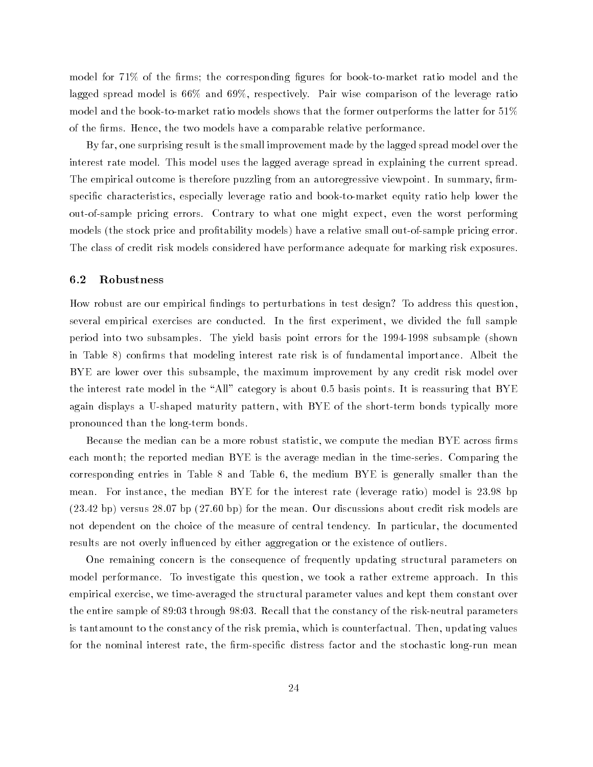model for 71% of the firms; the corresponding figures for book-to-market ratio model and the lagged spread model is 66% and 69%, respectively. Pair wise comparison of the leverage ratio model and the book-to-market ratio models shows that the former outperforms the latter for 51% of the firms. Hence, the two models have a comparable relative performance.

By far, one surprising result is the small improvement made by the lagged spread model over the interest rate model. This model uses the lagged average spread in explaining the current spread. The empirical outcome is therefore puzzling from an autoregressive viewpoint. In summary, firmspecic characteristics, especially leverage ratio and book-to-market equity ratio help lower the out-of-sample pricing errors. Contrary to what one might expect, even the worst performing models (the stock price and profitability models) have a relative small out-of-sample pricing error. The class of credit risk models considered have performance adequate for marking risk exposures.

#### 6.2 Robustness

How robust are our empirical ndings to perturbations in test design? To address this question, several empirical exercises are conducted. In the first experiment, we divided the full sample period into two subsamples. The yield basis point errors for the 1994-1998 subsample (shown in Table 8) confirms that modeling interest rate risk is of fundamental importance. Albeit the BYE are lower over this subsample, the maximum improvement by any credit risk model over the interest rate model in the "All" category is about 0.5 basis points. It is reassuring that BYE again displays a U-shaped maturity pattern, with BYE of the short-term bonds typically more pronounced than the long-term bonds.

Because the median can be a more robust statistic, we compute the median  $\operatorname{BYE}$  across firms each month; the reported median BYE is the average median in the time-series. Comparing the corresponding entries in Table 8 and Table 6, the medium BYE is generally smaller than the mean. For instance, the median BYE for the interest rate (leverage ratio) model is 23.98 bp (23.42 bp) versus 28.07 bp (27.60 bp) for the mean. Our discussions about credit risk models are not dependent on the choice of the measure of central tendency. In particular, the documented results are not overly influenced by either aggregation or the existence of outliers.

One remaining concern is the consequence of frequently updating structural parameters on model performance. To investigate this question, we took a rather extreme approach. In this empirical exercise, we time-averaged the structural parameter values and kept them constant over the entire sample of 89:03 through 98:03. Recall that the constancy of the risk-neutral parameters is tantamount to the constancy of the risk premia, which is counterfactual. Then, updating values for the nominal interest rate, the firm-specific distress factor and the stochastic long-run mean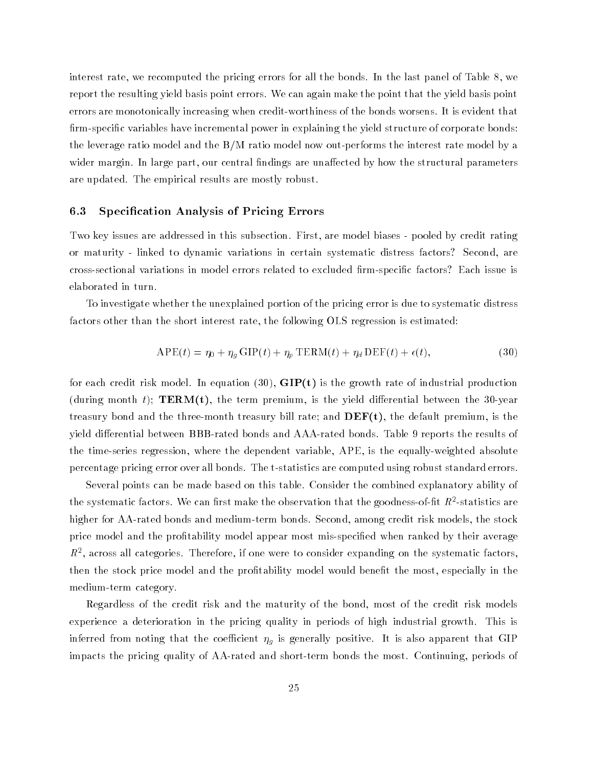interest rate, we recomputed the pricing errors for all the bonds. In the last panel of Table 8, we report the resulting yield basis point errors. We can again make the point that the yield basis point errors are monotonically increasing when credit-worthiness of the bonds worsens. It is evident that firm-specific variables have incremental power in explaining the yield structure of corporate bonds: the leverage ratio model and the B/M ratio model now out-performs the interest rate model by a wider margin. In large part, our central findings are unaffected by how the structural parameters are updated. The empirical results are mostly robust.

#### 6.3 Specication Analysis of Pricing Errors

Two key issues are addressed in this subsection. First, are model biases - pooled by credit rating or maturity - linked to dynamic variations in certain systematic distress factors? Second, are cross-sectional variations in model errors related to excluded rm-specic factors? Each issue is elaborated in turn.

To investigate whether the unexplained portion of the pricing error is due to systematic distress factors other than the short interest rate, the following OLS regression is estimated:

$$
APE(t) = \eta_0 + \eta_g \text{GIP}(t) + \eta_p \text{TERM}(t) + \eta_d \text{DEF}(t) + \epsilon(t),
$$
\n(30)

for each credit risk model. In equation  $(30)$ ,  $\text{GIP}(t)$  is the growth rate of industrial production (during month t);  $TERM(t)$ , the term premium, is the yield differential between the 30-year treasury bond and the three-month treasury bill rate; and  $\bf DEF(t)$ , the default premium, is the yield differential between BBB-rated bonds and AAA-rated bonds. Table 9 reports the results of the time-series regression, where the dependent variable, APE, is the equally-weighted absolute percentage pricing error over all bonds. The t-statistics are computed using robust standard errors.

Several points can be made based on this table. Consider the combined explanatory ability of the systematic factors. We can hrst make the observation that the goodness-of-ilt  $R$  -statistics are higher for AA-rated bonds and medium-term bonds. Second, among credit risk models, the stock price model and the profitability model appear most mis-specified when ranked by their average  $R^+$ , across an categories. Therefore, if one were to consider expanding on the systematic factors, then the stock price model and the profitability model would benefit the most, especially in the medium-term category.

Regardless of the credit risk and the maturity of the bond, most of the credit risk models experience a deterioration in the pricing quality in periods of high industrial growth. This is inferred from the coef is and the coefficient g is generally positive. It is also application that GIP impacts the pricing quality of AA-rated and short-term bonds the most. Continuing, periods of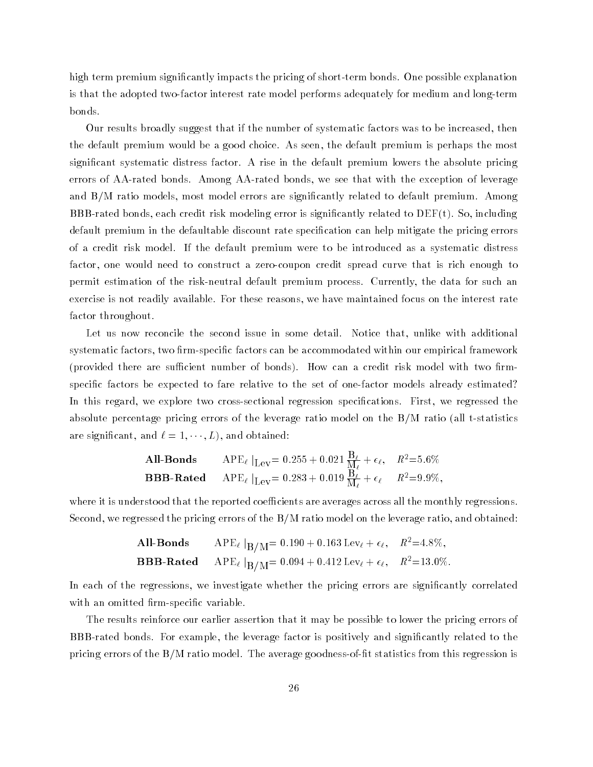high term premium signicantly impacts the pricing of short-term bonds. One possible explanation is that the adopted two-factor interest rate model performs adequately for medium and long-term bonds.

Our results broadly suggest that if the number of systematic factors was to be increased, then the default premium would be a good choice. As seen, the default premium is perhaps the most signicant systematic distress factor. A rise in the default premium lowers the absolute pricing errors of AA-rated bonds. Among AA-rated bonds, we see that with the exception of leverage and B/M ratio models, most model errors are signicantly related to default premium. Among BBB-rated bonds, each credit risk modeling error is significantly related to  $DEF(t)$ . So, including default premium in the defaultable discount rate specification can help mitigate the pricing errors of a credit risk model. If the default premium were to be introduced as a systematic distress factor, one would need to construct a zero-coupon credit spread curve that is rich enough to permit estimation of the risk-neutral default premium process. Currently, the data for such an exercise is not readily available. For these reasons, we have maintained focus on the interest rate factor throughout.

Let us now reconcile the second issue in some detail. Notice that, unlike with additional systematic factors, two firm-specific factors can be accommodated within our empirical framework (provided there are sufficient number of bonds). How can a credit risk model with two firmspecific factors be expected to fare relative to the set of one-factor models already estimated? In this regard, we explore two cross-sectional regression specifications. First, we regressed the absolute percentage pricing errors of the leverage ratio model on the B/M ratio (all t-statistics are significant, and  $\ell = 1, \cdots, L$ , and obtained:

**All- Bonds** 
$$
APE_{\ell}|_{Lev} = 0.255 + 0.021 \frac{B_{\ell}}{M_{\ell}} + \epsilon_{\ell}, \quad R^2 = 5.6\%
$$
  
**BBB-Rated**  $APE_{\ell}|_{Lev} = 0.283 + 0.019 \frac{B_{\ell}}{M_{\ell}} + \epsilon_{\ell} \quad R^2 = 9.9\%,$ 

where it is understood that the reported coefficients are averages across all the monthly regressions. Second, we regressed the pricing errors of the B/M ratio model on the leverage ratio, and obtained:

**All- Bonds** 
$$
APE_{\ell} |_{B/M} = 0.190 + 0.163 \text{ Lev}_{\ell} + \epsilon_{\ell}, \quad R^2 = 4.8\%,
$$
  
**BBB-Rated**  $APE_{\ell} |_{B/M} = 0.094 + 0.412 \text{ Lev}_{\ell} + \epsilon_{\ell}, \quad R^2 = 13.0\%.$ 

In each of the regressions, we investigate whether the pricing errors are significantly correlated with an omitted firm-specific variable.

The results reinforce our earlier assertion that it may be possible to lower the pricing errors of BBB-rated bonds. For example, the leverage factor is positively and significantly related to the pricing errors of the B/M ratio model. The average goodness-of-fit statistics from this regression is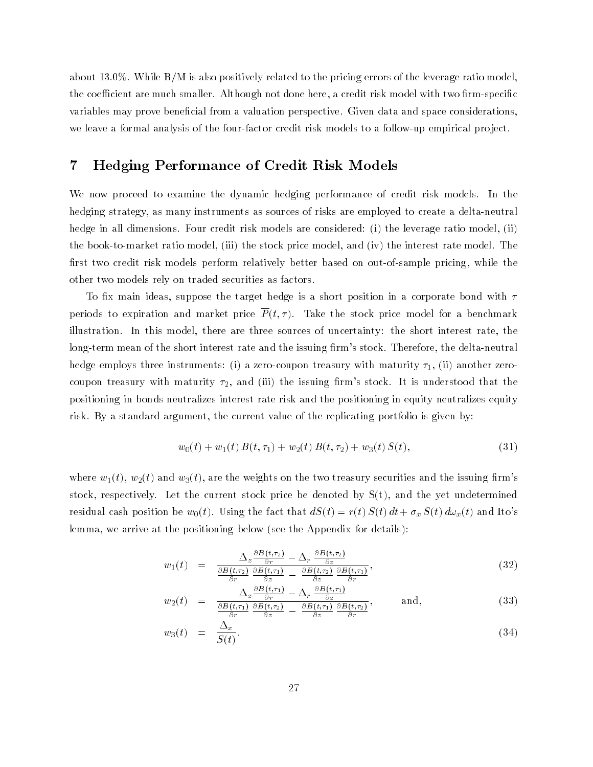about 13.0%. While B/M is also positively related to the pricing errors of the leverage ratio model, the coefficient are much smaller. Although not done here, a credit risk model with two firm-specific variables may prove beneficial from a valuation perspective. Given data and space considerations, we leave a formal analysis of the four-factor credit risk models to a follow-up empirical pro ject.

# 7 Hedging Performance of Credit Risk Models

We now proceed to examine the dynamic hedging performance of credit risk models. In the hedging strategy, as many instruments as sources of risks are employed to create a delta-neutral hedge in all dimensions. Four credit risk models are considered: (i) the leverage ratio model, (ii) the book-to-market ratio model, (iii) the stock price model, and (iv) the interest rate model. The first two credit risk models perform relatively better based on out-of-sample pricing, while the other two models rely on traded securities as factors.

To fix main ideas, suppose the target hedge is a short position in a corporate bond with  $\tau$ periods to expiration and market price  $\overline{P}(t,\tau)$ . Take the stock price model for a benchmark illustration. In this model, there are three sources of uncertainty: the short interest rate, the long-term mean of the short interest rate and the issuing firm's stock. Therefore, the delta-neutral hedge employs three instruments: (i) a zero-coupon treasury with maturity  $\tau_1$ , (ii) another zerocoupon treasury with maturity  $\tau_2$ , and (iii) the issuing firm's stock. It is understood that the positioning in bonds neutralizes interest rate risk and the positioning in equity neutralizes equity risk. By a standard argument, the current value of the replicating portfolio is given by:

$$
w_0(t) + w_1(t) B(t, \tau_1) + w_2(t) B(t, \tau_2) + w_3(t) S(t), \tag{31}
$$

where  $w_1(t)$ ,  $w_2(t)$  and  $w_3(t)$ , are the weights on the two treasury securities and the issuing firm's stock, respectively. Let the current stock price be denoted by  $S(t)$ , and the yet undetermined residual cash position be  $w_0(t)$ . Using the fact that  $dS(t) = r(t) S(t) dt + \sigma_x S(t) d\omega_x(t)$  and Ito's lemma, we arrive at the positioning below (see the Appendix for details):

$$
w_1(t) = \frac{\Delta_z \frac{\partial B(t,\tau_2)}{\partial r} - \Delta_r \frac{\partial B(t,\tau_2)}{\partial z}}{\frac{\partial B(t,\tau_2)}{\partial r} \frac{\partial B(t,\tau_1)}{\partial z} - \frac{\partial B(t,\tau_2)}{\partial z} \frac{\partial B(t,\tau_1)}{\partial r}},
$$
\n(32)

$$
w_2(t) = \frac{\Delta_z \frac{\partial B(t,\tau_1)}{\partial r} - \Delta_r \frac{\partial B(t,\tau_1)}{\partial z}}{\frac{\partial B(t,\tau_1)}{\partial r} \frac{\partial B(t,\tau_2)}{\partial z} - \frac{\partial B(t,\tau_1)}{\partial z} \frac{\partial B(t,\tau_2)}{\partial r}}, \quad \text{and,} \tag{33}
$$

$$
w_3(t) = \frac{\Delta_x}{S(t)}.\tag{34}
$$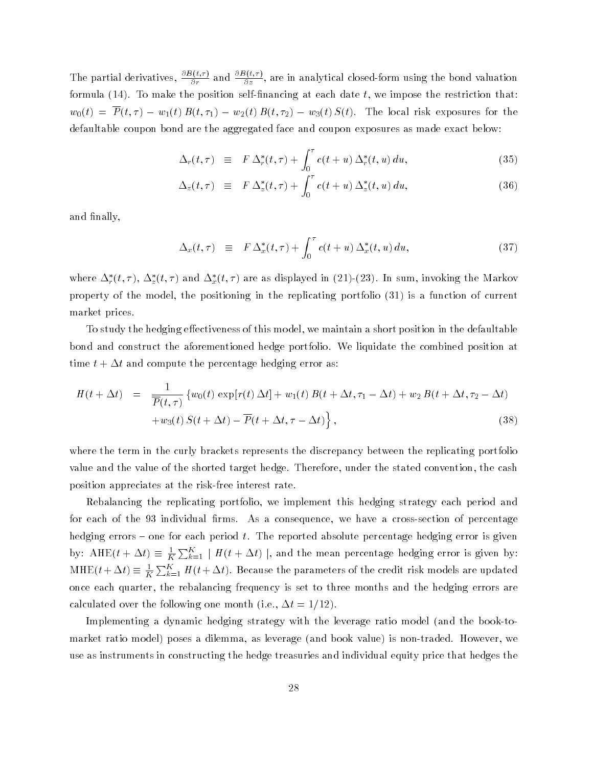The partial derivatives,  $\frac{1}{2}$  at  $\frac{\partial \mathbf{y}}{\partial r}$  and  $\frac{\partial \mathbf{y}}{\partial z}$ , are in analytical closed-form using the bond valuation formula (14). To make the position self-financing at each date  $t$ , we impose the restriction that:  $w_0(t) = \overline{P}(t,\tau) - w_1(t) B(t,\tau_1) - w_2(t) B(t,\tau_2) - w_3(t) S(t)$ . The local risk exposures for the defaultable coupon bond are the aggregated face and coupon exposures as made exact below:

$$
\Delta_r(t,\tau) \equiv F \Delta_r^*(t,\tau) + \int_0^{\tau} c(t+u) \Delta_r^*(t,u) du, \qquad (35)
$$

$$
\Delta_z(t,\tau) \equiv F \Delta_z^*(t,\tau) + \int_0^{\tau} c(t+u) \Delta_z^*(t,u) du, \qquad (36)
$$

and finally,

$$
\Delta_x(t,\tau) \equiv F \Delta_x^*(t,\tau) + \int_0^{\tau} c(t+u) \Delta_x^*(t,u) du, \qquad (37)
$$

where  $\Delta_r(t, \tau)$ ,  $\Delta_z(t, \tau)$  and  $\Delta_x(t, \tau)$  are as displayed in (21)-(25). In sum, invoking the Markov property of the model, the positioning in the replicating portfolio (31) is a function of current market prices.

To study the hedging effectiveness of this model, we maintain a short position in the defaultable bond and construct the aforementioned hedge portfolio. We liquidate the combined position at time  $t + \Delta t$  and compute the percentage hedging error as:

$$
H(t + \Delta t) = \frac{1}{\overline{P}(t,\tau)} \{w_0(t) \exp[r(t)\Delta t] + w_1(t) B(t + \Delta t, \tau_1 - \Delta t) + w_2 B(t + \Delta t, \tau_2 - \Delta t) + w_3(t) S(t + \Delta t) - \overline{P}(t + \Delta t, \tau - \Delta t) \},
$$
\n(38)

where the term in the curly brackets represents the discrepancy between the replicating portfolio value and the value of the shorted target hedge. Therefore, under the stated convention, the cash position appreciates at the risk-free interest rate.

Rebalancing the replicating portfolio, we implement this hedging strategy each period and for each of the 93 individual firms. As a consequence, we have a cross-section of percentage hedging errors  ${\bf -}$  one for each period t. The reported absolute percentage hedging error is given by: AHE $(t + \Delta t) \equiv \frac{1}{K} \sum_{k=1}^{K} |H(t + \Delta t)|$ , and the mean percentage hedging error is given by:  $\mathrm{MHE}(t+\Delta t)\equiv \frac{1}{K}\sum_{k=1}^K H(t+\Delta t).$  Because the parameters of the credit risk models are updated once each quarter, the rebalancing frequency is set to three months and the hedging errors are calculated over the following one month (i.e.,  $\Delta t = 1/12$ ).

Implementing a dynamic hedging strategy with the leverage ratio model (and the book-tomarket ratio model) poses a dilemma, as leverage (and book value) is non-traded. However, we use as instruments in constructing the hedge treasuries and individual equity price that hedges the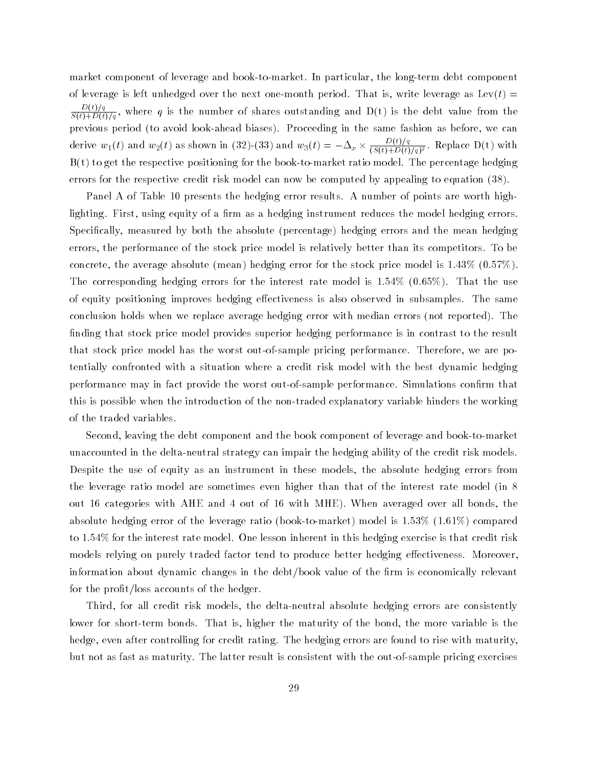market component of leverage and book-to-market. In particular, the long-term debt component of leverage is left unhedged over the next one-month period. That is, write leverage as  $\text{Lev}(t)$  =  $\frac{\mathcal{L}(\mathcal{D})-q}{\mathcal{S}(t)+D(t)/q}$ , where q is the number of shares outstanding and D(t) is the debt value from the previous period (to avoid look-ahead biases). Proceeding in the same fashion as before, we can derive  $w_1(t)$  and  $w_2(t)$  as shown in  $(32)-(33)$  and  $w_3(t)=-\Delta_x\times \frac{2\sqrt{(3(t)+D(t)/q)^2}}{(S(t)+D(t)/q)^2}$ . Replace D(t) with  $B(t)$  to get the respective positioning for the book-to-market ratio model. The percentage hedging errors for the respective credit risk model can now be computed by appealing to equation (38).

Panel A of Table 10 presents the hedging error results. A number of points are worth highlighting. First, using equity of a firm as a hedging instrument reduces the model hedging errors. Specically, measured by both the absolute (percentage) hedging errors and the mean hedging errors, the performance of the stock price model is relatively better than its competitors. To be concrete, the average absolute (mean) hedging error for the stock price model is 1.43% (0.57%). The corresponding hedging errors for the interest rate model is 1.54% (0.65%). That the use of equity positioning improves hedging effectiveness is also observed in subsamples. The same conclusion holds when we replace average hedging error with median errors (not reported). The finding that stock price model provides superior hedging performance is in contrast to the result that stock price model has the worst out-of-sample pricing performance. Therefore, we are potentially confronted with a situation where a credit risk model with the best dynamic hedging performance may in fact provide the worst out-of-sample performance. Simulations confirm that this is possible when the introduction of the non-traded explanatory variable hinders the working of the traded variables.

Second, leaving the debt component and the book component of leverage and book-to-market unaccounted in the delta-neutral strategy can impair the hedging ability of the credit risk models. Despite the use of equity as an instrument in these models, the absolute hedging errors from the leverage ratio model are sometimes even higher than that of the interest rate model (in 8 out 16 categories with AHE and 4 out of 16 with MHE). When averaged over all bonds, the absolute hedging error of the leverage ratio (book-to-market) model is 1.53% (1.61%) compared to 1.54% for the interest rate model. One lesson inherent in this hedging exercise is that credit risk models relying on purely traded factor tend to produce better hedging effectiveness. Moreover, information about dynamic changes in the debt/book value of the firm is economically relevant for the profit/loss accounts of the hedger.

Third, for all credit risk models, the delta-neutral absolute hedging errors are consistently lower for short-term bonds. That is, higher the maturity of the bond, the more variable is the hedge, even after controlling for credit rating. The hedging errors are found to rise with maturity, but not as fast as maturity. The latter result is consistent with the out-of-sample pricing exercises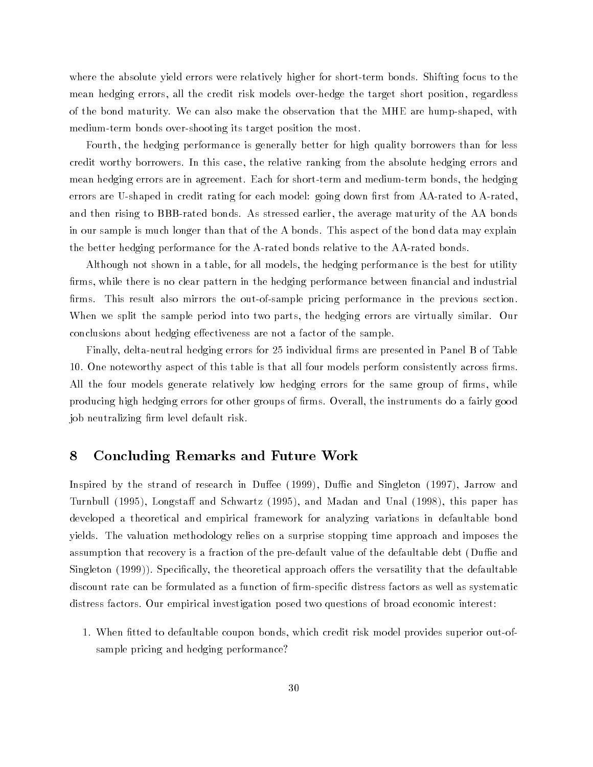where the absolute yield errors were relatively higher for short-term bonds. Shifting focus to the mean hedging errors, all the credit risk models over-hedge the target short position, regardless of the bond maturity. We can also make the observation that the MHE are hump-shaped, with medium-term bonds over-shooting its target position the most.

Fourth, the hedging performance is generally better for high quality borrowers than for less credit worthy borrowers. In this case, the relative ranking from the absolute hedging errors and mean hedging errors are in agreement. Each for short-term and medium-term bonds, the hedging errors are U-shaped in credit rating for each model: going down first from AA-rated to A-rated, and then rising to BBB-rated bonds. As stressed earlier, the average maturity of the AA bonds in our sample is much longer than that of the A bonds. This aspect of the bond data may explain the better hedging performance for the A-rated bonds relative to the AA-rated bonds.

Although not shown in a table, for all models, the hedging performance is the best for utility firms, while there is no clear pattern in the hedging performance between financial and industrial firms. This result also mirrors the out-of-sample pricing performance in the previous section. When we split the sample period into two parts, the hedging errors are virtually similar. Our conclusions about hedging effectiveness are not a factor of the sample.

Finally, delta-neutral hedging errors for 25 individual firms are presented in Panel B of Table 10. One noteworthy aspect of this table is that all four models perform consistently across firms. All the four models generate relatively low hedging errors for the same group of firms, while producing high hedging errors for other groups of firms. Overall, the instruments do a fairly good job neutralizing firm level default risk.

# 8 Concluding Remarks and Future Work

Inspired by the strand of research in Duffee (1999), Duffie and Singleton (1997), Jarrow and Turnbull (1995), Longstaff and Schwartz (1995), and Madan and Unal (1998), this paper has developed a theoretical and empirical framework for analyzing variations in defaultable bond yields. The valuation methodology relies on a surprise stopping time approach and imposes the assumption that recovery is a fraction of the pre-default value of the defaultable debt (Duffie and Singleton (1999)). Specifically, the theoretical approach offers the versatility that the defaultable discount rate can be formulated as a function of firm-specific distress factors as well as systematic distress factors. Our empirical investigation posed two questions of broad economic interest:

1. When fitted to defaultable coupon bonds, which credit risk model provides superior out-ofsample pricing and hedging performance?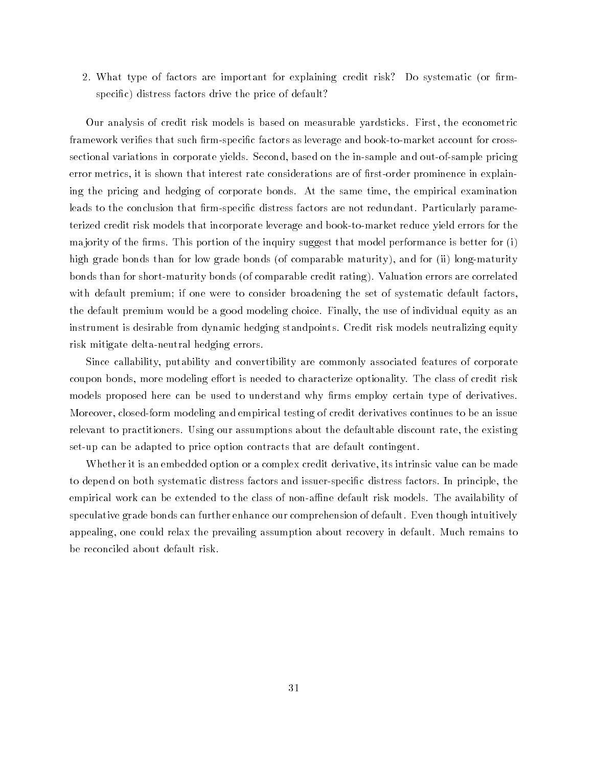2. What type of factors are important for explaining credit risk? Do systematic (or firmspecific) distress factors drive the price of default?

Our analysis of credit risk models is based on measurable yardsticks. First, the econometric framework verifies that such firm-specific factors as leverage and book-to-market account for crosssectional variations in corporate yields. Second, based on the in-sample and out-of-sample pricing error metrics, it is shown that interest rate considerations are of first-order prominence in explaining the pricing and hedging of corporate bonds. At the same time, the empirical examination leads to the conclusion that firm-specific distress factors are not redundant. Particularly parameterized credit risk models that incorporate leverage and book-to-market reduce yield errors for the ma jority of the firms. This portion of the inquiry suggest that model performance is better for  $(i)$ high grade bonds than for low grade bonds (of comparable maturity), and for (ii) long-maturity bonds than for short-maturity bonds (of comparable credit rating). Valuation errors are correlated with default premium; if one were to consider broadening the set of systematic default factors, the default premium would be a good modeling choice. Finally, the use of individual equity as an instrument is desirable from dynamic hedging standpoints. Credit risk models neutralizing equity risk mitigate delta-neutral hedging errors.

Since callability, putability and convertibility are commonly associated features of corporate coupon bonds, more modeling effort is needed to characterize optionality. The class of credit risk models proposed here can be used to understand why firms employ certain type of derivatives. Moreover, closed-form modeling and empirical testing of credit derivatives continues to be an issue relevant to practitioners. Using our assumptions about the defaultable discount rate, the existing set-up can be adapted to price option contracts that are default contingent.

Whether it is an embedded option or a complex credit derivative, its intrinsic value can be made to depend on both systematic distress factors and issuer-specic distress factors. In principle, the empirical work can be extended to the class of non-affine default risk models. The availability of speculative grade bonds can further enhance our comprehension of default. Even though intuitively appealing, one could relax the prevailing assumption about recovery in default. Much remains to be reconciled about default risk.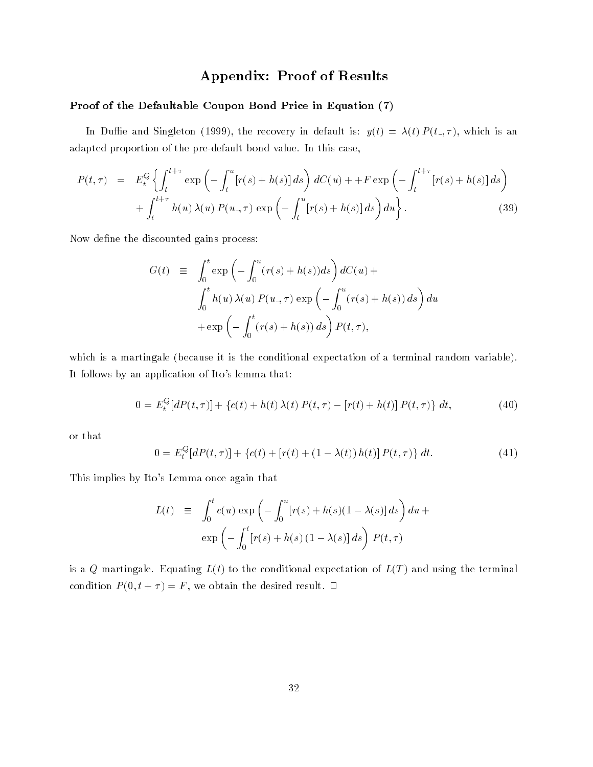# Appendix: Proof of Results

#### Proof of the Defaultable Coupon Bond Price in Equation (7)

In Duffie and Singleton (1999), the recovery in default is:  $y(t) = \lambda(t) P (t_-, \tau)$ , which is an adapted proportion of the pre-default bond value. In this case,

$$
P(t,\tau) = E_t^Q \left\{ \int_t^{t+\tau} \exp\left(-\int_t^u [r(s) + h(s)] ds\right) dC(u) + + F \exp\left(-\int_t^{t+\tau} [r(s) + h(s)] ds\right) + \int_t^{t+\tau} h(u) \lambda(u) P(u,\tau) \exp\left(-\int_t^u [r(s) + h(s)] ds\right) du \right\}.
$$
\n(39)

Now define the discounted gains process:

$$
G(t) \equiv \int_0^t \exp\left(-\int_0^u (r(s) + h(s))ds\right) dC(u) +
$$
  

$$
\int_0^t h(u)\lambda(u) P(u,\tau) \exp\left(-\int_0^u (r(s) + h(s)) ds\right) du
$$
  

$$
+ \exp\left(-\int_0^t (r(s) + h(s)) ds\right) P(t,\tau),
$$

which is a martingale (because it is the conditional expectation of a terminal random variable). It follows by an application of Ito's lemma that:

$$
0 = E_t^Q[dP(t,\tau)] + \{c(t) + h(t)\lambda(t)P(t,\tau) - [r(t) + h(t)]P(t,\tau)\} dt,
$$
\n(40)

or that

$$
0 = E_t^Q[dP(t, \tau)] + \{c(t) + [r(t) + (1 - \lambda(t))h(t)]P(t, \tau)\} dt.
$$
\n(41)

This implies by Ito's Lemma once again that

$$
L(t) = \int_0^t c(u) \exp\left(-\int_0^u [r(s) + h(s)(1 - \lambda(s)] ds\right) du +
$$
  

$$
\exp\left(-\int_0^t [r(s) + h(s)(1 - \lambda(s)] ds\right) P(t, \tau)
$$

is a Q martingale. Equating  $L(t)$  to the conditional expectation of  $L(T)$  and using the terminal condition  $P(0, t + \tau) = F$ , we obtain the desired result.  $\Box$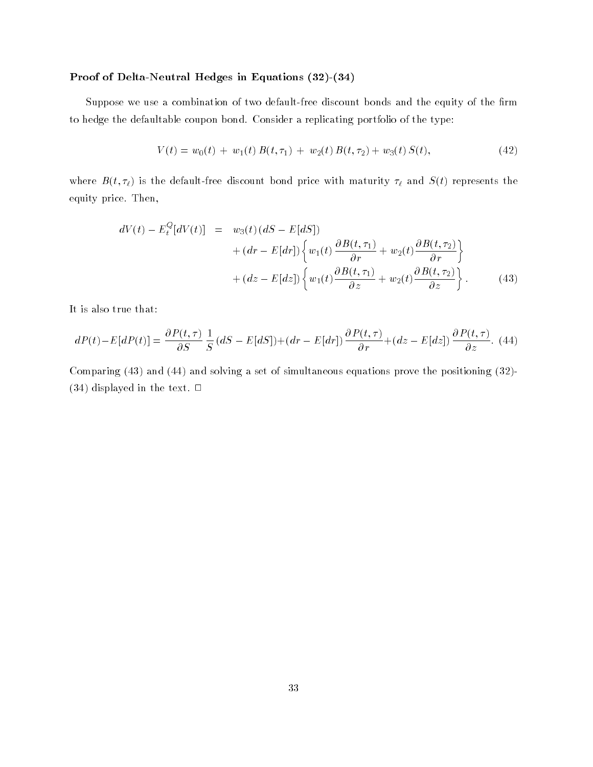#### Proof of Delta-Neutral Hedges in Equations (32)-(34)

Suppose we use a combination of two default-free discount bonds and the equity of the firm to hedge the defaultable coupon bond. Consider a replicating portfolio of the type:

$$
V(t) = w_0(t) + w_1(t) B(t, \tau_1) + w_2(t) B(t, \tau_2) + w_3(t) S(t), \qquad (42)
$$

where  $B(t, t)$  is the default-free discount bond price with maturity  $t$  and  $S(t)$  represents the equity price. Then,

$$
dV(t) - E_t^Q[dV(t)] = w_3(t) (dS - E[dS])
$$
  
+ 
$$
(dr - E[dr]) \left\{ w_1(t) \frac{\partial B(t, \tau_1)}{\partial r} + w_2(t) \frac{\partial B(t, \tau_2)}{\partial r} \right\}
$$
  
+ 
$$
(dz - E[dz]) \left\{ w_1(t) \frac{\partial B(t, \tau_1)}{\partial z} + w_2(t) \frac{\partial B(t, \tau_2)}{\partial z} \right\}.
$$
 (43)

It is also true that:

$$
dP(t) - E[dP(t)] = \frac{\partial P(t,\tau)}{\partial S} \frac{1}{S} (dS - E[dS]) + (dr - E[dr]) \frac{\partial P(t,\tau)}{\partial r} + (dz - E[dz]) \frac{\partial P(t,\tau)}{\partial z}.
$$
(44)

Comparing (43) and (44) and solving a set of simultaneous equations prove the positioning (32)-  $(34)$  displayed in the text.  $\Box$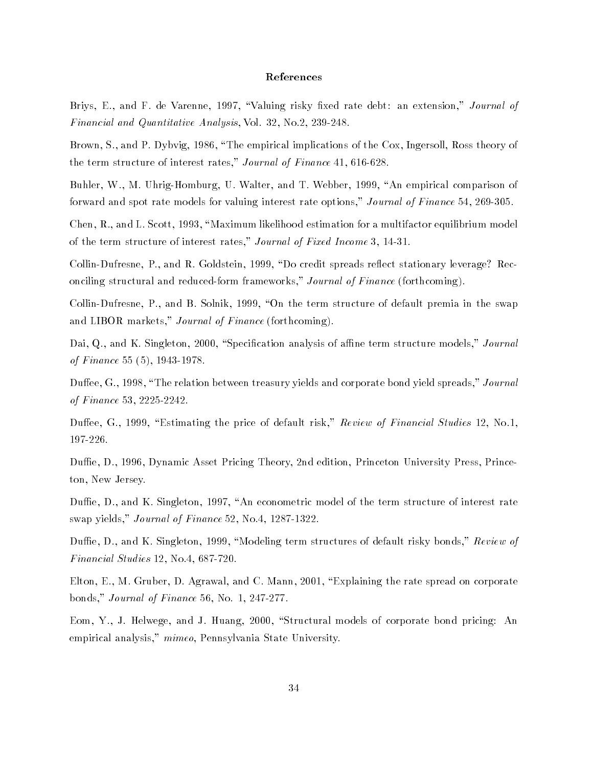#### References

Briys, E., and F. de Varenne, 1997, "Valuing risky fixed rate debt: an extension," Journal of Financial and Quantitative Analysis, Vol. 32, No.2, 239-248.

Brown, S., and P. Dybvig, 1986, "The empirical implications of the Cox, Ingersoll, Ross theory of the term structure of interest rates," Journal of Finance 41, 616-628.

Buhler, W., M. Uhrig-Homburg, U. Walter, and T. Webber, 1999, "An empirical comparison of forward and spot rate models for valuing interest rate options," Journal of Finance 54, 269-305.

Chen, R., and L. Scott, 1993, "Maximum likelihood estimation for a multifactor equilibrium model of the term structure of interest rates," Journal of Fixed Income 3, 14-31.

Collin-Dufresne, P., and R. Goldstein, 1999, "Do credit spreads reflect stationary leverage? Reconciling structural and reduced-form frameworks," Journal of Finance (forthcoming).

Collin-Dufresne, P., and B. Solnik, 1999, "On the term structure of default premia in the swap and LIBOR markets," Journal of Finance (forthcoming).

Dai, Q., and K. Singleton, 2000, "Specification analysis of affine term structure models," Journal of Finance 55 (5), 1943-1978.

Duffee, G., 1998, "The relation between treasury yields and corporate bond yield spreads," Journal of Finance 53, 2225-2242.

Duffee, G., 1999, "Estimating the price of default risk," Review of Financial Studies 12, No.1, 197-226.

Duffie, D., 1996, Dynamic Asset Pricing Theory, 2nd edition, Princeton University Press, Princeton, New Jersey.

Duffie, D., and K. Singleton, 1997, "An econometric model of the term structure of interest rate swap yields," Journal of Finance 52, No.4, 1287-1322.

Duffie, D., and K. Singleton, 1999, "Modeling term structures of default risky bonds," Review of Financial Studies 12, No.4, 687-720.

Elton, E., M. Gruber, D. Agrawal, and C. Mann, 2001, "Explaining the rate spread on corporate bonds," Journal of Finance 56, No. 1, 247-277.

Eom, Y., J. Helwege, and J. Huang, 2000, "Structural models of corporate bond pricing: An empirical analysis," mimeo, Pennsylvania State University.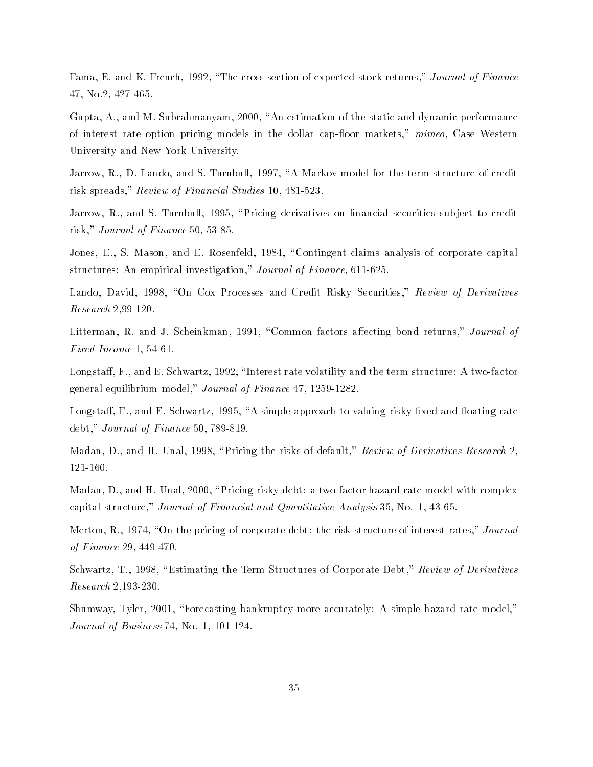Fama, E. and K. French, 1992, \The cross-section of expected stock returns," Journal of Finance 47, No.2, 427-465.

Gupta, A., and M. Subrahmanyam, 2000, "An estimation of the static and dynamic performance of interest rate option pricing models in the dollar cap-floor markets," mimeo, Case Western University and New York University.

Jarrow, R., D. Lando, and S. Turnbull, 1997, "A Markov model for the term structure of credit risk spreads," Review of Financial Studies 10, 481-523.

Jarrow, R., and S. Turnbull, 1995, "Pricing derivatives on financial securities subject to credit risk," Journal of Finance 50, 53-85.

Jones, E., S. Mason, and E. Rosenfeld, 1984, "Contingent claims analysis of corporate capital structures: An empirical investigation," Journal of Finance, 611-625.

Lando, David, 1998, "On Cox Processes and Credit Risky Securities," Review of Derivatives Research 2,99-120.

Litterman, R. and J. Scheinkman, 1991, "Common factors affecting bond returns," Journal of Fixed Income 1, 54-61.

Longstaff, F., and E. Schwartz, 1992, "Interest rate volatility and the term structure: A two-factor general equilibrium model," Journal of Finance 47, 1259-1282.

Longstaff, F., and E. Schwartz, 1995, "A simple approach to valuing risky fixed and floating rate debt," Journal of Finance 50, 789-819.

Madan, D., and H. Unal, 1998, "Pricing the risks of default," Review of Derivatives Research 2. 121-160.

Madan, D., and H. Unal, 2000, "Pricing risky debt: a two-factor hazard-rate model with complex capital structure," Journal of Financial and Quantitative Analysis 35, No. 1, 43-65.

Merton, R., 1974, "On the pricing of corporate debt: the risk structure of interest rates," Journal of Finance 29, 449-470.

Schwartz, T., 1998, "Estimating the Term Structures of Corporate Debt," Review of Derivatives Research 2,193-230.

Shumway, Tyler, 2001, "Forecasting bankruptcy more accurately: A simple hazard rate model," Journal of Business 74, No. 1, 101-124.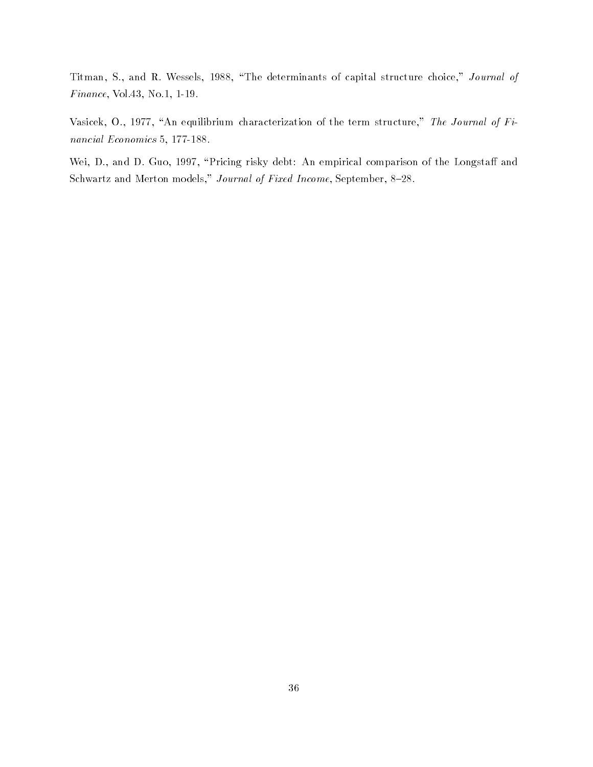Titman, S., and R. Wessels, 1988, "The determinants of capital structure choice," Journal of Finance, Vol.43, No.1, 1-19.

Vasicek, O., 1977, "An equilibrium characterization of the term structure," The Journal of Financial Economics 5, 177-188.

Wei, D., and D. Guo, 1997, "Pricing risky debt: An empirical comparison of the Longstaff and Schwartz and Merton models," Journal of Fixed Income, September, 8-28.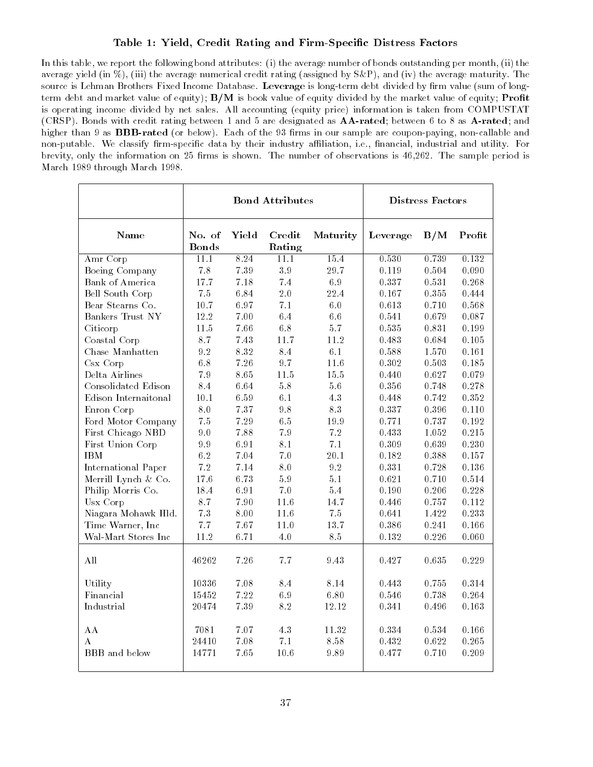### Table 1: Yield, Credit Rating and Firm-Specic Distress Factors

In this table, we report the following bond attributes: (i) the average number of bonds outstanding per month, (ii) the average yield (in %), (iii) the average numerical credit rating (assigned by S&P), and (iv) the average maturity. The source is Lehman Brothers Fixed Income Database. Leverage is long-term debt divided by firm value (sum of longterm debt and market value of equity);  $B/M$  is book value of equity divided by the market value of equity; **Profit** is operating income divided by net sales. All accounting (equity price) information is taken from COMPUSTAT (CRSP). Bonds with credit rating between 1 and 5 are designated as AA-rated; between 6 to 8 as A-rated; and higher than 9 as **BBB-rated** (or below). Each of the 93 firms in our sample are coupon-paying, non-callable and non-putable. We classify firm-specific data by their industry affiliation, i.e., financial, industrial and utility. For brevity, only the information on 25 firms is shown. The number of observations is 46,262. The sample period is March 1989 through March 1998.

|                      |                        |       | <b>Bond Attributes</b> |          |          | Distress Factors |        |
|----------------------|------------------------|-------|------------------------|----------|----------|------------------|--------|
| Name                 | No. of<br><b>Bonds</b> | Yield | Credit<br>Rating       | Maturity | Leverage | B/M              | Profit |
| Amr Corp             | 11.1                   | 8.24  | 11.1                   | 15.4     | 0.530    | 0.739            | 0.132  |
| Boeing Company       | $7\,$ $8\,$            | 7.39  | 3.9                    | 29.7     | 0.119    | 0.504            | 0.090  |
| Bank of America      | 17.7                   | 7.18  | 7.4                    | 6.9      | 0.337    | 0.531            | 0.268  |
| Bell South Corp      | 7.5                    | 6.84  | 2.0                    | 22.4     | 0.167    | 0.355            | 0.444  |
| Bear Stearns Co.     | 10.7                   | 6.97  | 7.1                    | 6.0      | 0.613    | 0.710            | 0.568  |
| Bankers Trust NY     | 12.2                   | 7.00  | 6.4                    | 6.6      | 0.541    | 0.679            | 0.087  |
| Citicorp             | 11.5                   | 7.66  | 6.8                    | 5.7      | 0.535    | 0.831            | 0.199  |
| Coastal Corp         | 8.7                    | 7.43  | 11.7                   | 11.2     | 0.483    | 0.684            | 0.105  |
| Chase Manhatten      | 9.2                    | 8.32  | 8.4                    | 6.1      | 0.588    | 1.570            | 0.161  |
| $Csx$ Corp           | $6.8\,$                | 7.26  | 97                     | 11.6     | 0.302    | 0.503            | 0.185  |
| Delta Airlines       | 79                     | 8.65  | 11.5                   | 15.5     | 0.440    | 0.627            | 0.079  |
| Consolidated Edison  | 8.4                    | 6.64  | 5.8                    | 5.6      | 0.356    | 0.748            | 0.278  |
| Edison Internaitonal | 10.1                   | 6.59  | 6.1                    | 43       | 0.448    | 0.742            | 0.352  |
| Enron Corp           | 8.0                    | 7.37  | 9.8                    | 8.3      | 0.337    | 0.396            | 0.110  |
| Ford Motor Company   | 7.5                    | 7.29  | 6.5                    | 19.9     | 0.771    | 0.737            | 0.192  |
| First Chicago NBD    | 9.0                    | 7.88  | 7.9                    | 7.2      | 0.433    | 1.052            | 0.215  |
| First Union Corp     | 99                     | 6.91  | 8.1                    | $7.1\,$  | 0.309    | 0.639            | 0.230  |
| <b>IBM</b>           | 6.2                    | 7.04  | 7.0                    | 20.1     | 0.182    | 0.388            | 0.157  |
| International Paper  | 7.2                    | 7.14  | 8.0                    | 9.2      | 0.331    | 0.728            | 0.136  |
| Merrill Lynch & Co.  | 17.6                   | 6.73  | 5.9                    | 5.1      | 0.621    | 0.710            | 0.514  |
| Philip Morris Co.    | 18.4                   | 6.91  | 7.0                    | 5.4      | 0.190    | 0.206            | 0.228  |
| Usx Corp             | 8.7                    | 7.90  | 11.6                   | 14.7     | 0.446    | 0.757            | 0.112  |
| Niagara Mohawk Hld.  | 7.3                    | 8.00  | 11.6                   | 7.5      | 0.641    | 1.422            | 0.233  |
| Time Warner, Inc     | 7.7                    | 7.67  | 11.0                   | 13.7     | 0.386    | 0.241            | 0.166  |
| Wal-Mart Stores Inc  | 11.2                   | 6.71  | 4.0                    | $8.5\,$  | 0.132    | 0.226            | 0.060  |
| All                  | 46262                  | 7.26  | 7.7                    | 9.43     | 0.427    | 0.635            | 0.229  |
| Utility              | 10336                  | 7.08  | 8.4                    | 8.14     | 0.443    | 0.755            | 0.314  |
| Financial            | 15452                  | 7.22  | 6.9                    | 6.80     | 0.546    | 0.738            | 0.264  |
| Industrial           | 20474                  | 7.39  | 8.2                    | 12.12    | 0.341    | 0.496            | 0.163  |
| AA                   | 7081                   | 7.07  | 4.3                    | 11.32    | 0.334    | 0.534            | 0.166  |
| $\mathbf{A}$         | 24410                  | 7.08  | 7.1                    | 8.58     | 0.432    | 0.622            | 0.265  |
| BBB and below        | 14771                  | 7.65  | 10.6                   | 9.89     | 0.477    | 0.710            | 0.209  |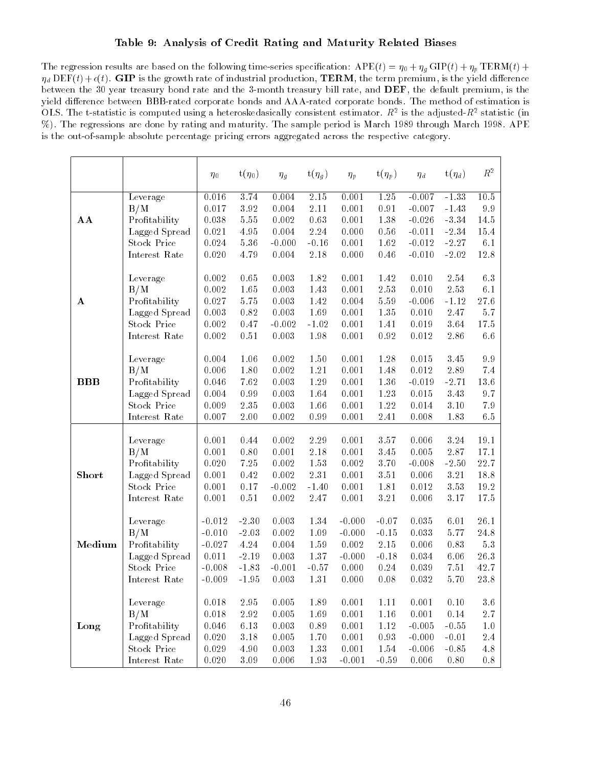### Table 9: Analysis of Credit Rating and Maturity Related Biases

The regression results are based on the following time-series specification:  $APE(t) = \eta_0 + \eta_g \text{GIP}(t) + \eta_p \text{TERM}(t) +$ d DEF(t)+(t). GIP is the growth rate of industrial production, TERM, the term premium, is the yield dierence between the 30 year treasury bond rate and the 3-month treasury bill rate, and DEF, the default premium, is the yield difference between BBB-rated corporate bonds and AAA-rated corporate bonds. The method of estimation is OLS. The t-statistic is computed using a neteroskedasically consistent estimator.  $R^2$  is the adjusted- $R^2$  statistic (in  $\pm$ %). The regressions are done by rating and maturity. The sample period is March 1989 through March 1998. APE is the out-of-sample absolute percentage pricing errors aggregated across the respective category.

|             |                    | $\eta_0$ | $t(\eta_0)$ | $\eta_g$ | $t(\eta_g)$ | $\eta_p$ | $t(\eta_p)$       | $\eta_d$ | $t(\eta_d)$ | $\mathbb{R}^2$ |
|-------------|--------------------|----------|-------------|----------|-------------|----------|-------------------|----------|-------------|----------------|
|             | Leverage           | 0.016    | 3.74        | 0.004    | 2.15        | 0.001    | $\overline{1.25}$ | $-0.007$ | $-1.33$     | $10\,.5$       |
|             | B/M                | 0.017    | $3.92\,$    | 0.004    | $2.11\,$    | 0.001    | 0.91              | $-0.007$ | $-1.43$     | $9\,$ $9\,$    |
| $A$ $A$     | Profitability      | 0.038    | 5.55        | 0.002    | 0.63        | 0.001    | 1.38              | $-0.026$ | $-3.34$     | $14.5\,$       |
|             | Lagged Spread      | 0.021    | 4.95        | 0.004    | $2.24\,$    | 0.000    | 0.56              | $-0.011$ | $-2.34$     | $15.4\,$       |
|             | <b>Stock Price</b> | 0.024    | 5.36        | $-0.000$ | $-0.16$     | 0.001    | 1.62              | $-0.012$ | $-2.27$     | $6.1\,$        |
|             | Interest Rate      | 0.020    | 4.79        | 0.004    | 2.18        | 0.000    | 0.46              | $-0.010$ | $-2.02$     | $12.8\,$       |
|             |                    |          |             |          |             |          |                   |          |             |                |
|             | Leverage           | 0.002    | 0.65        | 0.003    | 1.82        | 0.001    | 1.42              | 0.010    | 2.54        | 63             |
|             | B/M                | 0.002    | 1.65        | 0.003    | 1.43        | 0.001    | 2.53              | 0.010    | 2.53        | 6.1            |
| A           | Profitability      | 0.027    | 5.75        | 0.003    | 1.42        | 0.004    | 5.59              | $-0.006$ | $-1.12$     | 27.6           |
|             | Lagged Spread      | 0.003    | 0.82        | 0.003    | 1.69        | 0.001    | 1.35              | 0.010    | 2.47        | $5.7\,$        |
|             | <b>Stock Price</b> | 0.002    | 0.47        | $-0.002$ | $-1.02$     | 0.001    | 1.41              | 0.019    | 3.64        | 17.5           |
|             | Interest Rate      | 0.002    | 0.51        | 0.003    | 1.98        | 0.001    | 0.92              | 0.012    | 2.86        | $6\,\,6$       |
|             |                    |          |             |          |             |          |                   |          |             |                |
|             | Leverage           | 0.004    | 1.06        | 0.002    | $1.50\,$    | 0.001    | 1.28              | 0.015    | 3.45        | $9\,$ $9\,$    |
|             | B/M                | 0.006    | 1.80        | 0.002    | 1.21        | 0.001    | 1.48              | 0.012    | 2.89        | 7.4            |
| $B$ $B$ $B$ | Profitability      | 0.046    | 7.62        | 0.003    | 1.29        | 0.001    | 1.36              | $-0.019$ | $-2.71$     | $13.6\,$       |
|             | Lagged Spread      | 0.004    | 0.99        | 0.003    | 1.64        | 0.001    | 1.23              | 0.015    | 3.43        | $9\,$ $7\,$    |
|             | <b>Stock Price</b> | 0.009    | 2.35        | 0.003    | 1.66        | 0.001    | 1.22              | 0.014    | 3.10        | $7\,$ $9\,$    |
|             | Interest Rate      | 0.007    | $2.00\,$    | 0.002    | 0.99        | 0.001    | 2.41              | 0.008    | 1.83        | 6.5            |
|             |                    |          |             |          |             |          |                   |          |             |                |
|             | Leverage           | 0.001    | 0.44        | 0.002    | 2.29        | 0.001    | 3.57              | 0.006    | 3.24        | 19.1           |
|             | B/M                | 0.001    | 0.80        | 0.001    | 2.18        | 0.001    | 3.45              | 0.005    | 2.87        | 17.1           |
|             | Profitability      | 0.020    | $7\,\,25$   | 0.002    | $1.53\,$    | 0.002    | 3.70              | $-0.008$ | $-2.50$     | 22.7           |
| Short       | Lagged Spread      | 0.001    | 0.42        | 0.002    | $2.31\,$    | 0.001    | 3.51              | 0.006    | 3.21        | 18.8           |
|             | <b>Stock Price</b> | 0.001    | 0.17        | $-0.002$ | $-1.40$     | 0.001    | 1.81              | 0.012    | 3.53        | 19.2           |
|             | Interest Rate      | 0.001    | 0.51        | 0.002    | 2.47        | 0.001    | 3.21              | 0.006    | 3.17        | $17.5\,$       |
|             |                    |          |             |          |             |          |                   |          |             |                |
|             | Leverage           | $-0.012$ | $-2.30$     | 0.003    | 1.34        | $-0.000$ | $-0.07$           | 0.035    | 6.01        | 26.1           |
|             | B/M                | $-0.010$ | $-2.03$     | 0.002    | $1\,.09$    | $-0.000$ | $-0.15$           | 0.033    | 5.77        | 24.8           |
| Medium      | Profitability      | $-0.027$ | $4.24\,$    | 0.004    | 1.59        | 0.002    | $2.15\,$          | 0.006    | 0.83        | $5\, .3$       |
|             | Lagged Spread      | 0.011    | $-2.19$     | 0.003    | $1.37\,$    | $-0.000$ | $-0.18$           | 0.034    | 6.06        | 26.3           |
|             | <b>Stock Price</b> | $-0.008$ | $-1.83$     | $-0.001$ | $-0.57$     | 0.000    | 0.24              | 0.039    | 7.51        | 42.7           |
|             | Interest Rate      | $-0.009$ | $-1.95$     | 0.003    | $1.31\,$    | 0.000    | 0.08              | 0.032    | 5.70        | $23.8\,$       |
|             |                    |          |             |          |             |          |                   |          |             |                |
|             | Leverage           | 0.018    | 2.95        | 0.005    | 1.89        | 0.001    | 1.11              | 0.001    | 0.10        | $3\,.6$        |
|             | B/M                | 0.018    | $2.92\,$    | 0.005    | 1.69        | 0.001    | 1.16              | 0.001    | $0.14\,$    | $2.7\,$        |
| Long        | Profitability      | 0.046    | 6.13        | 0.003    | 0.89        | 0.001    | 1.12              | $-0.005$ | $-0.55$     | $1.0\,$        |
|             | Lagged Spread      | 0.020    | 3.18        | 0.005    | 1.70        | 0.001    | 0.93              | $-0.000$ | $-0.01$     | 2.4            |
|             | <b>Stock Price</b> | 0.029    | 4.90        | 0.003    | $1.33\,$    | 0.001    | 1.54              | $-0.006$ | $-0.85$     | $4.8\,$        |
|             | Interest Rate      | 0.020    | $3.09\,$    | 0.006    | $1.93\,$    | $-0.001$ | $-0.59$           | 0.006    | $0.80\,$    | $0.8\,$        |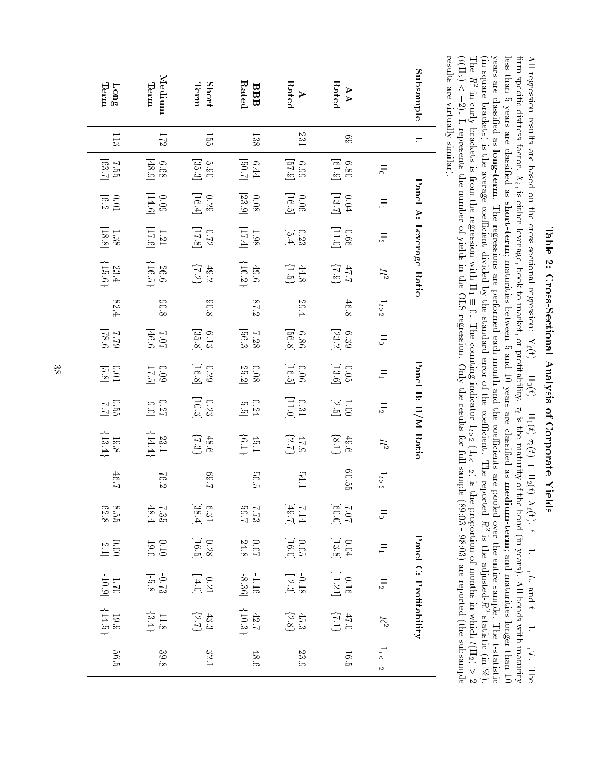| $\frac{1}{2}$<br>ì<br>ļ     |  |
|-----------------------------|--|
| こうこう こうこう<br>į              |  |
| $\frac{1}{2}$               |  |
| í                           |  |
| $\sim$ $\sim$ $\sim$ $\sim$ |  |
| <br> <br>                   |  |

 $\geq$  regression results are based on the cross-sectional regression: $Y_{\ell}(t)$  $\Pi_0(t) + \Pi_1(t)$  $\tau_\ell(t)+\Pi_2(t)$  $X_{\ell}(t),$  $\widetilde{\phantom{aa}}$  1;  $\cdots$ ,  $L,$  $=$  4 pue 1;  $\ldots, T$ . The rm-specic distress factor,  $X_{\ell},$  is either leverage, book-to-market, or protability.  $\mathcal{L}_{\mathcal{L}}$ is thematurity  $\Omega$  the bond $\widehat{E}$  years). $\geq$  bonds with, T. The<br>maturity less than 5 years are classied as short-term; maturities between 5 and10 years are classied as medium-term; and maturities longer than5 ਬ years are classied as long-term. The regressions are performed each month and the coecients are pooled over the entire sample. Ther than 10<br>t-statistic  $\widehat{\Xi}$  square brackets) is the average coecient divided $\mathcal{S}$  the standard error $\Omega$  the coecient. The reported e F is the adjusted-R2 statistic $\widehat{E}$  %). The 국.R in. curly brackets is from the regression with $\Xi$   $\in$ Ⅲ ㄹ효  $\circ$  The counting indicator $1_{t>2}$  $(1_t<-2)$  is the proportionq monthsin. statis<br>which t(112)  $> 2$ <br>  $t(\Pi_2) > 2$ <br>
subsample ∨ ≽? ¤  $\sim$   $\sim$  $\frac{1}{1}$  (if  $(\Pi_2)$ ∧ ∼ ഇ 2). $\blacksquare$  represents the number<u>ር</u> yieldsin. the OLS regression. Only the results for full sample (89:03 - 98:03) are reported (theresults are virtuallysimilar).

| $\lim_{\delta}$<br>$\frac{113}{2}$                | Medium<br>Term<br>172                                | Short<br>Term<br>155                         | Rated<br>BBB<br>138                                   | Rated<br>$\triangleright$<br>131                       | ${\rm Rated}$<br>AA<br>89                     |                | Subsample<br>$\blacksquare$ |
|---------------------------------------------------|------------------------------------------------------|----------------------------------------------|-------------------------------------------------------|--------------------------------------------------------|-----------------------------------------------|----------------|-----------------------------|
|                                                   |                                                      |                                              |                                                       |                                                        |                                               |                |                             |
| $\begin{bmatrix} 7.55 \\ 1.55 \end{bmatrix}$      | $\begin{bmatrix} 6.68 \\ 4.8.9 \end{bmatrix}$        | $\left[ 35.3\right]$<br>06.50                | $\begin{bmatrix} 5.44 \\ 6.41 \end{bmatrix}$          | $\begin{bmatrix} 6.39 \\ 57.9 \end{bmatrix}$           | $\begin{bmatrix} 6.13 \\ 6.1.9 \end{bmatrix}$ | $\Box$         |                             |
| $\begin{bmatrix} 0.01 \\ 0.2 \end{bmatrix}$       | $\begin{bmatrix} 0.09 \\ 14.6 \end{bmatrix}$         | $\begin{bmatrix} 0.29 \\ 16.4 \end{bmatrix}$ | $\begin{bmatrix} 0.08 \\ 23.9 \end{bmatrix}$          | $\begin{bmatrix} 0.06 \\ 16.5 \end{bmatrix}$           | $\begin{bmatrix} 0.04 \\ 13.7 \end{bmatrix}$  | $\mathbf{H}_1$ |                             |
| $\frac{1.38}{[18.8]}$                             | $1.21$                                               | $\left[ 17.8\right]$<br>77.0                 | $\begin{bmatrix} 1.98 \\ 17.4 \end{bmatrix}$          | 0.23                                                   | $\begin{bmatrix} 0.11 \\ 0.01 \end{bmatrix}$  | $\Pi_2$        |                             |
| $\begin{array}{c} 23.4 \\ 15.6 \end{array}$       | $\begin{array}{c} 26.6 \\ 116.5 \end{array}$         | $\{7.2\}$<br>49.2                            | ${10.2}$<br>$49.6\,$                                  | $\{1.5\}$<br>$44.8$                                    | $\{6.1\}$ $1.1\}$                             | R2             | Panel A: Leverage Ratio     |
| $82.4\,$                                          | $8.08\,$                                             | 806                                          | 87.2                                                  | 29.4                                                   | $46.8$                                        | $1_{t>2}$      |                             |
| $\begin{bmatrix} 0.87 \\ 0.77 \end{bmatrix}$      | $\begin{bmatrix} 9.9 \text{F} \\ 20.7 \end{bmatrix}$ | $\begin{bmatrix} 6.13 \\ 35.8 \end{bmatrix}$ | $7.28\atop 86.3$                                      | $\left[ 8.8 \right]$<br>98.9                           | $\begin{bmatrix} 6.39 \\ 23.2 \end{bmatrix}$  | $\rm H_0$      |                             |
| $\begin{bmatrix} 5.01 \\ 5.8 \end{bmatrix}$       | $\begin{bmatrix} 6.71 \\[-4pt] 2.09 \end{bmatrix}$   | $\left[16.8\right]$<br>675                   | $\begin{bmatrix} 0.08 \\ 25.2 \end{bmatrix}$          | $\begin{bmatrix} 16.5 \\ 10.5 \end{bmatrix}$           | $\begin{bmatrix} 0.05 \\ 13.6 \end{bmatrix}$  | $\mathbf{H}_1$ |                             |
| 1.55                                              | 0.27                                                 | $\left[10.3\right]$<br>0.23                  | $\begin{bmatrix} 0.24 \\ 5.5 \end{bmatrix}$           | $\begin{bmatrix} 0.31 \\[-4pt] 11.0 \end{bmatrix}$     | $\begin{bmatrix} 1.00 \\ 2.5 \end{bmatrix}$   | $\Pi_2$        | Panel B: B/M Ratio          |
| $\begin{array}{c} 19.8 \\[-4pt] 13.4 \end{array}$ | ${14.4}$<br>$23.1\,$                                 | $\{7.3\}$<br>$\overline{48.6}$               | $\{0.1\}$<br>$45.1$                                   |                                                        | $\{9.6\}$ (8.1)                               | $R^2$          |                             |
| 46.7                                              | 76.2                                                 | $\!2.2$                                      | 50.5                                                  | 54.1                                                   | 60.55                                         | $1_{t\geq 2}$  |                             |
| $\begin{bmatrix} 8.55 \\ 62.8 \end{bmatrix}$      | $7.35\atop 48.4$                                     | $6.31\phantom{}$                             | $\begin{bmatrix} 2.83 \\ 2.7 \\ 3.7 \\ \end{bmatrix}$ | $\begin{bmatrix} 2.6 \mathrm{F} \\ 2.14 \end{bmatrix}$ | $\begin{bmatrix} 0.03 \\ 7.0.7 \end{bmatrix}$ | $\Box$         |                             |
| $\begin{bmatrix} 0.00 \\ 2.1 \end{bmatrix}$       | $\begin{bmatrix} 0.10 \\ 0.19.0 \end{bmatrix}$       | $\begin{bmatrix} 0.28 \\ 16.5 \end{bmatrix}$ | $\begin{bmatrix} 0.07 \\ 24.8 \end{bmatrix}$          | $\begin{bmatrix} 0.05 \\ 16.0 \end{bmatrix}$           |                                               | $\Pi_1$        |                             |
| $\begin{bmatrix} 0.11.7 \\ -1.01.9 \end{bmatrix}$ | $\frac{1}{1-5.8}$                                    | $[-4.0]$                                     | $\text{--}1.16\text{ }$                               | $\frac{0.18}{[-2.3]}$                                  | $0.04$ -0.16<br>[13.8] [-1.21]                | $\Pi_2$        | Panel C: Profitability      |
| $\begin{array}{c} 19.9 \\ 14.5 \end{array}$       | $\begin{array}{c} 11.8 \\ 3.4 \end{array}$           | $\frac{43.3}{(2.7)}$                         | $\frac{42.7}{10.3}$                                   | 45.3                                                   | $\{1.7\}$                                     | $R^2$          |                             |
| 56.5                                              | $39.8\,$                                             | 122.1                                        | $48.6\,$                                              | $23.9\,$                                               | 16.5                                          | $1_{t<\,-2}$   |                             |

 $\frac{3}{8}$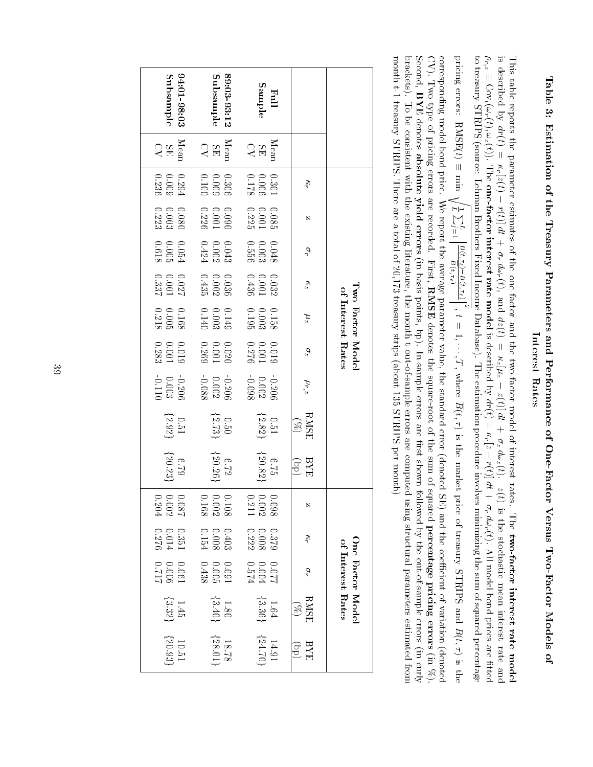# Table 3: Estimation of the Treasury Parameters and Performance of One-Factor Versus $\Gamma_{\rm W}$ o-Factor Models $\mathbf{a}$ Interestforme<br>Rates

This table reports the parameter estimatesq the one-factor and the two-factor modelQ, interest rates. $\mathbb{H}$ two-factor interest rate model is describedਓ ਨੂੰ  $dr(t)$  $\Box$ r<br>F  $f(z(t))$ 1. IT ST  $r(t)$ a :  $+$   $\tilde{\sigma}_r$  $d\omega_r$ (t),and<br>End  $dz(t)$ 11 S -ء ج ل<br>لم 1 X 1  $\widehat{f}(t)$ a<br>a  $+$  2  $$ a a  $d\omega_z(t).$  $\hat{c}$  is the stochastic mean interest ratee è<br>E è r<br>Pr, 2 III 8 T. Cov<sub>t</sub>( $\omega_r$ (t); $\omega_z(t)).$  $\frac{z}{\prod \alpha}$ one-factor interest ratemodel<br>model is describedਬ .  $dr(t)$  $\mathbb{H}$  .  $\overline{\pi}$ r.  $Z^2$ しんさし  $\widetilde{f}(t)$  $\hat{z}$  .  $+$   $\curvearrowright$   $\frac{\pi}{6}$  $\tilde{\sigma}$  $d\omega_r$ (t). $\geq$  model bond prices are percentage s<br>and<br>ftted to treasury STRIPS (source: Lehman Brothers Fixed Income Database). The estimation procedure involves minimizing the sumq squaredⅢ - 유 -

pricing errors: $\mathrm{RMSE}(t)$ e.<br>E  $\sum_{\mathsf{I}}$ Brothers Fixed Inco<br>Brothers Exed Inco<br> $\sum_{j=1}^{L} \left| \frac{\overline{B}(t,\tau_{2}) - B(t,\tau_{\ell})}{\overline{B}(t,\tau_{\ell})} \right|$  $\begin{bmatrix} 2 \\ 1 \end{bmatrix}$  1; se). Ine esu.<br>..., T, where  $\overline{B}(t,\tau)$  is the market price $\Omega$  treasury STRIPSan<br>F  $B(t, \tau)$  is  $\tau$ ) is the<br>(denoted corresponding model bond price. We report the average parameter value, the standard error (denoted SE) and the coecient $\Omega$  variationCV).L<br>Mo typeቧ. pricing errors are recorded. First, Para<br>Be para<br>RMSE denotes the square-root $\Omega$  the sum $\Omega$ l SE) ar<br>squared percentage pricingerrors<br>errors (in %). Second, nding<br>PYE<br>BYE denotes absolute yieldorded.<br>errors  $\widehat{\Xi}$  basis points, bp). In-sample errors are rst shown followed $\zeta$  the out-of-sample errors (in curly from brackets). Toa<br>B consistent with the existing literature, the month t out-of-sample errors are computed using structural parameters estimatedmonth $\mathbb{I}$  treasury STRIPS. There are a totalq 20,173 treasury strips (about 135 STRIPS permonth)<br>month)

| $94:01-98:03$<br>Subsample                             | 89:03-93:12<br>Subsample                                       | <b>Full</b><br>Sample                                       |                                        |                   |
|--------------------------------------------------------|----------------------------------------------------------------|-------------------------------------------------------------|----------------------------------------|-------------------|
| $\mathop{\mathrm{Mean}}_\mathrm{CH}$                   | $\begin{array}{c} \rm{Mean} \\ \rm{SE} \\ \rm{CK} \end{array}$ | $\begin{array}{c} \mathrm{Mean} \\ \mathrm{SE} \end{array}$ |                                        |                   |
| $\begin{array}{c} 0.294 \\ 0.009 \\ 0.236 \end{array}$ | $\begin{array}{c} 0.306 \\ 0.009 \\ 0.009 \end{array}$         | $\begin{array}{c} 0.301 \\ 0.006 \\ 0.000 \\ \end{array}$   | $\kappa_r$                             |                   |
| $\begin{array}{c} 0.080 \\ 0.003 \\ 0.223 \end{array}$ | $\begin{array}{c} 0.090 \\ 0.001 \\ 0.226 \end{array}$         | $\begin{array}{c} 0.085 \\ 0.001 \\ 0.225 \end{array}$      | Ń                                      |                   |
| $\begin{array}{c} 0.054 \\ 0.005 \\ 0.005 \end{array}$ | $\begin{array}{c} 0.043 \\ 0.002 \\ 0.424 \end{array}$         | $\begin{array}{c} 0.048 \\ 0.003 \\ 0.556 \end{array}$      | $\sigma_r$                             |                   |
| $0.027$<br>100.001<br>1337                             | $\begin{array}{c} 0.036 \\ 0.002 \\ 0.435 \end{array}$         | $\begin{array}{c} 0.032 \\ 0.001 \\ 0.436 \end{array}$      | $\kappa_z$                             |                   |
| $\begin{array}{c} 0.168 \\ 0.005 \\ 0.218 \end{array}$ | $\begin{array}{c} 0.149 \\ 0.003 \\ 0.003 \end{array}$         | $\begin{array}{c} 0.158 \\ 0.003 \\ 0.003 \end{array}$      | $\mu_z$                                | of Interest Rates |
| $\begin{array}{c} 0.019 \\ 0.001 \\ 0.001 \end{array}$ | $\begin{array}{c} 0.020 \\ 0.001 \\ 0.269 \end{array}$         | $\begin{array}{c} 0.019 \\ 0.001 \\ 0.001 \end{array}$      | $\sigma_z$                             | Two Factor Model  |
| $-0.206$<br>0.003<br>0.011                             | $-0.206$<br>0.002<br>$-0.088$                                  | $-0.206$<br>0.002<br>$-0.098$                               | $\rho_{r,z}$                           |                   |
| $\begin{array}{c} 0.51 \\[-4pt] 2.92 \end{array}$      | $\{2.73\}$                                                     | $\begin{array}{c} 0.51 \\[-4pt] 2.82 \end{array}$           | $\frac{\text{RMSE}}{\text{(30)}}$      |                   |
| $6.79$ 1<br>{20.23}                                    | $6.72\atop 20.26$                                              | $\{20.82\}$<br>$6.75$                                       | $\frac{\text{BY}}{\text{EYB}}$         |                   |
| 0.087<br>0.002<br>0.204                                | 0.108<br>0.002<br>0.168                                        | $\begin{array}{c} 0.098 \\ 0.002 \\ 0.211 \end{array}$      | N                                      |                   |
| $0.351$<br>$0.014$<br>$0.276$                          | $\begin{array}{c} 0.403 \\ 0.008 \\ 0.154 \end{array}$         | $\begin{array}{c} 0.379 \\ 0.008 \\ 0.222 \end{array}$      | Kr                                     |                   |
| $^{112.0}_{200.0}$<br>$^{100.0}_{100.0}$               | $\begin{array}{c} 0.091 \\ 0.005 \\ 0.005 \end{array}$         | 770.04<br>00.044<br>10.04                                   | $\sigma_r$                             | of Interest Rates |
| $\begin{array}{c} 1.45 \\[-4pt] 3.32 \end{array}$      | $1.80$ $[3.40]$                                                | $1.64$ $[3.36]$                                             | <b>RMSE</b><br>$\Im$                   | One Factor Model  |
| $\begin{array}{c} 10.51 \\ 20.93 \end{array}$          | $18.78$<br>{28.01}                                             | $14.91$<br>14.91                                            | <b>BYE</b><br>$\widehat{\mathfrak{g}}$ |                   |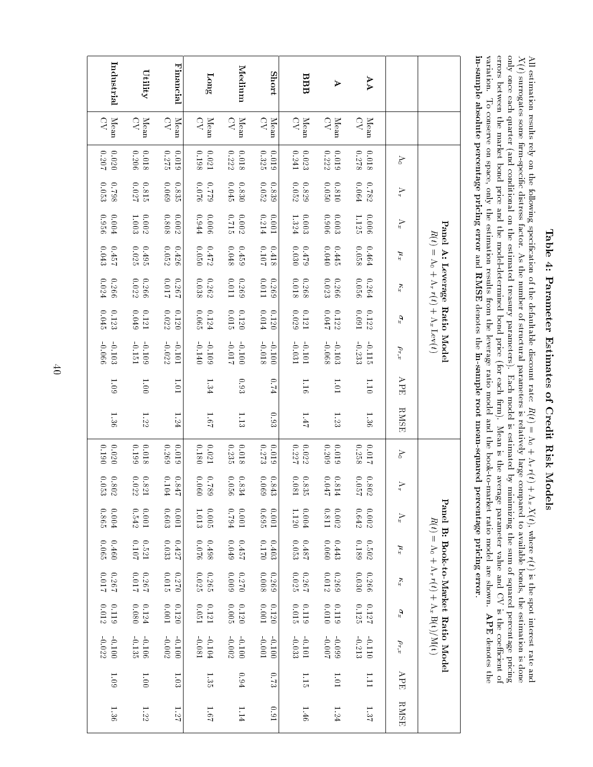# Table 4: Parameter Estimates of Credit RiskModels

 $\geq$  estimation results rely on the following specication $\Xi$  the defaultable discount rate:  $R(t) = \Lambda_0$ + r  $r(t)+\Lambda_x$  $X(t),$  where  $\widetilde{t}$  is the spot interest ratee<br>D  $\widetilde{X}(t)$  surrogates some rm-specic distress factor. As the number $\Xi$  structural parameters is relatively large compared to available bonds, the estimation is done pricing only once each quarter (and conditional on the estimated treasury parameters). Each model is estimated $\mathbf{S}$  minimizing the sum $\Xi$  squared percentageerrors between the market bond price and the model-determined bond price (for each rm). Mean is the average parameter value and $\stackrel{\circ}{\scriptstyle\sim}$  is the coecientن ۽ variation. To conserve on space, only the estimation results from the leverage ratio modeland<br>D the book-to-market ratio model are shown. bercer<br>APE<br>APE denotesthe<br>T in-sample absolute percentage pricingerror<br>error e<br>E e etermin<br>esults f<br>RMSE denotese<br>Ref in-sample root mean-squared percentage pricingerror.

| Industrial                                                                | Utility                       | Financial             | $\Gamma^{\rm ong}$     | Medium                | <b>Short</b>          | BBB                                   | А                                | AA                                            |              |                                                                       |
|---------------------------------------------------------------------------|-------------------------------|-----------------------|------------------------|-----------------------|-----------------------|---------------------------------------|----------------------------------|-----------------------------------------------|--------------|-----------------------------------------------------------------------|
| $\mathbf{M}\mathbf{e}\mathbf{a}\mathbf{n}$<br>$\mathcal{C}^{\mathcal{N}}$ | Mean<br>$\mathcal{S}$         | Mean<br>$\mathcal{S}$ | $\overline{C}$<br>Mean | Mean<br>$\mathcal{S}$ | $\mathcal{S}$<br>Mean | $\mathcal{L}$<br>Mean                 | Mean<br>$\leq$                   | $Mean$<br>CV                                  |              |                                                                       |
| 702.0<br>$0.020$                                                          | $0.018\,$<br>0.206            | 0.275<br>610'0        | 8610<br>0.021          | 0.222<br>81010        | 0.325<br>610'0        | 0.241<br>$0.023\,$                    | 0.222<br>$0.019\,$               | $0.278$<br>$0.018\,$                          | $\lesssim$   |                                                                       |
| 0.053<br>$86L0$                                                           | 0.815<br>720.0                | 690.0<br>0.835        | $0.076$<br>$62\bot 0$  | 0.045<br>0.830        | 0.052<br>0.839        | 0.052<br>0.829                        | 050.0<br>0.810                   | $0.782$<br>0.064                              | Àr           |                                                                       |
| 0.956<br>0.004                                                            | $0.002\,$<br>1.003            | 700.0<br>0.808        | 16:944<br>900°0        | 217.0<br>$0.002\,$    | 0.214<br>100.0        | 6.003<br>1.324                        | 906.0<br>0.003                   | 1.125<br>0.006                                | $\Lambda_x$  | Panel                                                                 |
| 0.043<br>$0.457$                                                          | 0.495<br>0.025                | 0.052<br>0.426        | 0200<br>$0.472$        | 0.459<br>8700         | 1010<br>0.418         | 0.030<br>$62 + 0$                     | 0.040<br>0.445                   | $0.464$<br>$0.058$                            | $\mu x$      | $R(t) = \Lambda_0 + \Lambda_r r(t) + \Lambda_x \operatorname{Lev}(t)$ |
| 0.024<br>9970                                                             | $0.266$<br>$0.022\,$          | 710.0<br>1920         | $0.038\,$<br>$0.262\,$ | 110.0<br>6970         | 110.0<br>6320         | 81010<br>$0.268\,$                    | 0.023<br>0.266                   | 0.264<br>0.056                                | $\kappa_x$   | A: Leverage Ratio Model                                               |
| $0.045\,$<br>$0.123\,$                                                    | 6f0.049<br>$0.121\,$          | 0.022<br>0.120        | 0.065<br>0.124         | 0.015<br>0.120        | 0.014<br>0.120        | 0.029<br>0.121                        | $2 + 0.04$<br>$0.122\,$          | $160^\circ$ $0$<br>$0.122\,$                  | $\sigma_x$   |                                                                       |
| 990.066<br>$-0.103$                                                       | $-0.109$<br>-0.151            | $-0.022$<br>101.0     | $-0.109$<br>$-0.140$   | -0.017<br>$-0.1100$   | -0.018<br>0.100       | $-0.101$<br>-0.031                    | 890.0-<br>$-0.103$               | $-0.233$<br>$-0.115$                          | $\rho_{r,x}$ |                                                                       |
| $60^\circ1$                                                               | 1.001                         | 1.01                  | 1.34                   | 0.93                  | $6.74\,$              | 1.16                                  | 1.01                             | 1.10                                          | APE          |                                                                       |
| 1.36                                                                      | $1.22\,$                      | 1.24                  | 19°I                   | 1.13                  | 0.93                  | 171                                   | $1.23\,$                         | 1.36                                          | RMSE         |                                                                       |
| $0.020\,$<br>$0.190\,$                                                    | 661.0<br>810.0                | 697:0<br>610.0        | 0.180<br>17000         | 0.235<br>810.0        | 0.273<br>610.0        | 0.227<br>0.022                        | 610.0<br>6070                    | 0.258<br>$110.0$                              | $\geq$       |                                                                       |
| $\begin{array}{c} 0.802 \\ 0.053 \end{array}$                             | $0.022\,$<br>780<br>$\approx$ | 0.104<br>184<br>듁     | 0.060<br>$687.0$       | 0.056<br>$0.834\,$    |                       | $0.081\,$<br>0.83<br>$\tilde{\Omega}$ | $1\mathtt{F0.0}$<br>$0.8\,$<br>互 | $0.802$<br>0.057                              | Ş            |                                                                       |
| 0.865<br>$0.004$                                                          | $0.542\,$<br>$100.0$          | 809.0<br>$100.0$      | $0.005\,$<br>1.013     | $100.0$<br>$F6L0$     | 269.0<br>I00'0        | 0.004<br>1.120                        | 118.0<br>$0.002\,$               | $\begin{array}{c} 0.002 \\ 0.642 \end{array}$ | $\Lambda_x$  |                                                                       |
| $0.065\,$<br>$0.460\,$                                                    | 0.521<br>$0.107\,$            | 0.033<br>0.427        | 920.0<br>$0.498\,$     | 0.049<br>1270         | $0.1170$<br>0.403     | $181\!\cdot\! 0$<br>0.053             | 0.060<br>$0.443\,$               | 0.189<br>$0.502\,$                            | $x_{\eta}$   | $R(t) = \Lambda_0 + \Lambda_r(t) + \Lambda_x B(t)/M(t)$               |
| $110.0$<br>$195.0$                                                        | 782.0<br>710.0                | $0.270$<br>0.015      | $0.025\,$<br>0.265     | 0.270<br>6000         | 8000<br>6320          | 782.0<br>$0.025\,$                    | $0.012\,$<br>6970                | 0.030<br>$0.266\,$                            | $\kappa_x$   |                                                                       |
| 0.012<br>$0.119$                                                          | $0.080\,$<br>$0.124\,$        | 0.120<br>$100.0$      | $0.121$<br>$0.051$     | $200.0$<br>$0.120\,$  | $100.0$<br>0.120      | $0.015\,$<br>0.119                    | $0.010\,$<br>0.119               | $\frac{0.127}{0.125}$                         | $\sigma_x$   |                                                                       |
| 20.22<br>$-0.100\,$                                                       | 9010-<br>$-0.135$             | 0.1100<br>0.002       | $-0.104$<br>180.0-     | 7000<br>$-0.1100$     | $100.0\,$<br>0.1100   | $-0.101\,$<br>$-0.033$                | $100.0$ .<br>660'0-              | -0.213<br>$-0.110$                            | $\rho_{r,x}$ | Panel B: Book-to-Market Ratio Model                                   |
| $60^{\circ}$ I                                                            | 1.001                         | 1.03                  | 1.35                   | 0.94                  | 6.73                  | 1.15                                  | 1.01                             | <b>TTT</b>                                    | APE          |                                                                       |
| 1.36                                                                      | $1.22\,$                      | 171                   | 1.67                   | 1.14                  | 16.0                  | 1.46                                  | 1.24                             | 1.37                                          | <b>RMSE</b>  |                                                                       |

 $\ddot{\theta}$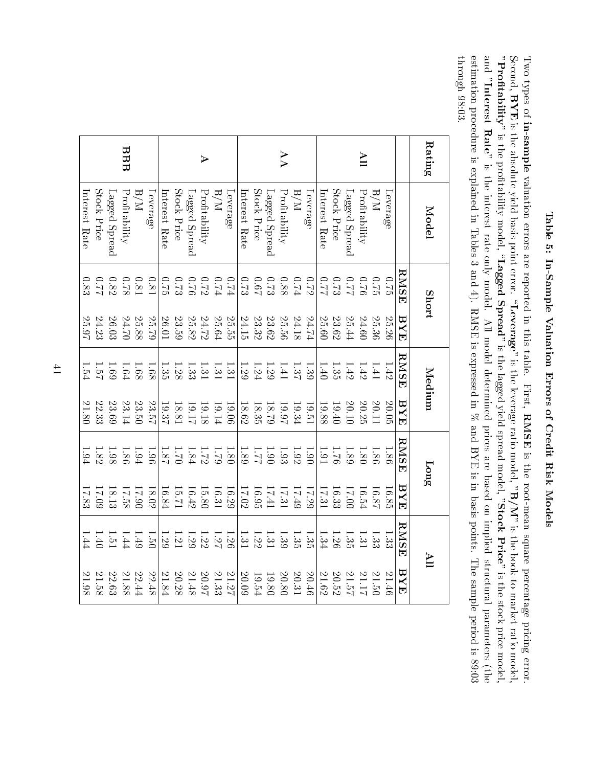# Table 5: In-Sample Valuation Errors of Credit RiskModels

Two types $\Xi$ in-sample valuation errors are reportedin. this table. First, *r* Cred<br>RMSE isthe<br> root-mean square percentage pricing error. Second,  $_{\rm BYF}^{\rm es}$ is the absolute yield basis point error. $\alpha$ everage" is the leverage ratio model, $\mathrm{B/N}$  is the book-to-market ratio model, "Profitability" isthe<br> protability $\operatorname{mag}_\mathrm{eff}$  ,  $\operatorname{Laged}$  Spread" isthe<br> lagged yield spread model, "StockPrice" is the stock price model, and "Interest $\mathrm{Rat}^\mathrm{r}$  is the interest rate only model. All model determined prices are based on implied structural parameters (the 89:03 estimation procedure is explainedin. Tablesدى and 4). RMSE is expressedin.  $\approx$  and BYE isin. basis points. The sample period isthrough98:03.

| Rating                | Model         | Short                                |                         | Medium |               | $\mathop{\mathtt{Long}}$ |                                               | $\mathbf{H}$                                                                                                                                                                                                                                                                                                                                                                                                                                              |                                             |
|-----------------------|---------------|--------------------------------------|-------------------------|--------|---------------|--------------------------|-----------------------------------------------|-----------------------------------------------------------------------------------------------------------------------------------------------------------------------------------------------------------------------------------------------------------------------------------------------------------------------------------------------------------------------------------------------------------------------------------------------------------|---------------------------------------------|
|                       |               | <b>RMSE</b>                          | ${\rm \,H\,}N{\rm \,H}$ | RMSE   | $_{\rm{HVI}}$ | RMSE                     | $_{\rm{TXB}}$                                 | RMSE                                                                                                                                                                                                                                                                                                                                                                                                                                                      | BYE                                         |
|                       | Leverage      | $6.70$                               | 25.26                   | 1.42   | 20.05         | $-80$                    | 16.85                                         | 1.33                                                                                                                                                                                                                                                                                                                                                                                                                                                      | 21.46                                       |
|                       | W/H           |                                      | 25.36                   | 1.41   | 20.11         | $-86$                    | 18.87                                         |                                                                                                                                                                                                                                                                                                                                                                                                                                                           |                                             |
| $\mathbb{I}$          | Profitability |                                      | 24.60                   | 1.42   | 20.25         | $\overline{S}$           | 16.54                                         |                                                                                                                                                                                                                                                                                                                                                                                                                                                           | 21.50<br>21.17                              |
|                       | Lagged Spread | $2320$<br>$233$                      | 25.44                   | 1.42   | 20.10         | 1.89                     | 00'21                                         | $\frac{1}{3} \cdot \frac{3}{2} \cdot \frac{1}{3} \cdot \frac{3}{6} \cdot \frac{1}{3} \cdot \frac{3}{6} \cdot \frac{1}{3} \cdot \frac{3}{6} \cdot \frac{1}{3} \cdot \frac{3}{6} \cdot \frac{1}{3} \cdot \frac{3}{6} \cdot \frac{1}{3} \cdot \frac{3}{6} \cdot \frac{1}{3} \cdot \frac{3}{6} \cdot \frac{1}{3} \cdot \frac{3}{6} \cdot \frac{1}{3} \cdot \frac{3}{6} \cdot \frac{1}{3} \cdot \frac{3}{6} \cdot \frac{1}{3} \cdot \frac{3}{6} \cdot \frac{1$ | 21.57                                       |
|                       | Stock Price   |                                      | 23.62                   | 1.35   | 19.40         | 92.1                     | 16.33                                         |                                                                                                                                                                                                                                                                                                                                                                                                                                                           | $20.52\,$                                   |
|                       | Interest Rate | 22.0                                 | 25.60                   | 1.40   | 19.88         | 1.91                     | 17.31                                         | 1.34                                                                                                                                                                                                                                                                                                                                                                                                                                                      | 21.62                                       |
|                       | Leverage      |                                      | 24.74                   | 1.39   | 19.51         | 06.1                     | 17.29                                         | 1.35                                                                                                                                                                                                                                                                                                                                                                                                                                                      | 20.46                                       |
|                       | W/H           | $0.74$<br>$0.88$                     | 24.18                   |        | 19.34         | 1.92                     |                                               |                                                                                                                                                                                                                                                                                                                                                                                                                                                           | 20.31                                       |
| AA                    | Profitability |                                      | 25.56                   | 1.37   | 16.97         | 1.93                     | $\begin{array}{c} 17.31 \\ 27.31 \end{array}$ | $\frac{1.35}{1.39}$                                                                                                                                                                                                                                                                                                                                                                                                                                       | $20.80\,$                                   |
|                       | Lagged Spread |                                      | 23.62                   | 1.29   | 62.81         |                          | 17.41                                         | 1.31                                                                                                                                                                                                                                                                                                                                                                                                                                                      | $19.54\phantom{}$                           |
|                       | Stock Price   | $\frac{0.67}{5}$                     | $23.32\,$               | 1.24   | 18.35         | $\frac{1.90}{1.81}$      | 16.95                                         | 1.22                                                                                                                                                                                                                                                                                                                                                                                                                                                      |                                             |
|                       | Interest Rate | 0.73                                 | 24.15                   | 1.29   | 18.62         |                          | <b>Z0.71</b>                                  | 1.31                                                                                                                                                                                                                                                                                                                                                                                                                                                      | $20.09\,$                                   |
|                       | Jeverage      |                                      | 25.55                   | 1.31   | 90.06         | 1.80                     | 16.29                                         | 1.26                                                                                                                                                                                                                                                                                                                                                                                                                                                      | $\frac{21.27}{21.33}$ $\frac{20.97}{21.48}$ |
|                       | $_{\rm N/H}$  |                                      | 25.64                   |        | 19.14         |                          | 16.31                                         |                                                                                                                                                                                                                                                                                                                                                                                                                                                           |                                             |
| $\blacktriangleright$ | Profitability | $0.74$<br>$0.72$<br>$0.72$<br>$0.76$ | 24.72                   | 1.31   | 19.18         | 1.72                     | 15.80                                         | 1.27                                                                                                                                                                                                                                                                                                                                                                                                                                                      |                                             |
|                       | Lagged Spread |                                      | $25.82\,$               | $-33$  | 16.17         | 1.84                     | $16.42\,$                                     | 1.29                                                                                                                                                                                                                                                                                                                                                                                                                                                      |                                             |
|                       | Stock Price   | 0.75                                 | 23.59                   | 1.38   | 18.81         | 02.1                     | 15.71                                         | $\frac{1.21}{1.29}$                                                                                                                                                                                                                                                                                                                                                                                                                                       | $20.28\,$                                   |
|                       | Interest Rate |                                      | 26.01                   |        | 19.37         | 1.87                     | 16.84                                         |                                                                                                                                                                                                                                                                                                                                                                                                                                                           | $21.84\,$                                   |
|                       | Leverage      | 0.81                                 | 25.79                   | 1.68   | 23.57         | $-96$                    | 18.02                                         | 1.50                                                                                                                                                                                                                                                                                                                                                                                                                                                      | $22.48\,$                                   |
|                       | N/H           | 0.81                                 | 25.88                   | 1.68   | 23.50         | 1.94                     | 17.90                                         | 1.49                                                                                                                                                                                                                                                                                                                                                                                                                                                      | $22.44\,$                                   |
| BBB                   | Profitability | 82.0                                 | 24.70                   | 1.64   | 23.14         | 1.86                     | 17.58                                         | 1.44                                                                                                                                                                                                                                                                                                                                                                                                                                                      | $21.88\,$                                   |
|                       | Lagged Spread | 0.82                                 | $26.03$                 | 1.69   | 23.69         | 1.98                     | 18.13                                         | $\overline{1.51}$                                                                                                                                                                                                                                                                                                                                                                                                                                         | $22.63\,$                                   |
|                       | Stock Price   |                                      | 24.23                   | 1.54   | 22.33         | 1.82                     | 60'71                                         | 1.40                                                                                                                                                                                                                                                                                                                                                                                                                                                      | 21.58                                       |
|                       | Interest Rate | 0.83                                 | 25.97                   |        | 21.80         | 1.94                     | 17.83                                         | 1.44                                                                                                                                                                                                                                                                                                                                                                                                                                                      | 21.98                                       |

 $\pm$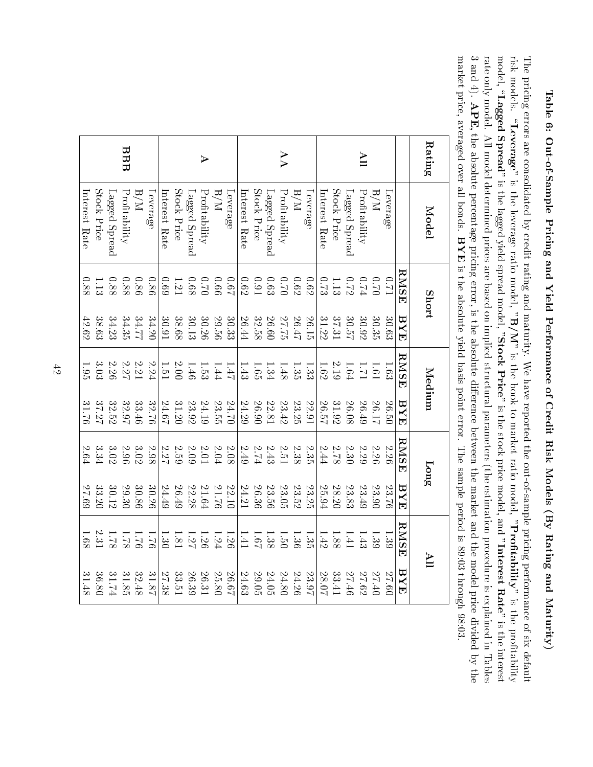Table 6: Out-of-Sample Pricing and Yield Performance of Credit Risk Models $\left( \mathrm{B} \right)$  Rating andMaturity)

The pricing errors are consolidated $\mathrm{S}$  credit rating and maturity. We have reported the out-of-sample pricing performance of six default protability risk models. $\alpha$ everage" is the leverage ratio model, "B/M" is the book-to-market ratio model,"Profitability" is the $\operatorname{mag}$ el, " $\operatorname{Laged}$  Spread" is the lagged yield spread model, "StockPrice" is the stock price model, and "Interest $\operatorname{Rate}^r$  is thel dability<br>interest rate only model. All model determined prices are based on implied structural parameters (the estimation procedure is explainedin. Tables دے and $\hat{\mathbf{t}}$ APE, the absolute percentage pricing error, is the absolute dierence between the market and the model price divided $\mathrm{S}$ hes<br>The market price, averaged over $\stackrel{\circ}{=}$  bonds.  $_{\rm {period}}^{\rm {e\,pt}}$ <br>BYE is the absolute yield basis point error. The sample period is 89:03 through98:03.

|                       | eraged over all bonds. BYE is the absolute yield basis point error. The sample period is 89:03 through |                |             |                     |             |                   |               |          |             |
|-----------------------|--------------------------------------------------------------------------------------------------------|----------------|-------------|---------------------|-------------|-------------------|---------------|----------|-------------|
| Rating                | Model                                                                                                  | Short          |             | Medium              |             | Long              |               | Ě        |             |
|                       |                                                                                                        | RMSE           | ${\rm FYF}$ | RMSE                | ${\rm HYB}$ | RMSE              | $_{\rm{HVI}}$ | RMSE     | ${\rm HYE}$ |
|                       | Leverage                                                                                               | L10            | 30.63       | 1.63                | 02.50       | 2.26              | 92.86         | 1.39     | 09'27       |
|                       | $\mathbb{N}/\mathbb{R}$                                                                                |                | 30.35       |                     | 26.17       | 2.26              | $23.90\,$     | 1.39     | 27.40       |
| ПV                    | Profitability                                                                                          | $0.70$<br>0.74 | 30.92       | $\frac{1}{1}$       | 26.49       | $2.29\,$          | 23.49         | 1.43     | 27.62       |
|                       | Lagged Spread                                                                                          |                | 30.57       | 1.64                | 26.08       |                   | 23.83         | 1.41     | 27.46       |
|                       | Stock Price                                                                                            | 0.72           | 37.31       | $2.19\,$            | 31.92       | $2.30$<br>2.78    | 28.20         | 1.88     | 33.41       |
|                       | Interest Rate                                                                                          | 6.73           | 31.22       | 1.62                | 26.57       | $2.44\,$          | 25.94         | 1.42     | 28.07       |
|                       | Leverage                                                                                               | 0.62           | 26.15       | 1.33                | 22.91       | 2.35              | 23.25         | 1.35     | 23.97       |
|                       | N/d                                                                                                    | 6.62           | 26.47       | 1.35                | 23.25       |                   | 23.52         | 1.36     | 24.26       |
| AA                    | Profitability                                                                                          | 0.70           | 27.75       | 1.48                | 23.42       | $2.38\phantom{0}$ | 23.05         | 1.50     | 24.80       |
|                       | Lagged Spread                                                                                          | 6.63           | 26.60       | 1.34                | 22.81       |                   | 23.56         | 1.38     | 24.05       |
|                       | Stock Price                                                                                            | $16.0\,$       | $32.58\,$   | 1.65                | 26.90       | $2.43$<br>2.74    | 26.36         | 19.1     | 29.05       |
|                       | Interest Rate                                                                                          | 6.62           | 26.44       | 1.43                | 24.29       | $2.49\,$          | 24.21         | 1.41     | $24.63\,$   |
|                       | Leverage                                                                                               | 19.0           | 30.33       | $1 + 1$             | 24.70       | $2.08\,$          | 22.10         | 1.26     | 29.67       |
|                       | N/H                                                                                                    | 99.0           | 29.56       | 1.44                | 23.55       |                   | 21.76         | 1.24     | 25.80       |
| $\blacktriangleright$ | Profitability                                                                                          | 02.0           | 30.26       | $1.53\,$            | 24.19       | $2.04\phantom{0}$ | 21.64         | 1.26     | 26.31       |
|                       | Lagged Spread                                                                                          | 89.0           | 30.13       | 1.46                | 23.92       | $2.09\,$          | 22.28         | 1.27     | 26.39       |
|                       | Stock Price                                                                                            | 1.21           | 38.68       | $\frac{2.00}{1.51}$ | 31.20       | $2.27$<br>2.27    | 26.49         | 1.81     | 33.51       |
|                       | Interest Rate                                                                                          | 69.0           | 30.91       |                     | 24.67       |                   | 24.49         | 1.30     | 27.38       |
|                       | Leverage                                                                                               | 0.86           | 34.20       | 2.24                | 32.76       | $2.98\,$          | 30.26         | 92.1     | 31.87       |
|                       | N/H                                                                                                    | 0.86           | 34.77       | $2.21\,$            | 33.46       | $3.02\,$          | 30.86         | 92.1     | 32.48       |
| BBB                   | Profitability                                                                                          | $0.88\,$       | 34.35       | 2.27                | 32.97       | 96.2              | 29.30         | 1.78     | 31.85       |
|                       | Lagged Spread                                                                                          | $0.88\,$       | 34.23       | 2.26                | 32.52       | $3.02\,$          | 30.12         | 82.1     | 1.74        |
|                       | Stock Price                                                                                            | 1.13           | 38.63       | 3.03                | 37.27       | 3.34              | 33.20         | $2.31\,$ | 36.80       |
|                       | Interest Rate                                                                                          | 0.88           | 42.62       | 1.95                | 31.76       | $2.64\,$          | 69.23         | 1.68     | 31.48       |

 $\ddot{\tilde{c}}$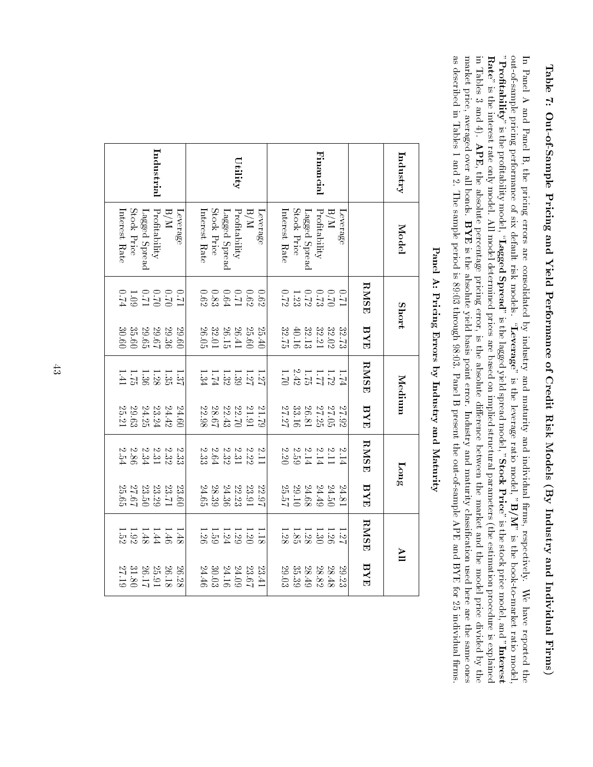# Tableب: Out-of-Sample Pricing and Yield Performance of Credit Risk Models $\left( \mathrm{B} \right)$  Industry and IndividualFirms)

 $\Xi$  Panel $\Rightarrow$  and Panel्म the pricing errors are consolidated $\mathcal{S}_{\mathbf{Q}}$  industry and maturity and individual rms, respectively.≸ have reportedthe se out-of-sample pricing performanceq six default risk models.  $\alpha$ everage  $\alpha$  is the leverage ratio model, $\mathrm{B}/\mathrm{M}^{\mathrm{w}}$  is the book-to-market ratiotio model,<br>"**Interest** "Profitability" is the protability $_{\rm{red}}$ ,  $_{\rm{Lager}}$ Spread" is the lagged yield spread model, "Stock $\Pr^{\mathrm{tree}}$  is the stock price model, and ${\rm Re}^{\nu}$  is the interest rate only model. $\geq$  model determined prices are based on implied structural parameters (the estimation procedure is**Interest**<br>explained in. Tablesدى and 4). APE, the absolute percentage pricing error, is the absolutedifference between the market and the model price divided $\mathcal{S}$ s<br>Eng market price, averaged over $\frac{\omega}{\Box}$  bonds. All m<br>a<br>BYE  ${\bf \Omega}$  . the absolute yield basis point error. Industry and maturity classication used here are the same ones as describedin. Tables 1 and 2. The sample period is 89:03 through 98:03. Panel $\Xi$  present the out-of-sample APE and BYE forಜ individualrms.

| Stock Price<br>Leverage<br>Interest Rate<br>Lagged Spread<br>L20<br>0 0 0 0 0 0<br>6 0 1 0 3 8 9<br>8 9 1 1 3 8 9 9<br>$\begin{array}{c} 26.41 \\ 26.15 \\ 32.01 \\ 26.05 \end{array}$<br>09.60<br>$1.7138747$<br>$2.7138747$<br>24.60<br>22.98<br>$\begin{array}{l} 22.70 \\ 22.43 \\ 28.67 \end{array}$ | $U$ tility<br>Interest Rate<br>N/H<br>Profitability<br>Leverage<br>25.60<br>25.40<br>$21.91$<br>$21.91$ | Financial<br>Stock Price<br>Profitability<br>N/H<br>Leverage<br>Lagged Spread<br>$\begin{array}{c} 0.017 \\ 0.017 \\ -0.012 \\ 0.72 \\ \end{array}$<br>32.73<br>$\begin{array}{l} 32.02 \\ 32.21 \\ 40.16 \\ 32.75 \end{array}$<br>$\begin{array}{c} 1.172 \\ 1.172 \\ 2.42 \\ 1.79 \end{array}$<br>$27.05$<br>$27.26$<br>$28.16$<br>$27.27$<br>27.92 | RMSE<br>BYE<br><b>RMSE</b><br>BYE | Industry<br>Model<br><b>Short</b><br>Medium | Fanel A: Frienig Errors by muustry and Maturity |
|-----------------------------------------------------------------------------------------------------------------------------------------------------------------------------------------------------------------------------------------------------------------------------------------------------------|---------------------------------------------------------------------------------------------------------|-------------------------------------------------------------------------------------------------------------------------------------------------------------------------------------------------------------------------------------------------------------------------------------------------------------------------------------------------------|-----------------------------------|---------------------------------------------|-------------------------------------------------|
| $\begin{array}{c} 0.10 \\ 0.10 \\ 0.70 \\ 0.70 \\ 0.74 \\ \end{array}$                                                                                                                                                                                                                                    |                                                                                                         |                                                                                                                                                                                                                                                                                                                                                       |                                   |                                             |                                                 |
| 35.60<br>30.60<br>$\begin{array}{l} 29.36 \\ 29.67 \\ 29.65 \end{array}$                                                                                                                                                                                                                                  |                                                                                                         |                                                                                                                                                                                                                                                                                                                                                       |                                   |                                             |                                                 |
| $\frac{11}{28}$ $\frac{3}{28}$ $\frac{3}{8}$ $\frac{11}{28}$ $\frac{11}{24}$                                                                                                                                                                                                                              |                                                                                                         |                                                                                                                                                                                                                                                                                                                                                       |                                   |                                             |                                                 |
| $24.24$<br>$23.24$<br>$29.25$<br>$25.21$                                                                                                                                                                                                                                                                  |                                                                                                         |                                                                                                                                                                                                                                                                                                                                                       |                                   |                                             |                                                 |
| 221232<br>333282<br>2425<br>2.33<br>2 2 2 2 3 3 4 4<br>2 2 3 3 3 4 4<br>2 3 3                                                                                                                                                                                                                             |                                                                                                         | $\begin{array}{c}\n 2.11 \\  2.14 \\  2.59\n \end{array}$<br>5.14                                                                                                                                                                                                                                                                                     | <b>RMSE</b>                       | Long                                        |                                                 |
| 23.50<br>$23.29\,$<br>23.71<br>24.65<br>$\begin{array}{c} 22.23 \\ 24.36 \end{array}$<br>$27.67$<br>23.60<br>$28.39\,$                                                                                                                                                                                    | 23.91<br>22.97<br>29.10<br>25.57                                                                        | $24.49\,$<br>24.50<br>24.81<br>$24.68\,$                                                                                                                                                                                                                                                                                                              | BYE                               |                                             |                                                 |
| 1.48<br>$1.148$<br>$1.35$<br>$1.52$<br>$\begin{array}{c} 1.12 \\ 1.29 \\ 1.39 \\ 1.59 \end{array}$                                                                                                                                                                                                        |                                                                                                         | $\frac{11}{288888}$                                                                                                                                                                                                                                                                                                                                   | <b>RMSE</b>                       | ПУ                                          |                                                 |
| $\begin{array}{c} 26.18 \\ 25.91 \\ 26.17 \\ 31.80 \end{array}$<br>24.46<br>$\begin{array}{l} 24.09 \\ 24.16 \\ 30.03 \end{array}$<br>26.28                                                                                                                                                               | $23.67\,$<br>$23.41\,$<br>29.03                                                                         | $\frac{28.48}{28.82}$<br>$\frac{28.49}{35.39}$<br>29.23                                                                                                                                                                                                                                                                                               | BYE                               |                                             |                                                 |

Panel A: Pricing Errors $\mathbf{\hat{z}}$  Industry andne out-or-s<br>Maturity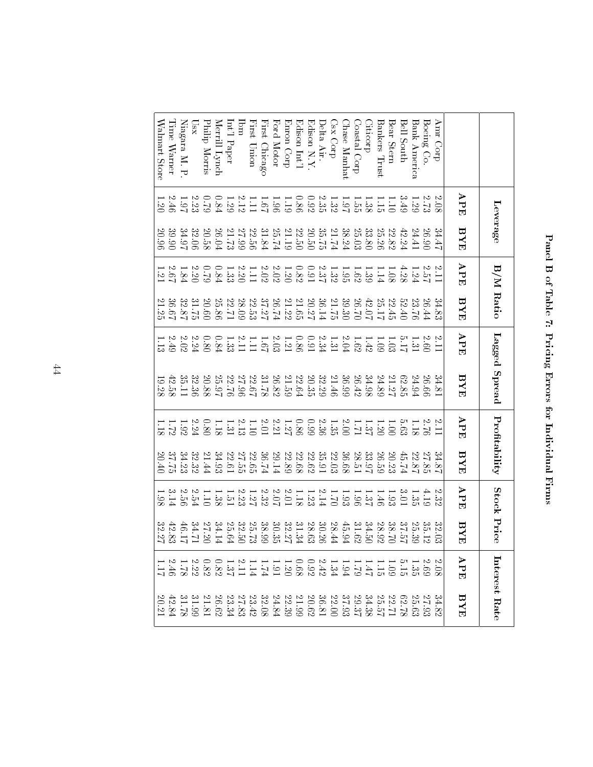| j                       |  |
|-------------------------|--|
| $\frac{1}{2}$           |  |
| ļ<br>j                  |  |
| í                       |  |
|                         |  |
| $\frac{1}{2}$<br>l<br>J |  |
| I                       |  |
|                         |  |
|                         |  |
| İ<br>I<br>J<br>l        |  |
| J                       |  |
| ŗ                       |  |
| ١                       |  |
|                         |  |
| <br> <br>               |  |
| ı<br>l                  |  |
|                         |  |
|                         |  |
|                         |  |
|                         |  |

|                  |                                             | Leverage                                               |                                                     | B/M Ratio                                              |                                                     | Lagged Spread | Profitability                                       |                                               | Stock Price                                                    |                       |                                                                                                  | Interest Rate                                                               |
|------------------|---------------------------------------------|--------------------------------------------------------|-----------------------------------------------------|--------------------------------------------------------|-----------------------------------------------------|---------------|-----------------------------------------------------|-----------------------------------------------|----------------------------------------------------------------|-----------------------|--------------------------------------------------------------------------------------------------|-----------------------------------------------------------------------------|
|                  | ${\tt AFL}$                                 | BYE                                                    | APE                                                 | BYE                                                    | APE                                                 | BYE           | $\mathbf{A}\mathbf{P}\mathbf{E}$                    | BYE                                           | $_{\rm APE}$                                                   | BYE                   | APE                                                                                              | $\rm \overline{H}Y\overline{H}$                                             |
| Ann Corp         | 2.08                                        | 34.47                                                  | 2.11                                                | 34.83                                                  | 5.11                                                | 34.81         | 2.11                                                | 34.8                                          | 2.32                                                           | $32.03$               | ىج                                                                                               | $34.82$                                                                     |
| Boeing Co.       |                                             | 26.90                                                  | $2.57\phantom{1}$                                   | 26.44                                                  |                                                     | 26.66         | 2.76                                                | 27.85                                         |                                                                | $\frac{35.12}{25.39}$ |                                                                                                  |                                                                             |
| Bank America     |                                             | 24.41                                                  |                                                     | 23.76                                                  |                                                     | 24.94         | 1.18                                                | $22.87\,$                                     | $4.19$<br>1.35                                                 |                       |                                                                                                  |                                                                             |
| Bell South       | 3.49                                        | 42.24                                                  | 4.28                                                | 52.40                                                  | $\frac{2.60}{5.17}$                                 | 62.85         | 5.63                                                | 45.74                                         | 10.8                                                           | 37.57                 | 3.698                                                                                            |                                                                             |
| Bear Stern       | 1.10                                        | $22.82\,$                                              | 1.08                                                | 22.45                                                  | 1.03                                                | 21.27         | 1.001                                               | 20.23                                         | 1.93                                                           | 38.70                 |                                                                                                  | $\begin{array}{l} 27.93 \\ 25.63 \\ 22.71 \\ 25.57 \\ \end{array}$          |
| Bankers Trust    |                                             | $25.26\,$                                              | 1.14                                                | 25.17                                                  | 0.09                                                | 24.89         | 1.20                                                | 26.59                                         | $-1.46$                                                        | 28.92                 |                                                                                                  |                                                                             |
| Citicorp         |                                             | 33.80                                                  | 1.39                                                | 42.07                                                  | 1.42                                                | 34.98         |                                                     |                                               |                                                                | 34.50                 |                                                                                                  |                                                                             |
| Coastal Corp     |                                             | $25.03\,$                                              |                                                     | 26.70                                                  | 1.62                                                | 26.42         | $\begin{array}{c} 1.37 \\ 1.71 \end{array}$         | $\begin{array}{c} 33.97 \\ 28.51 \end{array}$ | 1.37                                                           | 31.62                 |                                                                                                  | $\begin{array}{c} 34.38 \\ 29.37 \end{array}$                               |
| Chase Manhat     | $\frac{1.138}{1.35}$                        |                                                        | $1.62\phantom{1}$                                   | 39.30                                                  | $2.04\,$                                            | 36.99         | $2.00\,$                                            | 36.68                                         | 1.93                                                           | 45.94                 |                                                                                                  | $37.93$                                                                     |
| Csx Corp         |                                             | $\frac{38.24}{21.74}$                                  |                                                     | $21.75\,$                                              | $\begin{array}{c} 1.31 \\ 2.34 \\ 0.91 \end{array}$ | 21.46         |                                                     | 22.03                                         |                                                                | 28.44                 |                                                                                                  |                                                                             |
| Delta Air.       | $1.32\phantom{1}$                           | $\begin{array}{c} 35.75 \\ 20.50 \\ 22.50 \end{array}$ | $\begin{array}{c} 1.32 \\ 2.37 \\ 0.91 \end{array}$ | $36.14$                                                |                                                     | 32.29         | $1.35\phantom{0}$                                   | 35.91                                         |                                                                | 30.26                 |                                                                                                  | $\frac{22.00}{36.81}$                                                       |
| Edison N.Y.      | $0.92\,$                                    |                                                        |                                                     | 20.27                                                  |                                                     | 20.35         | 66.0                                                | 22.62                                         | 1.23                                                           | 28.63                 |                                                                                                  |                                                                             |
| Edison Int'l     |                                             |                                                        |                                                     | 21.65                                                  |                                                     | 22.64         |                                                     | 22.68                                         |                                                                | $31.34\,$             |                                                                                                  |                                                                             |
| Enron Corp       | $\begin{array}{c} 0.86 \\ 1.19 \end{array}$ | 21.19                                                  | $0.82\phantom{0}$                                   | $21.22$ $\phantom{1}$                                  | $\begin{array}{c} 0.86 \\ 1.21 \end{array}$         | 21.59         | $\begin{array}{c} 0.86 \\ 1.27 \\ 2.21 \end{array}$ | 22.89                                         | $1.18\phantom{1}$                                              | $32.27\,$             | 1 1 1 1 1 1 2 3 0 0 1 1 1 1 1 2 3 0 3 1 1 2<br>0 5 5 7 5 7 3 7 3 8 8 8 9 5 7 7 7 7 7 8 8 8 9 8 7 | $\begin{array}{l} 20.62 \\ 21.99 \\ 22.39 \\ 32.68 \\ 33.42 \\ \end{array}$ |
| Ford Motor       | 1.96                                        | 25.74                                                  | $2.02\,$                                            |                                                        | $2.03\,$                                            | 26.82         |                                                     | 29.14                                         |                                                                | 30.35                 |                                                                                                  |                                                                             |
| First Chicago    | 1.67                                        | $31.84\,$                                              |                                                     | $\begin{array}{c} 37.27 \\ 22.53 \end{array}$          |                                                     | 87.78         | $2.01\,$                                            | $26.74$                                       |                                                                | 38.99                 |                                                                                                  |                                                                             |
| First Union      | 1.11                                        | 22.56                                                  | $2.02\phantom{}$                                    |                                                        | $1.67$<br>$1.11$<br>$1.33$                          | 22.67         | $1.10\,$                                            | 22.65                                         | $\begin{array}{c} 2.07 \\ 2.32 \\ 1.23 \\ 1.51 \\ \end{array}$ | 25.73                 |                                                                                                  |                                                                             |
| Ibm              | $2.12\,$                                    |                                                        |                                                     |                                                        |                                                     | $27.96\,$     |                                                     | 27.55                                         |                                                                | $32.50\,$             |                                                                                                  |                                                                             |
| $\ln t$ 'l Paper | 1.29                                        | $27.99$<br>21.73                                       | $\begin{array}{c} 2.20 \\ 1.33 \end{array}$         | $\frac{28.09}{22.71}$                                  |                                                     | 22.76         | $\begin{array}{c} 2.13 \\ 1.31 \end{array}$         | 22.61                                         |                                                                | 25.64                 |                                                                                                  | $\begin{array}{c} 27.83 \\ 23.34 \end{array}$                               |
| Merrill Lynch    | $0.84\,$                                    | 26.04                                                  | $0.84\,$                                            | $25.86\,$                                              | $0.84\,$                                            | 25.97         | 1.18                                                | 34.93                                         | 1.38                                                           | 34.14                 |                                                                                                  | 26.62                                                                       |
| Philip Morris    | $62.0$                                      | 20.58                                                  | $62^\circ$                                          |                                                        |                                                     | 20.88         | $0.80\,$                                            | 21.44                                         | 1.10                                                           | 27.20                 |                                                                                                  | $21.81\,$                                                                   |
| $\sum_{i=1}^{n}$ | $2.23\,$                                    | 32.06                                                  | $2.20\,$ $\,$                                       | $\begin{array}{l} 20.60 \\ 31.75 \\ 32.87 \end{array}$ | $0.80\phantom{0}$                                   | 32.36         | $2.24\,$                                            | 32.32                                         | $2.54\,$                                                       | 17.14                 |                                                                                                  | $\begin{array}{c} 31.99 \\ 31.78 \end{array}$                               |
| Niagara M. P     | 16.1                                        | 34.97                                                  |                                                     |                                                        | $2.02\,$                                            | 35.11         | 1.92                                                | 34.23                                         | 2.56                                                           | 46.17                 |                                                                                                  |                                                                             |
| Time Warner      | 2.46                                        | 39.90                                                  | $2.67\,$                                            | 36.67                                                  | $2.49\,$                                            | 42.58         | 1.72                                                | 37.75                                         | 3.14                                                           | $42.83\,$             | $\ddot{\ddot{\theta}}$                                                                           | 42.<br>.84                                                                  |
| Walmart Store    | 1.20                                        | 20.96                                                  | $1.21\,$                                            | 21.25                                                  | 1.13                                                | 19.28         | $-18$                                               | 20.40                                         | $-38$                                                          | 32.27                 | $\overline{11}$                                                                                  | 20.21                                                                       |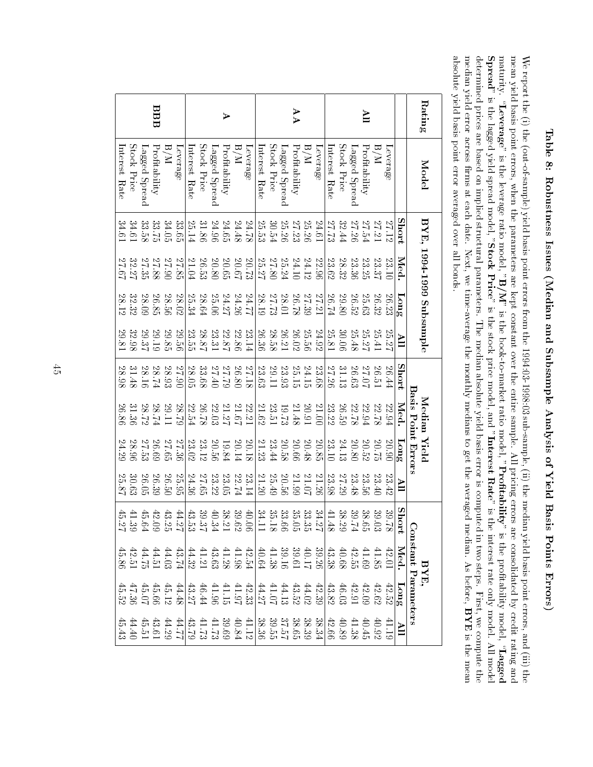Table $\stackrel{\sim}{.}$  Robustness Issues (Median and Subsample Analysis of Yield Basis $_{\rm points}$ Errors)

≶ report the $\bigoplus$  the (out-of-sample) yield basis point errors from the 1994:03-1998:03 sub-sample, (ii) the median yield basis point errors, and (iii)e<br>E<br>F<br>F<br>F mean yield basis point errors, when the parameters are kept constant over the entire sample. $\geq$  pricing errors are consolidated $\mathcal{S}^{\mathbf{d}}$  creditrating and<br>Pagged"<br>Pagged" maturity.  $\alpha$ everage  $\alpha$  is the leverage ratio model, $\mathrm{B}/\mathrm{M}^{\mathrm{w}}$  is the book-to-market ratio model, $^{\circ}$ Profitability" is the protability model,  ${\bf S}_{\bf{pred}}$  is the lagged yield spread model, "StockPrice is the stock price model, and $^{\rm n}$ Interest  $\operatorname{Rae}^{\circ}$  is the interest rate only model. $\geq$  model the determined prices are based on implied structural parameters. The median absolute yield basis error is computedin. two steps. First,≶<br>∂ computemedian yield error across rms $\stackrel{\scriptscriptstyle \omega}{=}$  each date. Next,≶<br>∂ time-average the monthly medians $\overline{\mathbb{S}}^*$  get the averaged median. As before,  $\begin{array}{c} \mathbf{m}\text{od} \ \mathbf{r}\ \mathbf{w}\ \mathbf{B}\ \mathbf{Y}\mathbf{E} \end{array}$ is there dhe<br>mean absolute yield basis point error averaged over $\frac{\omega}{\Box}$ bonds.

| Rating              | Model                   |                                               | BYE, 1994-1999 Subsample |              |                |         | Median Yield       |           |                      |       | $\overline{M}$                                                                                                                                                                                                                        | ਚ਼                                                                        |                                                                 |
|---------------------|-------------------------|-----------------------------------------------|--------------------------|--------------|----------------|---------|--------------------|-----------|----------------------|-------|---------------------------------------------------------------------------------------------------------------------------------------------------------------------------------------------------------------------------------------|---------------------------------------------------------------------------|-----------------------------------------------------------------|
|                     |                         |                                               |                          |              |                |         | Basis Point Errors |           |                      |       |                                                                                                                                                                                                                                       | Constant Parameters                                                       |                                                                 |
|                     |                         | Short                                         | Med.                     | $L$ ong      | $\blacksquare$ | Short   | Med.               | $F$ ong   | $\mathbb{I}^\forall$ | Short | Med.                                                                                                                                                                                                                                  | $F$ ong                                                                   | $\mathbf{H}$                                                    |
|                     | Leverage                | 27.12                                         | 23.10                    | 26.23        | 25.27          | 26.44   | 22.94              | 20.90     | 23.42                | 39.   | 42.01                                                                                                                                                                                                                                 | 42.52                                                                     |                                                                 |
|                     | N/H                     | 12.21                                         | 23.37                    | 26.32        | 25.41          | 26.51   | 22.78              | 20.75     | 23.40                |       |                                                                                                                                                                                                                                       |                                                                           |                                                                 |
| ΠУ                  | Profitability           | 27.54                                         | 23.25                    | 25.63        | 25.27          | 27.07   | 22.94              | 20.52     | 23.56                |       | $\begin{array}{r} 41.85 \\ 41.69 \\ 42.58 \\ 43.38 \end{array}$                                                                                                                                                                       | $\begin{array}{c} 42.62 \\ 42.91 \\ 43.91 \\ 46.02 \\ \end{array}$        | $\begin{array}{l} 40.92 \\ 41.38 \\ 44.38 \\ 42.66 \end{array}$ |
|                     | Lagged Spread           | 27.26                                         | 23.36                    | 26.52        | 25.48          | 26.63   | 22.78              | 20.80     | 23.48                |       |                                                                                                                                                                                                                                       |                                                                           |                                                                 |
|                     | Stock Price             | 32.44                                         | 28.32                    | 29.80        | 30.06          | 31.13   | 26.59              | $24.13$   | 27.29                |       |                                                                                                                                                                                                                                       |                                                                           |                                                                 |
|                     | Interest Rate           | 27.73                                         | 23.62                    | 26.74        | 25.81          | 27.26   | 23.22              | 23.10     | 23.98                |       |                                                                                                                                                                                                                                       |                                                                           |                                                                 |
|                     | Leverage                | 24.61                                         | 22.96                    | 27.21        | 24.92          | 23.68   | $21.00$            | $20.85\,$ | 21.26                |       |                                                                                                                                                                                                                                       | 42.39                                                                     | 38.34                                                           |
|                     | N/H                     | 25.26                                         | 24.12                    | 27.39        | 25.56          | 24.15   | 20.91              | 20.48     | $21.07$              |       |                                                                                                                                                                                                                                       |                                                                           |                                                                 |
| $\forall$ $\forall$ | Profitability           | 27.23                                         | 24.10                    | 26.78        | 26.02          | 25.15   | 21.48              | 20.66     | 21.99                |       |                                                                                                                                                                                                                                       |                                                                           |                                                                 |
|                     | Lagged Spread           | 25.26                                         | 25.24                    | 28.01        | 26.21          | 23.93   | 19.73              | 20.58     | 20.56                |       |                                                                                                                                                                                                                                       |                                                                           |                                                                 |
|                     | Stock Price             | $30.54\,$                                     | 27.80                    | 27.73        | 28.58          | 29.11   | 23.51              | 23.44     | 25.49                |       |                                                                                                                                                                                                                                       |                                                                           | 38.325<br>38.515<br>38.36                                       |
|                     | nterest Rate            | 25.53                                         | 25.27                    | 28.19        | 26.36          | 23.63   | 21.62              | 21.23     | 21.20                |       | $\begin{array}{c} 39.26 \\ 40.17 \\ 39.39 \\ 11.38 \\ \hline \end{array} \quad \begin{array}{c} 39.16 \\ 40.18 \\ 30.19 \\ 41.39 \\ \hline \end{array} \quad \begin{array}{c} 39.16 \\ 40.19 \\ 41.39 \\ 41.30 \\ \hline \end{array}$ | $\begin{array}{c} 44.02 \\ 43.52 \\ 41.07 \\ 44.27 \end{array}$           |                                                                 |
|                     | Leverage                | 84.78                                         | 20.73                    | <b>74.77</b> | 23.14          | 27.18   | 22.21              | 20.18     | 23.14                |       |                                                                                                                                                                                                                                       |                                                                           | 41.12                                                           |
|                     | $\mathrm{N}/\mathrm{H}$ | 24.48                                         | 20.67                    | 24.26        | 22.86          | 26.80   | 21.67              | 20.14     | 122.74               |       |                                                                                                                                                                                                                                       |                                                                           |                                                                 |
| ⋗                   | Profitability           | 24.65                                         | 20.65                    | 24.27        | 22.87          | 57.79   | 21.27              | 19.84     | 23.05                |       |                                                                                                                                                                                                                                       |                                                                           | $\begin{array}{l} 40.84 \\ 39.69 \\ 41.73 \\ 41.73 \end{array}$ |
|                     | Lagged Spread           | 24.96                                         | 20.80                    | 25.06        | $23.31\,$      | 27.40   | $22.03\,$          | 20.56     | $23.22\,$            |       |                                                                                                                                                                                                                                       |                                                                           |                                                                 |
|                     | Stock Price             | 31.86                                         | 26.53                    | 28.64        | 28.87          | 33.68   | 26.78              | 23.12     | 27.65                |       |                                                                                                                                                                                                                                       |                                                                           |                                                                 |
|                     | interest Rate           | 25.14                                         | 21.04                    | 25.34        | 23.55          | 28.05   | 22.54              | 23.02     | 24.36                |       |                                                                                                                                                                                                                                       | $\begin{array}{c} 42.33 \\ 41.97 \\ 44.196 \\ 46.44 \\ 43.27 \end{array}$ | $\frac{43.79}{2}$                                               |
|                     | Leverage                | 33.65                                         | 27.85                    | 28.02        | 29.56          | 27.90   | 88.79              | 27.36     | 25.95                |       | 43.74                                                                                                                                                                                                                                 | $44.48$                                                                   | 17.PP                                                           |
|                     | N/H                     | 34.05                                         | 27.90                    | 28.56        | 29.85          | 28.93   | 29.11              | 27.65     | 26.50                |       |                                                                                                                                                                                                                                       | $45.12$                                                                   | $44.29$                                                         |
| BBB                 | Profitability           |                                               | 27.88                    | 26.85        | 29.19          | $28.74$ | 18.74              | 26.69     | 26.39                |       |                                                                                                                                                                                                                                       |                                                                           |                                                                 |
|                     | Lagged Spread           | $\begin{array}{c} 33.75 \\ 33.58 \end{array}$ | 27.35                    | 28.09        | 29.37          | 28.16   | 28.72              | 27.53     | 26.05                |       | $\begin{array}{c} 44.03 \\ 44.51 \\ 42.51 \\ 42.8 \\ \end{array}$                                                                                                                                                                     | 44444<br>8583<br>458                                                      | 43.51<br>44.43<br>45.43                                         |
|                     | Stock Price             | 34.61                                         | 32.27                    | 32.32        | 32.98          | 31.48   | 31.36              | 28.96     | 30.63                |       |                                                                                                                                                                                                                                       |                                                                           |                                                                 |
|                     | Interest Rate           | 34.61                                         | 27.67                    | 28.12        | 29.81          | 28.98   | 26.86              | 24.29     | 25.87                |       |                                                                                                                                                                                                                                       |                                                                           |                                                                 |

 $\frac{4}{5}$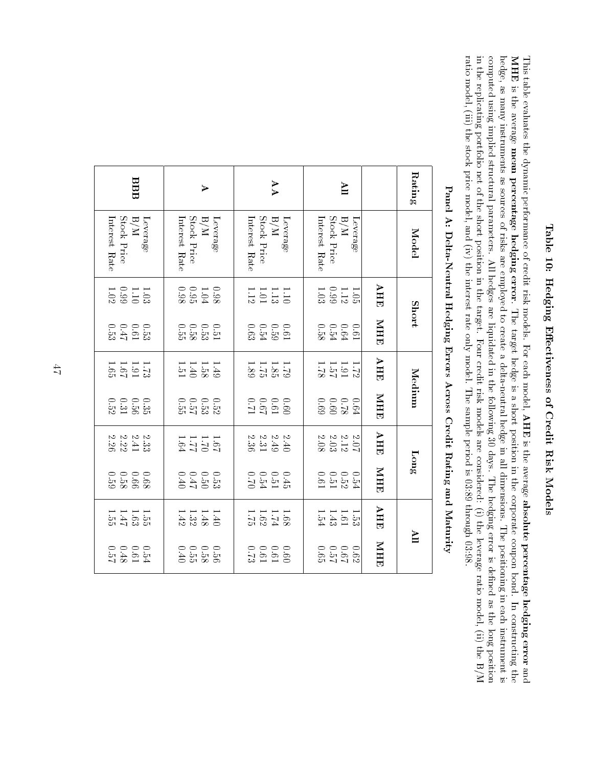# Table 10: Hedging Eectiveness of Credit RiskModels

This table evaluates the dynamic performanceq credit risk models. For each model,  $_{\rm AHE}^{\rm C}$ is the average absolute percentage hedging error and This t<br>MHE is the average mean percentage hedging error. The target hedge is a short positionin. the corporate coupon bond. $\overline{z}$  constructinga<br>E<br>E<br>E hedge, as $\rm \Delta m$  instruments as sources<u>ር</u> risks are employedಕ create a delta-neutral hedgein.  $\stackrel{\scriptscriptstyle \omega}{=}$  dimensions. The positioningin. each instrumentung ule<br>ment is<br>position<br>he B/M computed using implied structural parameters. $\geq$  hedges are liquidatedin. the following $\stackrel{c}{\simeq}$  days. The hedging error isdefined as the longin. the replicating portfolio net<u>ር</u> the short positionin. the target. Four credit risk models are considered: $\bigoplus$  the leverage ratio model, (ii) theratio model, (iii) the stock price model, and (iv) the interest rate only model. The sample period is 03:89 through03:98.

|                       | Panel A: Delta-Neutral Hedging Errors Across Credit Kating and Maturity |                                                                 |                               |                             |                             |                                                             |                                                               |                                                                |                                                           |
|-----------------------|-------------------------------------------------------------------------|-----------------------------------------------------------------|-------------------------------|-----------------------------|-----------------------------|-------------------------------------------------------------|---------------------------------------------------------------|----------------------------------------------------------------|-----------------------------------------------------------|
| <b>Rating</b>         | Model                                                                   |                                                                 | <b>Short</b>                  |                             | Medium                      |                                                             | $\lim_{\mathbf{g}}$                                           |                                                                | $\blacksquare$                                            |
|                       |                                                                         | AHE                                                             | MHE                           | <b>AHE</b>                  | MHE                         | AHE                                                         | MHE                                                           | AHE                                                            | MHE                                                       |
| $\blacksquare$        | N/H<br>Leverage                                                         |                                                                 |                               | $\frac{1.72}{1.91}$         | $0.64\,$                    | $\begin{array}{c} 2.07 \\ 2.03 \\ 2.03 \\ 0.08 \end{array}$ |                                                               | $1.53$<br>$1.61$<br>$1.54$                                     |                                                           |
|                       | Stock Price<br>Interest Rate                                            | $\begin{array}{c} 1.05 \\ 1.19 \\ 0.99 \\ 1.03 \end{array}$     | 0 0 0 0<br>0 0 0 0<br>0 0 0 0 |                             |                             |                                                             | 0 0 0 0 0<br>5 10 10 10<br>4 10 11                            |                                                                | 0000<br>00000<br>0000                                     |
| AA                    | Stock Price<br>Interest Rate<br>N/H<br>Leverage                         | $\frac{1.10}{1.13}$                                             | $0.61$<br>$0.54$<br>$0.63$    | $1.581$<br>$1.81$<br>$1.83$ |                             | 2223<br>2233<br>2023                                        | $0.45$<br>$0.54$<br>$0.54$                                    | $\frac{1.68}{1.62}$                                            | $\begin{array}{c} 0.0000 \\ 0.0000 \\ 0.0000 \end{array}$ |
| $\blacktriangleright$ | Stock Price<br>Interest Rate<br>Leverage<br>N/H                         | $0.98\,$<br>$1.04\phantom{0}$<br>$0.98\,$                       |                               | $\frac{1.49}{1.540}$        | 0.0.0.5<br>2.0.5.5.6        | $1311$<br>$1311$<br>$131$                                   | $0.500$<br>$0.500$<br>$0.40$                                  | $\begin{array}{c} 1.48 \\ 1.32 \\ 1.42 \end{array}$<br>$0 + 1$ | 0.000<br>52554                                            |
| BBB                   | Stock Price<br>Interest Rate<br>N/H<br>Leverage                         | $\begin{array}{c} 1.03 \\[-4pt] 1.10 \\[-4pt] 1.02 \end{array}$ | $0.61$<br>$0.61$<br>$0.53$    | $11.31$<br>$1.31$<br>$1.31$ | 0.5<br>35<br>95<br>31<br>22 | $\begin{array}{c} 2.33 \\ 2.41 \\ 2.26 \end{array}$         | $\begin{array}{c} 0.66 \\ -0.59 \\ -0.59 \end{array}$<br>89.0 | $1.363 + 1.5$                                                  | $0.54$<br>$0.61$<br>$0.57$                                |

Panel A: Delta-Neutral Hedging Errors Across Credit Rating andnrougn 0*3:*<br>Maturity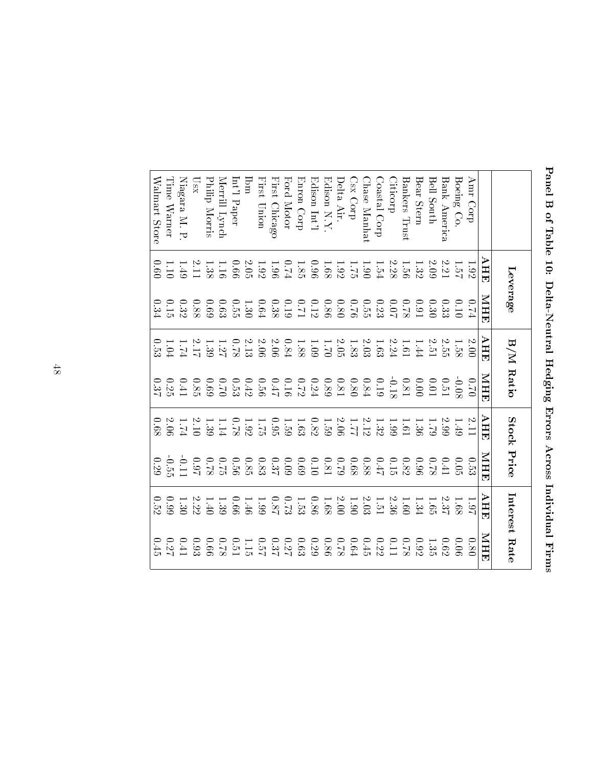| i<br>F<br>I<br>くそう けんさく                                                             |  |
|-------------------------------------------------------------------------------------|--|
| くろくしく しんご しんくしゅう しょくとくしょう                                                           |  |
| -<br>-<br>-<br>-<br>į<br>しゅうりんし<br> <br> <br> <br>in a security of the control<br>J |  |

|                |                                                     | Leverage                                                    |                                                                 | B/M Ratio                                                              | Stock Price                                                     |                                                     |                                                             | Interest Rate                                                          |
|----------------|-----------------------------------------------------|-------------------------------------------------------------|-----------------------------------------------------------------|------------------------------------------------------------------------|-----------------------------------------------------------------|-----------------------------------------------------|-------------------------------------------------------------|------------------------------------------------------------------------|
|                | AHE                                                 | NHR                                                         | AHE                                                             | <b>NHE</b>                                                             | AHE                                                             | MHE                                                 | AHE                                                         | NHE                                                                    |
| Amr Corp       | 1.92                                                | $\frac{1}{2}$                                               | 2.00                                                            | 02.0                                                                   | 3.1                                                             | 0.53                                                | 1.97                                                        | 0.80                                                                   |
| Boeing Co.     | 1.5 <sub>7</sub>                                    | 01.0                                                        |                                                                 | $-0.05$                                                                | 0.49                                                            | 0.05                                                | 1.68                                                        | 0.06                                                                   |
| Bank America   | 2.21                                                | 0.33                                                        |                                                                 | 0.51                                                                   | 5.99                                                            | 0.41                                                |                                                             | 0.62                                                                   |
| $BelI$ $South$ | 2.09                                                | 0.30                                                        | $\frac{1.58}{2.51}$                                             | 10.01                                                                  | 62.1                                                            | 82.0                                                | $2.37$<br>1.65                                              | 1.35                                                                   |
| Bear Stern     | 1.32                                                | $16.0\,$                                                    | 1.44                                                            | 00.00                                                                  | 1.36                                                            | 96.0                                                | 1.34                                                        | 0.92                                                                   |
| Bankers Trust  |                                                     |                                                             |                                                                 |                                                                        | 1.61                                                            |                                                     |                                                             |                                                                        |
| <i>iticorp</i> | $1.58$<br>2.28                                      | $10.07$<br>87.0                                             | $1.61\phantom{1}$                                               | $0.81\phantom{0}$                                                      | 66:1                                                            | $\frac{0.82}{0.15}$                                 |                                                             | $\frac{0.7}{8}$                                                        |
| Coastal Corp   | 1.54                                                |                                                             |                                                                 |                                                                        |                                                                 | $2F$ <sup>0</sup>                                   | $\begin{array}{c} 1.60 \\ 2.36 \\ 1.51 \\ 2.03 \end{array}$ |                                                                        |
| hase Manhat    | 06.1                                                | $0.23$<br>$0.55$<br>$0.80$                                  | $1.63\phantom{1}$                                               | $0.84\phantom{0}$                                                      | $\frac{1.32}{2.12}$<br>$\frac{2.12}{2.06}$                      | $0.88\,$                                            |                                                             | $0.22\phantom{0}$                                                      |
| Csx Corp       | $1.92\phantom{0}$                                   |                                                             |                                                                 |                                                                        |                                                                 |                                                     | $-1.90$                                                     |                                                                        |
| Delta Air.     |                                                     |                                                             | $1.83\phantom{1}$                                               | $\begin{array}{c} 0.80 \\ 0.81 \end{array}$                            |                                                                 | $\begin{array}{c} 18.0 \\ 61.0 \\ 89.0 \end{array}$ | $2.00\,$                                                    |                                                                        |
| $Edison$ N.Y.  | 1.68                                                |                                                             | 02.1                                                            | 0.89                                                                   | $1.59\phantom{0}$                                               |                                                     |                                                             |                                                                        |
| Edison Int'l   |                                                     |                                                             | 1.09                                                            |                                                                        |                                                                 | 0.10                                                |                                                             |                                                                        |
| Enron Corp     | $\begin{array}{c} 0.96 \\ 1.85 \\ 0.74 \end{array}$ | $\begin{array}{c} 0.86 \\ 0.11 \\ 0.19 \\ 0.38 \end{array}$ | $1.88\,$                                                        | $\begin{array}{c} 0.24 \\ 0.17 \\ 0.46 \\ 0.59 \\ 0.53 \\ \end{array}$ | $\begin{array}{c} 1.63 \\ 1.99 \\ 1.92 \end{array}$             | 69.0                                                | $\begin{array}{c} 1.68 \\ 0.86 \\ 1.53 \end{array}$         | $0.64$<br>$0.86$<br>$0.29$<br>$0.63$                                   |
| Ford Motor     |                                                     |                                                             | 0.84                                                            |                                                                        |                                                                 | 60.09                                               |                                                             |                                                                        |
| First Chicago  |                                                     |                                                             | 2.06                                                            |                                                                        |                                                                 | 0.37                                                |                                                             |                                                                        |
| First Union    | $1.92\phantom{1}$                                   | $\rm ^{f9.0}$                                               |                                                                 |                                                                        |                                                                 |                                                     | $0.73$<br>$0.87$<br>$0.87$<br>$0.99$                        | $\begin{array}{c} 0.27 \\ 0.37 \\ 0.51 \\ 0.51 \\ 0.51 \\ \end{array}$ |
| $_{\rm lim}$   |                                                     | $1.30$<br>$0.55$                                            | $\begin{array}{c} 2.06 \\ 2.13 \end{array}$                     |                                                                        |                                                                 | 0.85                                                |                                                             |                                                                        |
| Int'l Paper    |                                                     |                                                             |                                                                 |                                                                        |                                                                 | 920                                                 | 99.0                                                        |                                                                        |
| Merrill Lynch  | $\frac{0.66}{1.16}$                                 | 6.63                                                        | $1.27\atop-2.27$                                                |                                                                        | $\begin{array}{c} 0.78 \\ 1.14 \end{array}$                     | 6.75                                                | 1.39                                                        |                                                                        |
| Philip Morris  |                                                     | 69.0                                                        |                                                                 |                                                                        | $\begin{array}{c} 1.39 \\[-4pt] 2.10 \\[-4pt] 1.74 \end{array}$ | 82.0                                                | 1.40                                                        | 99.0                                                                   |
| $\log_{\rm X}$ | $\frac{1.38}{2.11}$                                 | 880                                                         | $\begin{array}{c} 1.39 \\[-4pt] 2.17 \\[-4pt] 2.74 \end{array}$ | 0.69                                                                   |                                                                 | $\begin{array}{c} 1.0 \\ 1.0 \\ 0.0 \end{array}$    |                                                             | 0.93                                                                   |
| Niagara M. P.  | $-1.49$                                             | $\begin{array}{c} 0.32 \\ 0.15 \end{array}$                 |                                                                 | $0.41\,$                                                               |                                                                 |                                                     | $2.22\phantom{}$                                            | $14.41\,$                                                              |
| Lime Warner    | 1.10                                                |                                                             | 1.04                                                            | 0.25                                                                   | 2.06                                                            | $-55$                                               | 66.0                                                        | 0.27                                                                   |
| Walmart Store  | 0.60                                                | 0.34                                                        | 0.55                                                            | 0.37                                                                   | 89.0                                                            | 67.9                                                | 0.52                                                        | 0.45                                                                   |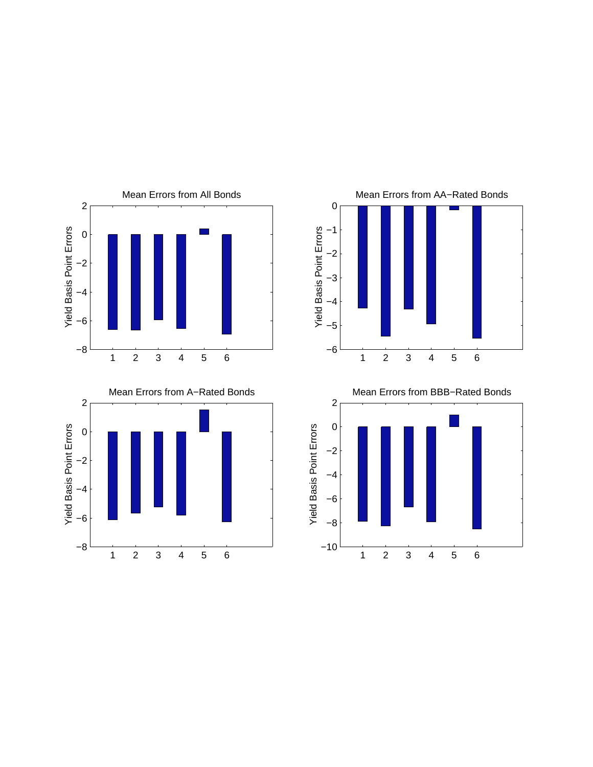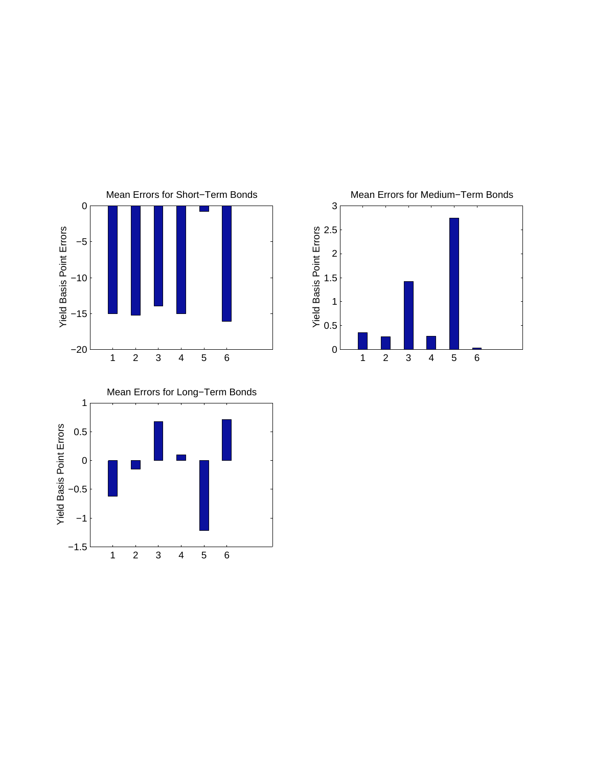